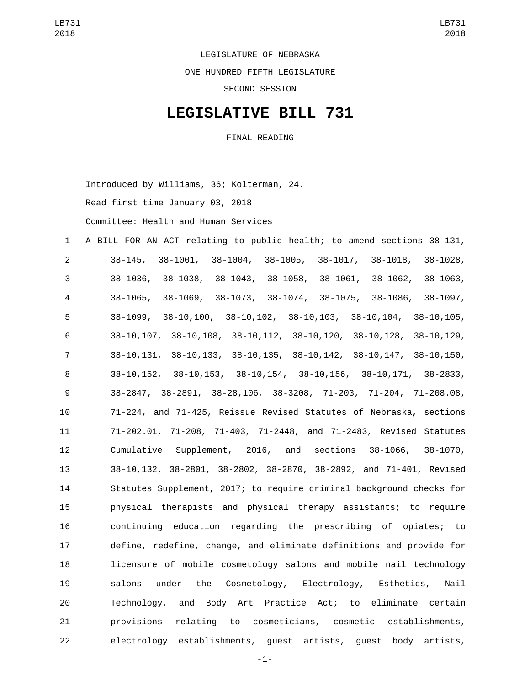LEGISLATURE OF NEBRASKA

ONE HUNDRED FIFTH LEGISLATURE

SECOND SESSION

## **LEGISLATIVE BILL 731**

FINAL READING

Introduced by Williams, 36; Kolterman, 24.

Read first time January 03, 2018

Committee: Health and Human Services

 A BILL FOR AN ACT relating to public health; to amend sections 38-131, 38-145, 38-1001, 38-1004, 38-1005, 38-1017, 38-1018, 38-1028, 38-1036, 38-1038, 38-1043, 38-1058, 38-1061, 38-1062, 38-1063, 38-1065, 38-1069, 38-1073, 38-1074, 38-1075, 38-1086, 38-1097, 38-1099, 38-10,100, 38-10,102, 38-10,103, 38-10,104, 38-10,105, 38-10,107, 38-10,108, 38-10,112, 38-10,120, 38-10,128, 38-10,129, 38-10,131, 38-10,133, 38-10,135, 38-10,142, 38-10,147, 38-10,150, 38-10,152, 38-10,153, 38-10,154, 38-10,156, 38-10,171, 38-2833, 38-2847, 38-2891, 38-28,106, 38-3208, 71-203, 71-204, 71-208.08, 71-224, and 71-425, Reissue Revised Statutes of Nebraska, sections 71-202.01, 71-208, 71-403, 71-2448, and 71-2483, Revised Statutes Cumulative Supplement, 2016, and sections 38-1066, 38-1070, 38-10,132, 38-2801, 38-2802, 38-2870, 38-2892, and 71-401, Revised Statutes Supplement, 2017; to require criminal background checks for physical therapists and physical therapy assistants; to require continuing education regarding the prescribing of opiates; to define, redefine, change, and eliminate definitions and provide for licensure of mobile cosmetology salons and mobile nail technology salons under the Cosmetology, Electrology, Esthetics, Nail Technology, and Body Art Practice Act; to eliminate certain provisions relating to cosmeticians, cosmetic establishments, electrology establishments, guest artists, guest body artists,

-1-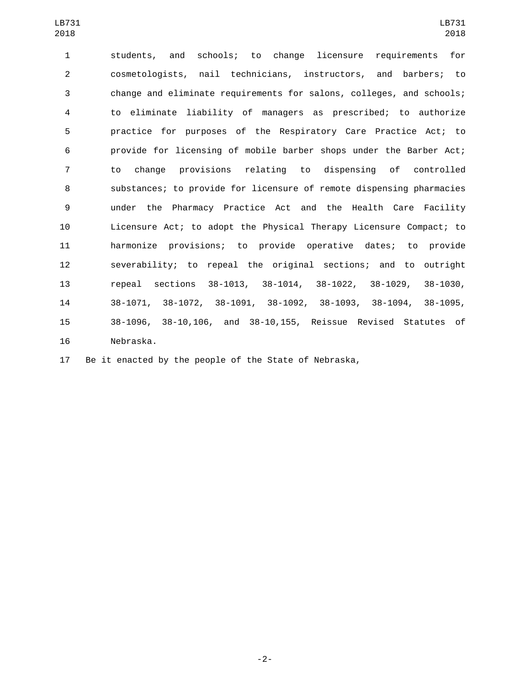students, and schools; to change licensure requirements for cosmetologists, nail technicians, instructors, and barbers; to change and eliminate requirements for salons, colleges, and schools; to eliminate liability of managers as prescribed; to authorize practice for purposes of the Respiratory Care Practice Act; to provide for licensing of mobile barber shops under the Barber Act; to change provisions relating to dispensing of controlled substances; to provide for licensure of remote dispensing pharmacies under the Pharmacy Practice Act and the Health Care Facility Licensure Act; to adopt the Physical Therapy Licensure Compact; to harmonize provisions; to provide operative dates; to provide severability; to repeal the original sections; and to outright repeal sections 38-1013, 38-1014, 38-1022, 38-1029, 38-1030, 38-1071, 38-1072, 38-1091, 38-1092, 38-1093, 38-1094, 38-1095, 38-1096, 38-10,106, and 38-10,155, Reissue Revised Statutes of 16 Nebraska.

Be it enacted by the people of the State of Nebraska,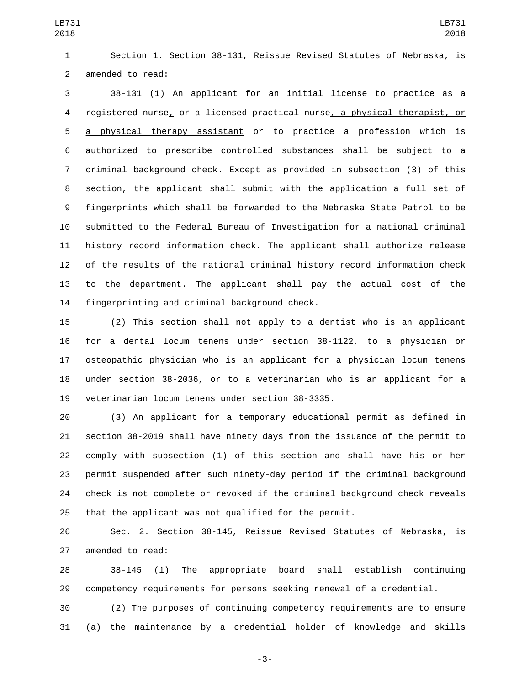LB731 

 Section 1. Section 38-131, Reissue Revised Statutes of Nebraska, is 2 amended to read:

 38-131 (1) An applicant for an initial license to practice as a 4 registered nurse, of a licensed practical nurse, a physical therapist, or a physical therapy assistant or to practice a profession which is authorized to prescribe controlled substances shall be subject to a criminal background check. Except as provided in subsection (3) of this section, the applicant shall submit with the application a full set of fingerprints which shall be forwarded to the Nebraska State Patrol to be submitted to the Federal Bureau of Investigation for a national criminal history record information check. The applicant shall authorize release of the results of the national criminal history record information check to the department. The applicant shall pay the actual cost of the 14 fingerprinting and criminal background check.

 (2) This section shall not apply to a dentist who is an applicant for a dental locum tenens under section 38-1122, to a physician or osteopathic physician who is an applicant for a physician locum tenens under section 38-2036, or to a veterinarian who is an applicant for a 19 veterinarian locum tenens under section 38-3335.

 (3) An applicant for a temporary educational permit as defined in section 38-2019 shall have ninety days from the issuance of the permit to comply with subsection (1) of this section and shall have his or her permit suspended after such ninety-day period if the criminal background check is not complete or revoked if the criminal background check reveals that the applicant was not qualified for the permit.

 Sec. 2. Section 38-145, Reissue Revised Statutes of Nebraska, is 27 amended to read:

 38-145 (1) The appropriate board shall establish continuing competency requirements for persons seeking renewal of a credential.

 (2) The purposes of continuing competency requirements are to ensure (a) the maintenance by a credential holder of knowledge and skills

-3-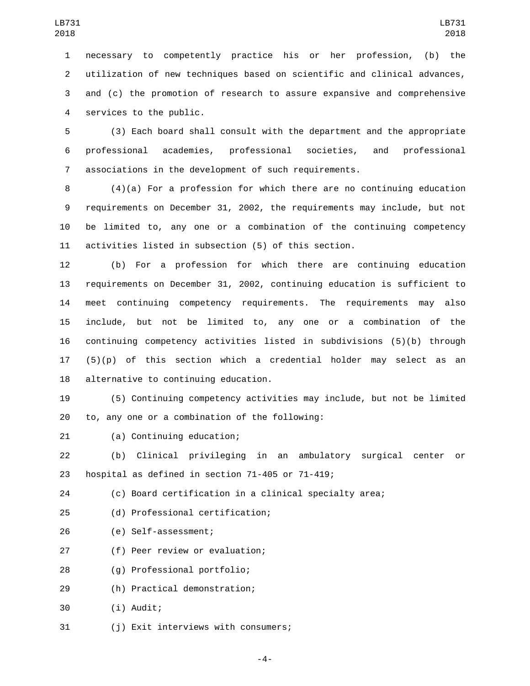necessary to competently practice his or her profession, (b) the utilization of new techniques based on scientific and clinical advances, and (c) the promotion of research to assure expansive and comprehensive 4 services to the public.

5 (3) Each board shall consult with the department and the appropriate 6 professional academies, professional societies, and professional 7 associations in the development of such requirements.

 (4)(a) For a profession for which there are no continuing education requirements on December 31, 2002, the requirements may include, but not be limited to, any one or a combination of the continuing competency activities listed in subsection (5) of this section.

 (b) For a profession for which there are continuing education requirements on December 31, 2002, continuing education is sufficient to meet continuing competency requirements. The requirements may also include, but not be limited to, any one or a combination of the continuing competency activities listed in subdivisions (5)(b) through  $(5)(p)$  of this section which a credential holder may select as an 18 alternative to continuing education.

19 (5) Continuing competency activities may include, but not be limited 20 to, any one or a combination of the following:

21 (a) Continuing education;

22 (b) Clinical privileging in an ambulatory surgical center or 23 hospital as defined in section  $71-405$  or  $71-419$ ;

24 (c) Board certification in a clinical specialty area;

(d) Professional certification;25

(e) Self-assessment;26

27 (f) Peer review or evaluation;

(g) Professional portfolio;28

(h) Practical demonstration;29

(i) Audit;30

31 (i) Exit interviews with consumers;

-4-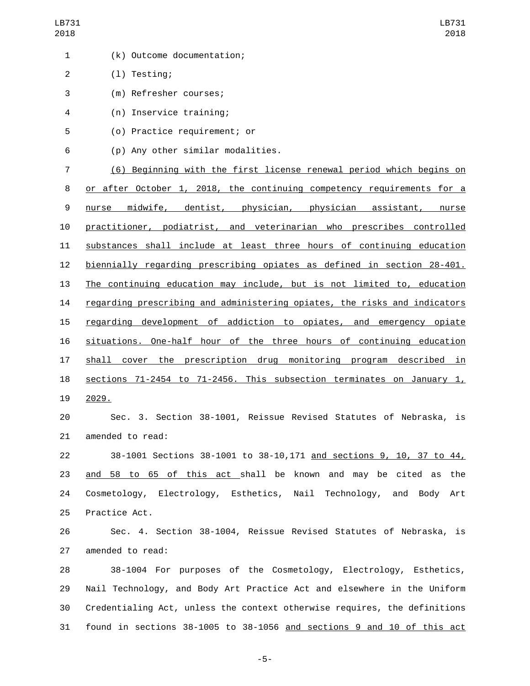| 1              | (k) Outcome documentation;                                                |
|----------------|---------------------------------------------------------------------------|
| $\overline{2}$ | $(1)$ Testing;                                                            |
| 3              | (m) Refresher courses;                                                    |
| 4              | (n) Inservice training;                                                   |
| 5              | (o) Practice requirement; or                                              |
| 6              | (p) Any other similar modalities.                                         |
| 7              | (6) Beginning with the first license renewal period which begins on       |
| 8              | or after October 1, 2018, the continuing competency requirements for a    |
| 9              | midwife, dentist, physician, physician assistant, nurse<br>nurse          |
| 10             | practitioner, podiatrist, and veterinarian who prescribes controlled      |
| 11             | substances shall include at least three hours of continuing education     |
| 12             | biennially regarding prescribing opiates as defined in section 28-401.    |
| 13             | The continuing education may include, but is not limited to, education    |
| 14             | regarding prescribing and administering opiates, the risks and indicators |
| 15             | regarding development of addiction to opiates, and emergency opiate       |
| 16             | situations. One-half hour of the three hours of continuing education      |
| 17             | shall cover the prescription drug monitoring program described in         |
| 18             | sections 71-2454 to 71-2456. This subsection terminates on January 1,     |
| 19             | 2029.                                                                     |
| 20             | Sec. 3. Section 38-1001, Reissue Revised Statutes of Nebraska, is         |
| 21             | amended to read:                                                          |
| 22             | 38-1001 Sections 38-1001 to 38-10, 171 and sections 9, 10, 37 to 44,      |
| 23             | and 58 to 65 of this act shall be known and may be cited as the           |
| 24             | Cosmetology, Electrology, Esthetics, Nail Technology, and Body Art        |
| 25             | Practice Act.                                                             |
| 26             | Sec. 4. Section 38-1004, Reissue Revised Statutes of Nebraska, is         |
| 27             | amended to read:                                                          |
| 28             | 38-1004 For purposes of the Cosmetology, Electrology, Esthetics,          |
| 29             | Nail Technology, and Body Art Practice Act and elsewhere in the Uniform   |
| 30             | Credentialing Act, unless the context otherwise requires, the definitions |

found in sections 38-1005 to 38-1056 and sections 9 and 10 of this act

-5-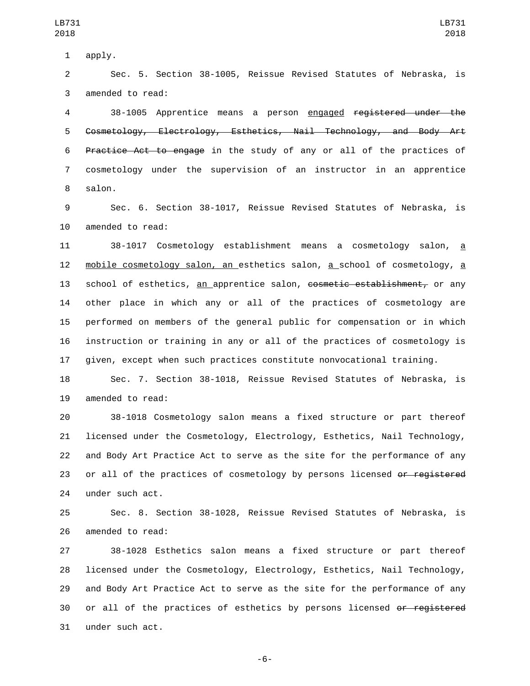1 apply.

2 Sec. 5. Section 38-1005, Reissue Revised Statutes of Nebraska, is 3 amended to read:

 38-1005 Apprentice means a person engaged registered under the Cosmetology, Electrology, Esthetics, Nail Technology, and Body Art Practice Act to engage in the study of any or all of the practices of cosmetology under the supervision of an instructor in an apprentice 8 salon.

9 Sec. 6. Section 38-1017, Reissue Revised Statutes of Nebraska, is 10 amended to read:

 38-1017 Cosmetology establishment means a cosmetology salon, a 12 mobile cosmetology salon, an esthetics salon, a school of cosmetology, a 13 school of esthetics, an apprentice salon, cosmetic establishment, or any other place in which any or all of the practices of cosmetology are performed on members of the general public for compensation or in which instruction or training in any or all of the practices of cosmetology is given, except when such practices constitute nonvocational training.

18 Sec. 7. Section 38-1018, Reissue Revised Statutes of Nebraska, is 19 amended to read:

20 38-1018 Cosmetology salon means a fixed structure or part thereof 21 licensed under the Cosmetology, Electrology, Esthetics, Nail Technology, 22 and Body Art Practice Act to serve as the site for the performance of any 23 or all of the practices of cosmetology by persons licensed or registered 24 under such act.

25 Sec. 8. Section 38-1028, Reissue Revised Statutes of Nebraska, is 26 amended to read:

27 38-1028 Esthetics salon means a fixed structure or part thereof 28 licensed under the Cosmetology, Electrology, Esthetics, Nail Technology, 29 and Body Art Practice Act to serve as the site for the performance of any 30 or all of the practices of esthetics by persons licensed o<del>r registered</del> 31 under such act.

-6-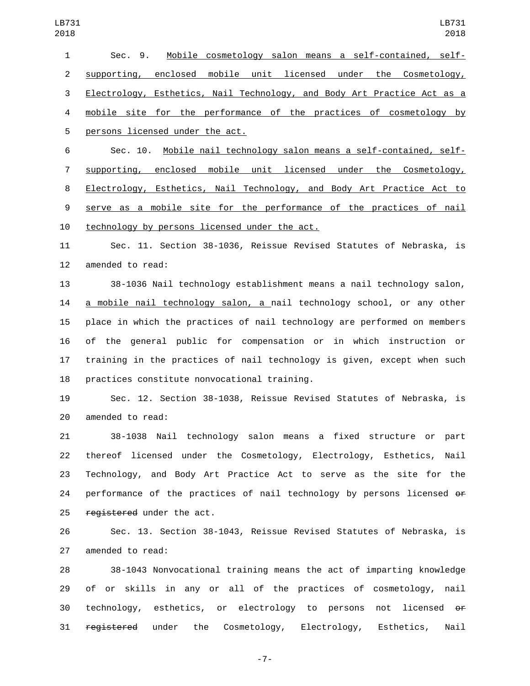| 018            | 2018                                                                     |
|----------------|--------------------------------------------------------------------------|
| 1              | Mobile cosmetology salon means a self-contained, self-<br>Sec. 9.        |
| $\overline{2}$ | supporting, enclosed mobile unit licensed under the Cosmetology,         |
| 3              | Electrology, Esthetics, Nail Technology, and Body Art Practice Act as a  |
| 4              | mobile site for the performance of the practices of cosmetology by       |
| 5              | persons licensed under the act.                                          |
| 6              | Mobile nail technology salon means a self-contained, self-<br>Sec. 10.   |
| $\overline{7}$ | supporting, enclosed mobile unit licensed under the Cosmetology,         |
| 8              | Electrology, Esthetics, Nail Technology, and Body Art Practice Act to    |
| 9              | serve as a mobile site for the performance of the practices of nail      |
| 10             | technology by persons licensed under the act.                            |
| 11             | Sec. 11. Section 38-1036, Reissue Revised Statutes of Nebraska, is       |
| 12             | amended to read:                                                         |
| 13             | 38-1036 Nail technology establishment means a nail technology salon,     |
| 14             | a mobile nail technology salon, a nail technology school, or any other   |
| 15             | place in which the practices of nail technology are performed on members |
| 16             | of the general public for compensation or in which instruction or        |
| 17             | training in the practices of nail technology is given, except when such  |
| 18             | practices constitute nonvocational training.                             |
| 19             | Sec. 12. Section 38-1038, Reissue Revised Statutes of Nebraska, is       |
| 20             | amended to read:                                                         |
| 21             | 38-1038 Nail technology salon means a fixed structure or part            |
| 22             | thereof licensed under the Cosmetology, Electrology, Esthetics, Nail     |
| 23             | Technology, and Body Art Practice Act to serve as the site for the       |
| 24             | performance of the practices of nail technology by persons licensed or   |
| 25             | registered under the act.                                                |
| 26             | Sec. 13. Section 38-1043, Reissue Revised Statutes of Nebraska, is       |
| 27             | amended to read:                                                         |
|                |                                                                          |

 38-1043 Nonvocational training means the act of imparting knowledge of or skills in any or all of the practices of cosmetology, nail technology, esthetics, or electrology to persons not licensed or registered under the Cosmetology, Electrology, Esthetics, Nail

-7-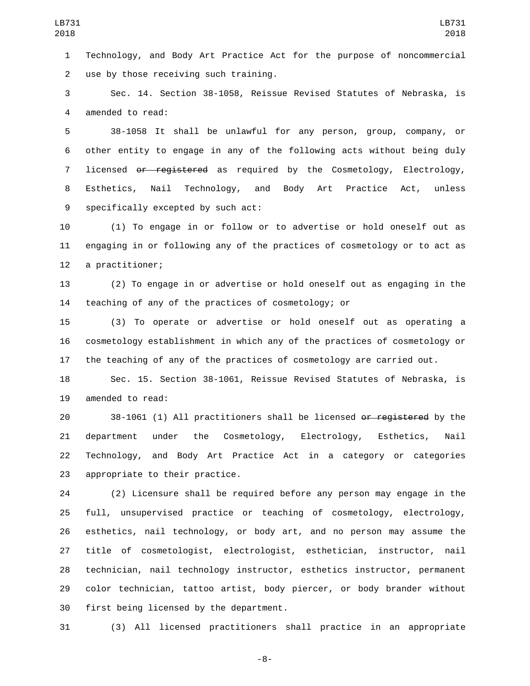Technology, and Body Art Practice Act for the purpose of noncommercial 2 use by those receiving such training.

 Sec. 14. Section 38-1058, Reissue Revised Statutes of Nebraska, is 4 amended to read:

 38-1058 It shall be unlawful for any person, group, company, or other entity to engage in any of the following acts without being duly 7 licensed or registered as required by the Cosmetology, Electrology, Esthetics, Nail Technology, and Body Art Practice Act, unless 9 specifically excepted by such act:

 (1) To engage in or follow or to advertise or hold oneself out as engaging in or following any of the practices of cosmetology or to act as 12 a practitioner;

 (2) To engage in or advertise or hold oneself out as engaging in the teaching of any of the practices of cosmetology; or

 (3) To operate or advertise or hold oneself out as operating a cosmetology establishment in which any of the practices of cosmetology or the teaching of any of the practices of cosmetology are carried out.

 Sec. 15. Section 38-1061, Reissue Revised Statutes of Nebraska, is 19 amended to read:

 38-1061 (1) All practitioners shall be licensed or registered by the department under the Cosmetology, Electrology, Esthetics, Nail Technology, and Body Art Practice Act in a category or categories 23 appropriate to their practice.

 (2) Licensure shall be required before any person may engage in the full, unsupervised practice or teaching of cosmetology, electrology, esthetics, nail technology, or body art, and no person may assume the title of cosmetologist, electrologist, esthetician, instructor, nail technician, nail technology instructor, esthetics instructor, permanent color technician, tattoo artist, body piercer, or body brander without 30 first being licensed by the department.

(3) All licensed practitioners shall practice in an appropriate

-8-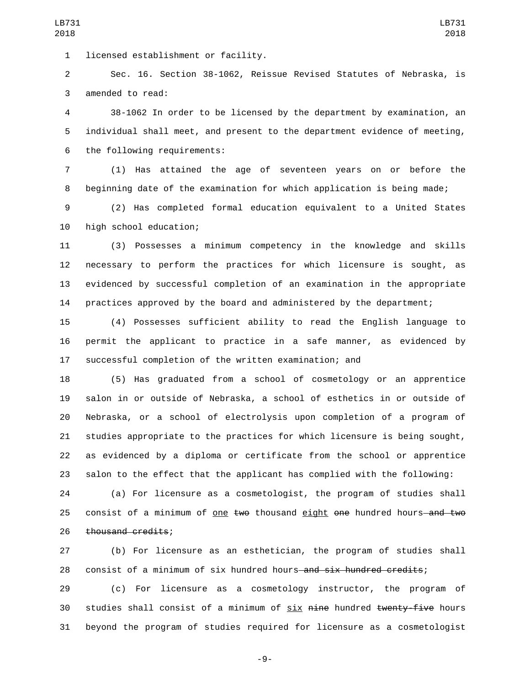1 licensed establishment or facility.

 Sec. 16. Section 38-1062, Reissue Revised Statutes of Nebraska, is 3 amended to read:

 38-1062 In order to be licensed by the department by examination, an individual shall meet, and present to the department evidence of meeting, 6 the following requirements:

 (1) Has attained the age of seventeen years on or before the beginning date of the examination for which application is being made;

 (2) Has completed formal education equivalent to a United States 10 high school education;

 (3) Possesses a minimum competency in the knowledge and skills necessary to perform the practices for which licensure is sought, as evidenced by successful completion of an examination in the appropriate practices approved by the board and administered by the department;

 (4) Possesses sufficient ability to read the English language to permit the applicant to practice in a safe manner, as evidenced by successful completion of the written examination; and

 (5) Has graduated from a school of cosmetology or an apprentice salon in or outside of Nebraska, a school of esthetics in or outside of Nebraska, or a school of electrolysis upon completion of a program of studies appropriate to the practices for which licensure is being sought, as evidenced by a diploma or certificate from the school or apprentice salon to the effect that the applicant has complied with the following:

 (a) For licensure as a cosmetologist, the program of studies shall 25 consist of a minimum of one two thousand eight one hundred hours—and two 26 thousand credits;

 (b) For licensure as an esthetician, the program of studies shall 28 consist of a minimum of six hundred hours and six hundred credits;

 (c) For licensure as a cosmetology instructor, the program of 30 studies shall consist of a minimum of six nine hundred twenty-five hours beyond the program of studies required for licensure as a cosmetologist

-9-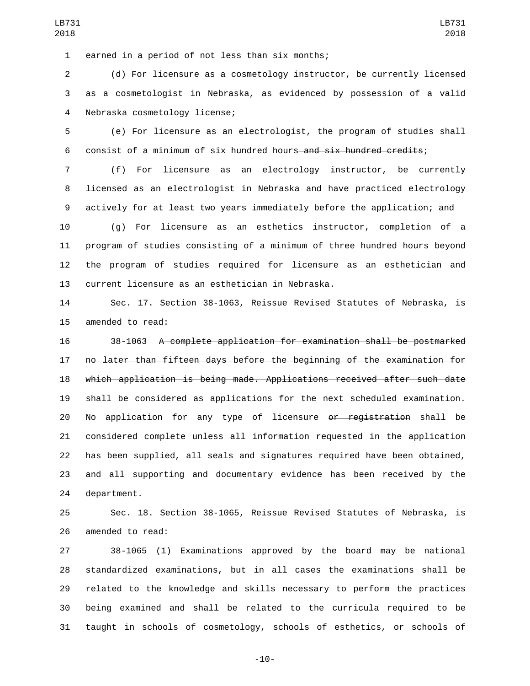earned in a period of not less than six months;1

 (d) For licensure as a cosmetology instructor, be currently licensed as a cosmetologist in Nebraska, as evidenced by possession of a valid 4 Nebraska cosmetology license;

 (e) For licensure as an electrologist, the program of studies shall 6 consist of a minimum of six hundred hours—and six hundred credits;

 (f) For licensure as an electrology instructor, be currently licensed as an electrologist in Nebraska and have practiced electrology actively for at least two years immediately before the application; and

 (g) For licensure as an esthetics instructor, completion of a program of studies consisting of a minimum of three hundred hours beyond the program of studies required for licensure as an esthetician and 13 current licensure as an esthetician in Nebraska.

 Sec. 17. Section 38-1063, Reissue Revised Statutes of Nebraska, is 15 amended to read:

 38-1063 A complete application for examination shall be postmarked no later than fifteen days before the beginning of the examination for which application is being made. Applications received after such date shall be considered as applications for the next scheduled examination. No application for any type of licensure or registration shall be considered complete unless all information requested in the application has been supplied, all seals and signatures required have been obtained, and all supporting and documentary evidence has been received by the 24 department.

 Sec. 18. Section 38-1065, Reissue Revised Statutes of Nebraska, is 26 amended to read:

 38-1065 (1) Examinations approved by the board may be national standardized examinations, but in all cases the examinations shall be related to the knowledge and skills necessary to perform the practices being examined and shall be related to the curricula required to be taught in schools of cosmetology, schools of esthetics, or schools of

LB731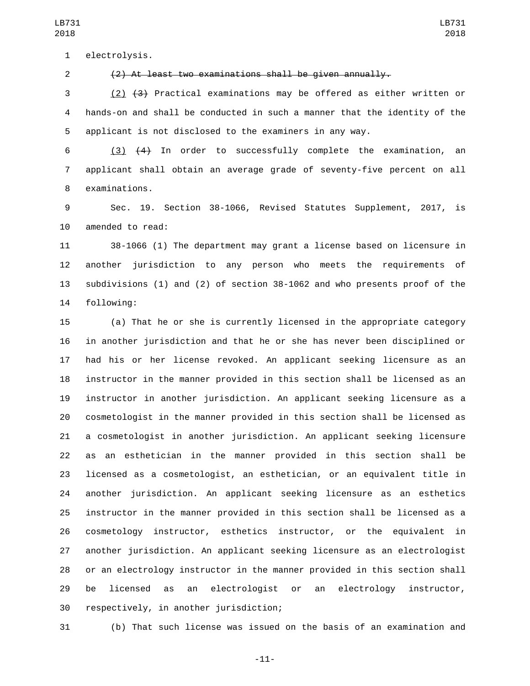1 electrolysis.

(2) At least two examinations shall be given annually.

 (2) (3) Practical examinations may be offered as either written or hands-on and shall be conducted in such a manner that the identity of the applicant is not disclosed to the examiners in any way.

 (3) (4) In order to successfully complete the examination, an applicant shall obtain an average grade of seventy-five percent on all 8 examinations.

 Sec. 19. Section 38-1066, Revised Statutes Supplement, 2017, is 10 amended to read:

 38-1066 (1) The department may grant a license based on licensure in another jurisdiction to any person who meets the requirements of subdivisions (1) and (2) of section 38-1062 and who presents proof of the 14 following:

 (a) That he or she is currently licensed in the appropriate category in another jurisdiction and that he or she has never been disciplined or had his or her license revoked. An applicant seeking licensure as an instructor in the manner provided in this section shall be licensed as an instructor in another jurisdiction. An applicant seeking licensure as a cosmetologist in the manner provided in this section shall be licensed as a cosmetologist in another jurisdiction. An applicant seeking licensure as an esthetician in the manner provided in this section shall be licensed as a cosmetologist, an esthetician, or an equivalent title in another jurisdiction. An applicant seeking licensure as an esthetics instructor in the manner provided in this section shall be licensed as a cosmetology instructor, esthetics instructor, or the equivalent in another jurisdiction. An applicant seeking licensure as an electrologist or an electrology instructor in the manner provided in this section shall be licensed as an electrologist or an electrology instructor, 30 respectively, in another jurisdiction;

(b) That such license was issued on the basis of an examination and

-11-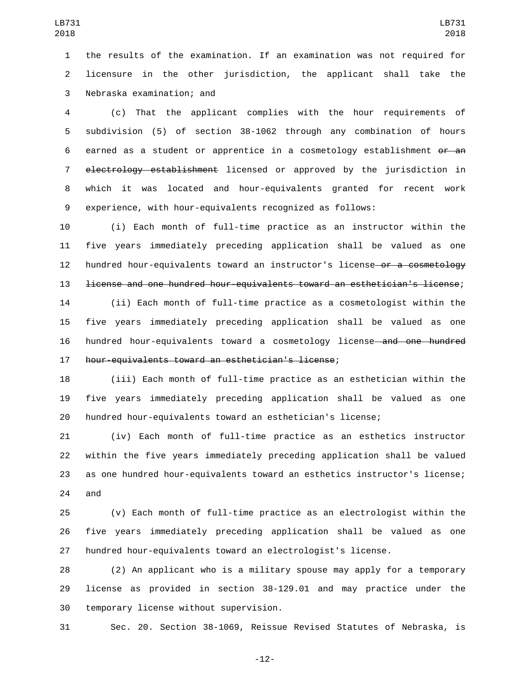the results of the examination. If an examination was not required for licensure in the other jurisdiction, the applicant shall take the 3 Nebraska examination; and

 (c) That the applicant complies with the hour requirements of subdivision (5) of section 38-1062 through any combination of hours earned as a student or apprentice in a cosmetology establishment or an electrology establishment licensed or approved by the jurisdiction in which it was located and hour-equivalents granted for recent work experience, with hour-equivalents recognized as follows:

 (i) Each month of full-time practice as an instructor within the five years immediately preceding application shall be valued as one 12 hundred hour-equivalents toward an instructor's license—o<del>r a cosmetology</del> license and one hundred hour-equivalents toward an esthetician's license;

 (ii) Each month of full-time practice as a cosmetologist within the five years immediately preceding application shall be valued as one hundred hour-equivalents toward a cosmetology license and one hundred 17 hour-equivalents toward an esthetician's license;

 (iii) Each month of full-time practice as an esthetician within the five years immediately preceding application shall be valued as one hundred hour-equivalents toward an esthetician's license;

 (iv) Each month of full-time practice as an esthetics instructor within the five years immediately preceding application shall be valued as one hundred hour-equivalents toward an esthetics instructor's license; 24 and

 (v) Each month of full-time practice as an electrologist within the five years immediately preceding application shall be valued as one hundred hour-equivalents toward an electrologist's license.

 (2) An applicant who is a military spouse may apply for a temporary license as provided in section 38-129.01 and may practice under the 30 temporary license without supervision.

Sec. 20. Section 38-1069, Reissue Revised Statutes of Nebraska, is

-12-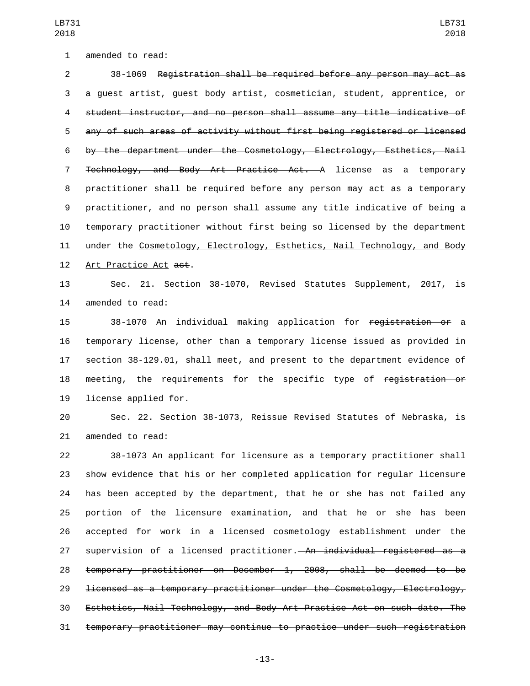1 amended to read:

 38-1069 Registration shall be required before any person may act as a guest artist, guest body artist, cosmetician, student, apprentice, or student instructor, and no person shall assume any title indicative of any of such areas of activity without first being registered or licensed by the department under the Cosmetology, Electrology, Esthetics, Nail Technology, and Body Art Practice Act. A license as a temporary practitioner shall be required before any person may act as a temporary practitioner, and no person shall assume any title indicative of being a temporary practitioner without first being so licensed by the department 11 under the Cosmetology, Electrology, Esthetics, Nail Technology, and Body 12 Art Practice Act act.

 Sec. 21. Section 38-1070, Revised Statutes Supplement, 2017, is 14 amended to read:

 38-1070 An individual making application for registration or a temporary license, other than a temporary license issued as provided in section 38-129.01, shall meet, and present to the department evidence of 18 meeting, the requirements for the specific type of registration or 19 license applied for.

 Sec. 22. Section 38-1073, Reissue Revised Statutes of Nebraska, is 21 amended to read:

 38-1073 An applicant for licensure as a temporary practitioner shall show evidence that his or her completed application for regular licensure has been accepted by the department, that he or she has not failed any portion of the licensure examination, and that he or she has been accepted for work in a licensed cosmetology establishment under the 27 supervision of a licensed practitioner. An individual registered as a temporary practitioner on December 1, 2008, shall be deemed to be licensed as a temporary practitioner under the Cosmetology, Electrology, Esthetics, Nail Technology, and Body Art Practice Act on such date. The temporary practitioner may continue to practice under such registration

-13-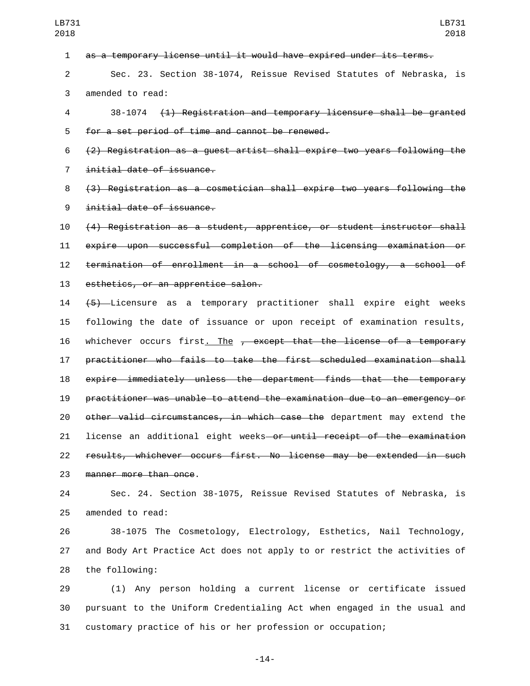as a temporary license until it would have expired under its terms. Sec. 23. Section 38-1074, Reissue Revised Statutes of Nebraska, is 3 amended to read: 38-1074 (1) Registration and temporary licensure shall be granted 5 for a set period of time and cannot be renewed. (2) Registration as a guest artist shall expire two years following the 7 initial date of issuance. (3) Registration as a cosmetician shall expire two years following the 9 initial date of issuance. (4) Registration as a student, apprentice, or student instructor shall expire upon successful completion of the licensing examination or termination of enrollment in a school of cosmetology, a school of 13 esthetics, or an apprentice salon. (5) Licensure as a temporary practitioner shall expire eight weeks following the date of issuance or upon receipt of examination results, 16 whichever occurs first. The , except that the license of a temporary practitioner who fails to take the first scheduled examination shall expire immediately unless the department finds that the temporary practitioner was unable to attend the examination due to an emergency or other valid circumstances, in which case the department may extend the 21 license an additional eight weeks or until receipt of the examination results, whichever occurs first. No license may be extended in such 23 manner more than once.

 Sec. 24. Section 38-1075, Reissue Revised Statutes of Nebraska, is 25 amended to read:

 38-1075 The Cosmetology, Electrology, Esthetics, Nail Technology, and Body Art Practice Act does not apply to or restrict the activities of 28 the following:

 (1) Any person holding a current license or certificate issued pursuant to the Uniform Credentialing Act when engaged in the usual and customary practice of his or her profession or occupation;

-14-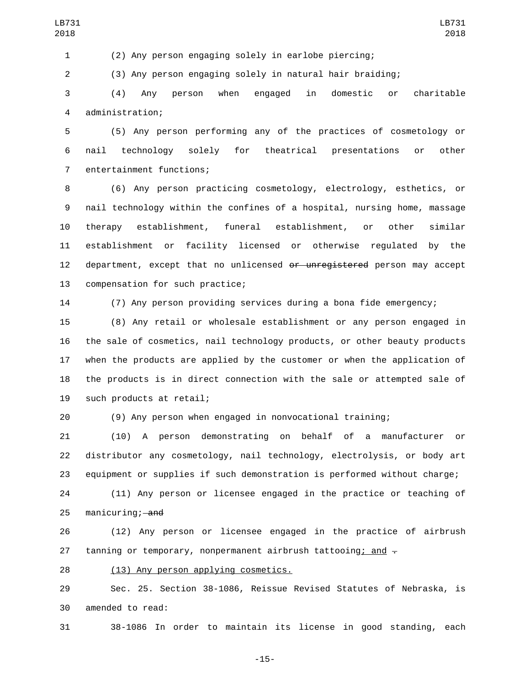(3) Any person engaging solely in natural hair braiding;

 (4) Any person when engaged in domestic or charitable administration;4

 (5) Any person performing any of the practices of cosmetology or nail technology solely for theatrical presentations or other 7 entertainment functions;

 (6) Any person practicing cosmetology, electrology, esthetics, or nail technology within the confines of a hospital, nursing home, massage therapy establishment, funeral establishment, or other similar establishment or facility licensed or otherwise regulated by the 12 department, except that no unlicensed or unregistered person may accept 13 compensation for such practice;

(7) Any person providing services during a bona fide emergency;

 (8) Any retail or wholesale establishment or any person engaged in the sale of cosmetics, nail technology products, or other beauty products when the products are applied by the customer or when the application of the products is in direct connection with the sale or attempted sale of 19 such products at retail;

(9) Any person when engaged in nonvocational training;

 (10) A person demonstrating on behalf of a manufacturer or distributor any cosmetology, nail technology, electrolysis, or body art equipment or supplies if such demonstration is performed without charge;

 (11) Any person or licensee engaged in the practice or teaching of 25 manicuring; and

 (12) Any person or licensee engaged in the practice of airbrush 27 tanning or temporary, nonpermanent airbrush tattooing; and  $\pm$ 

28 (13) Any person applying cosmetics.

 Sec. 25. Section 38-1086, Reissue Revised Statutes of Nebraska, is 30 amended to read:

38-1086 In order to maintain its license in good standing, each

-15-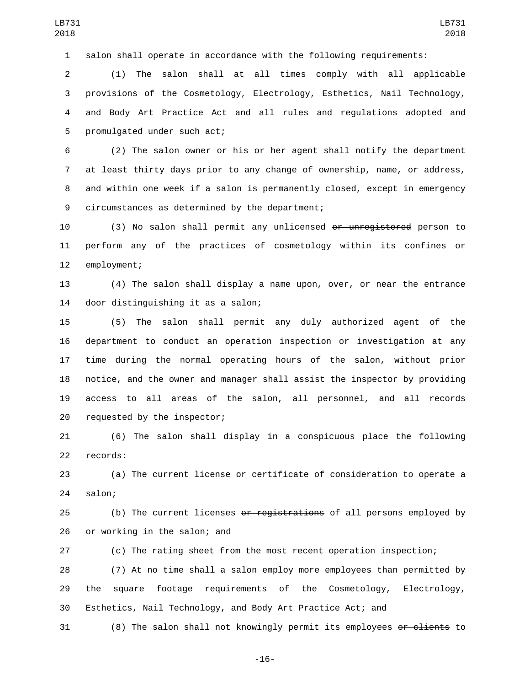salon shall operate in accordance with the following requirements:

 (1) The salon shall at all times comply with all applicable provisions of the Cosmetology, Electrology, Esthetics, Nail Technology, and Body Art Practice Act and all rules and regulations adopted and 5 promulgated under such act;

 (2) The salon owner or his or her agent shall notify the department at least thirty days prior to any change of ownership, name, or address, and within one week if a salon is permanently closed, except in emergency 9 circumstances as determined by the department;

 (3) No salon shall permit any unlicensed or unregistered person to perform any of the practices of cosmetology within its confines or 12 employment;

 (4) The salon shall display a name upon, over, or near the entrance 14 door distinguishing it as a salon;

 (5) The salon shall permit any duly authorized agent of the department to conduct an operation inspection or investigation at any time during the normal operating hours of the salon, without prior notice, and the owner and manager shall assist the inspector by providing access to all areas of the salon, all personnel, and all records 20 requested by the inspector;

 (6) The salon shall display in a conspicuous place the following 22 records:

 (a) The current license or certificate of consideration to operate a 24 salon;

25 (b) The current licenses or registrations of all persons employed by 26 or working in the salon; and

(c) The rating sheet from the most recent operation inspection;

 (7) At no time shall a salon employ more employees than permitted by the square footage requirements of the Cosmetology, Electrology, Esthetics, Nail Technology, and Body Art Practice Act; and

31 (8) The salon shall not knowingly permit its employees or clients to

-16-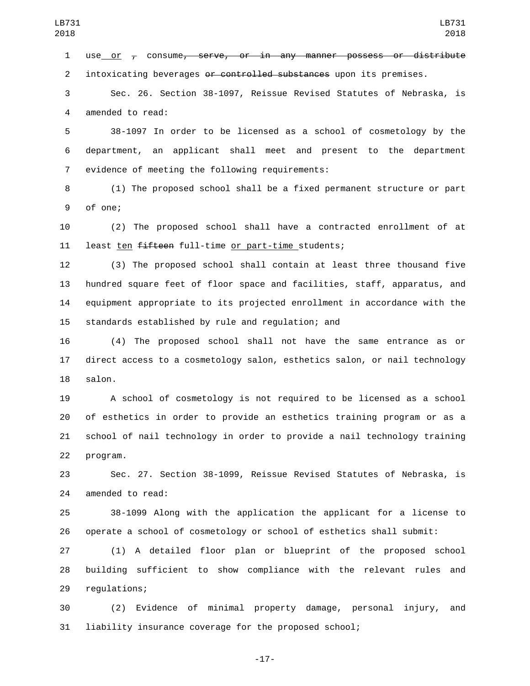1 use or  $<sub>r</sub>$  consume, serve, or in any manner possess or distribute</sub> 2 intoxicating beverages or controlled substances upon its premises.

 Sec. 26. Section 38-1097, Reissue Revised Statutes of Nebraska, is 4 amended to read:

 38-1097 In order to be licensed as a school of cosmetology by the department, an applicant shall meet and present to the department 7 evidence of meeting the following requirements:

 (1) The proposed school shall be a fixed permanent structure or part 9 of one:

 (2) The proposed school shall have a contracted enrollment of at 11 least ten fifteen full-time or part-time students;

 (3) The proposed school shall contain at least three thousand five hundred square feet of floor space and facilities, staff, apparatus, and equipment appropriate to its projected enrollment in accordance with the 15 standards established by rule and regulation; and

 (4) The proposed school shall not have the same entrance as or direct access to a cosmetology salon, esthetics salon, or nail technology 18 salon.

 A school of cosmetology is not required to be licensed as a school of esthetics in order to provide an esthetics training program or as a school of nail technology in order to provide a nail technology training 22 program.

 Sec. 27. Section 38-1099, Reissue Revised Statutes of Nebraska, is 24 amended to read:

 38-1099 Along with the application the applicant for a license to operate a school of cosmetology or school of esthetics shall submit:

 (1) A detailed floor plan or blueprint of the proposed school building sufficient to show compliance with the relevant rules and 29 regulations;

 (2) Evidence of minimal property damage, personal injury, and liability insurance coverage for the proposed school;

-17-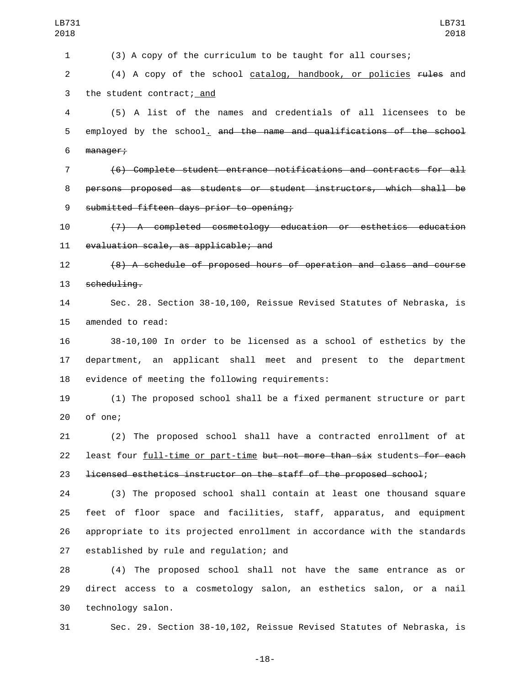1 (3) A copy of the curriculum to be taught for all courses;

2 (4) A copy of the school catalog, handbook, or policies rules and 3 the student contract; and

4 (5) A list of the names and credentials of all licensees to be 5 employed by the school. and the name and qualifications of the school 6 manager;

7 (6) Complete student entrance notifications and contracts for all 8 persons proposed as students or student instructors, which shall be 9 submitted fifteen days prior to opening;

10 (7) A completed cosmetology education or esthetics education 11 evaluation scale, as applicable; and

12 (8) A schedule of proposed hours of operation and class and course 13 scheduling.

14 Sec. 28. Section 38-10,100, Reissue Revised Statutes of Nebraska, is 15 amended to read:

16 38-10,100 In order to be licensed as a school of esthetics by the 17 department, an applicant shall meet and present to the department 18 evidence of meeting the following requirements:

19 (1) The proposed school shall be a fixed permanent structure or part 20 of one;

21 (2) The proposed school shall have a contracted enrollment of at 22 least four full-time or part-time but not more than six students for each 23 licensed esthetics instructor on the staff of the proposed school;

 (3) The proposed school shall contain at least one thousand square feet of floor space and facilities, staff, apparatus, and equipment appropriate to its projected enrollment in accordance with the standards 27 established by rule and regulation; and

28 (4) The proposed school shall not have the same entrance as or 29 direct access to a cosmetology salon, an esthetics salon, or a nail 30 technology salon.

31 Sec. 29. Section 38-10,102, Reissue Revised Statutes of Nebraska, is

-18-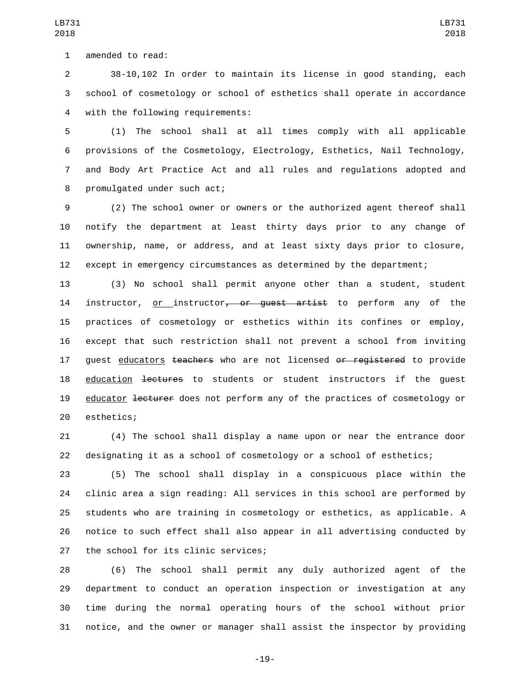1 amended to read:

 38-10,102 In order to maintain its license in good standing, each school of cosmetology or school of esthetics shall operate in accordance 4 with the following requirements:

 (1) The school shall at all times comply with all applicable provisions of the Cosmetology, Electrology, Esthetics, Nail Technology, and Body Art Practice Act and all rules and regulations adopted and 8 promulgated under such act;

 (2) The school owner or owners or the authorized agent thereof shall notify the department at least thirty days prior to any change of ownership, name, or address, and at least sixty days prior to closure, except in emergency circumstances as determined by the department;

 (3) No school shall permit anyone other than a student, student 14 instructor, or instructor<del>, or quest artist</del> to perform any of the practices of cosmetology or esthetics within its confines or employ, except that such restriction shall not prevent a school from inviting 17 quest educators teachers who are not licensed or registered to provide 18 education <del>lectures</del> to students or student instructors if the quest 19 educator lecturer does not perform any of the practices of cosmetology or 20 esthetics;

 (4) The school shall display a name upon or near the entrance door designating it as a school of cosmetology or a school of esthetics;

 (5) The school shall display in a conspicuous place within the clinic area a sign reading: All services in this school are performed by students who are training in cosmetology or esthetics, as applicable. A notice to such effect shall also appear in all advertising conducted by 27 the school for its clinic services;

 (6) The school shall permit any duly authorized agent of the department to conduct an operation inspection or investigation at any time during the normal operating hours of the school without prior notice, and the owner or manager shall assist the inspector by providing

-19-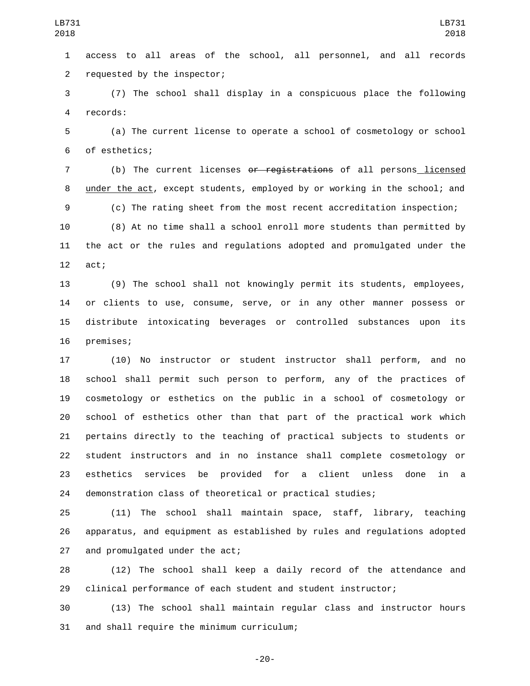access to all areas of the school, all personnel, and all records 2 requested by the inspector;

 (7) The school shall display in a conspicuous place the following 4 records:

 (a) The current license to operate a school of cosmetology or school 6 of esthetics;

 (b) The current licenses or registrations of all persons licensed under the act, except students, employed by or working in the school; and (c) The rating sheet from the most recent accreditation inspection;

 (8) At no time shall a school enroll more students than permitted by the act or the rules and regulations adopted and promulgated under the 12 act;

 (9) The school shall not knowingly permit its students, employees, or clients to use, consume, serve, or in any other manner possess or distribute intoxicating beverages or controlled substances upon its 16 premises;

 (10) No instructor or student instructor shall perform, and no school shall permit such person to perform, any of the practices of cosmetology or esthetics on the public in a school of cosmetology or school of esthetics other than that part of the practical work which pertains directly to the teaching of practical subjects to students or student instructors and in no instance shall complete cosmetology or esthetics services be provided for a client unless done in a demonstration class of theoretical or practical studies;

 (11) The school shall maintain space, staff, library, teaching apparatus, and equipment as established by rules and regulations adopted 27 and promulgated under the act;

 (12) The school shall keep a daily record of the attendance and clinical performance of each student and student instructor;

 (13) The school shall maintain regular class and instructor hours 31 and shall require the minimum curriculum;

-20-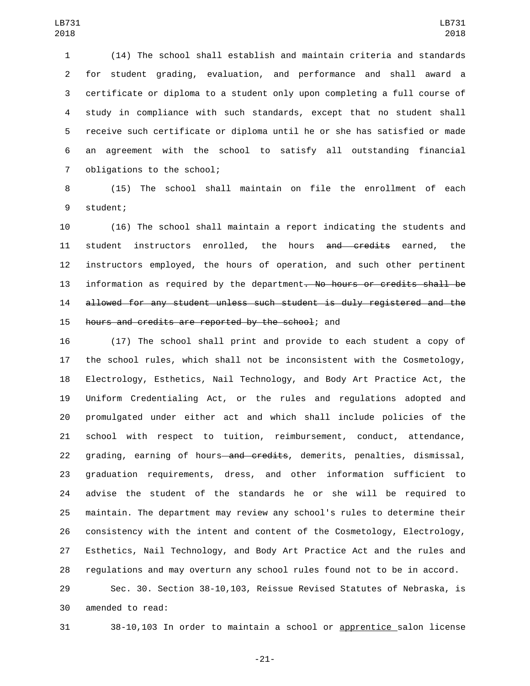(14) The school shall establish and maintain criteria and standards for student grading, evaluation, and performance and shall award a certificate or diploma to a student only upon completing a full course of study in compliance with such standards, except that no student shall receive such certificate or diploma until he or she has satisfied or made an agreement with the school to satisfy all outstanding financial 7 obligations to the school;

 (15) The school shall maintain on file the enrollment of each 9 student;

 (16) The school shall maintain a report indicating the students and 11 student instructors enrolled, the hours and credits earned, the instructors employed, the hours of operation, and such other pertinent 13 information as required by the department. No hours or credits shall be allowed for any student unless such student is duly registered and the 15 hours and credits are reported by the school; and

 (17) The school shall print and provide to each student a copy of the school rules, which shall not be inconsistent with the Cosmetology, Electrology, Esthetics, Nail Technology, and Body Art Practice Act, the Uniform Credentialing Act, or the rules and regulations adopted and promulgated under either act and which shall include policies of the school with respect to tuition, reimbursement, conduct, attendance, 22 grading, earning of hours—and credits, demerits, penalties, dismissal, graduation requirements, dress, and other information sufficient to advise the student of the standards he or she will be required to maintain. The department may review any school's rules to determine their consistency with the intent and content of the Cosmetology, Electrology, Esthetics, Nail Technology, and Body Art Practice Act and the rules and regulations and may overturn any school rules found not to be in accord.

 Sec. 30. Section 38-10,103, Reissue Revised Statutes of Nebraska, is 30 amended to read:

38-10,103 In order to maintain a school or apprentice salon license

-21-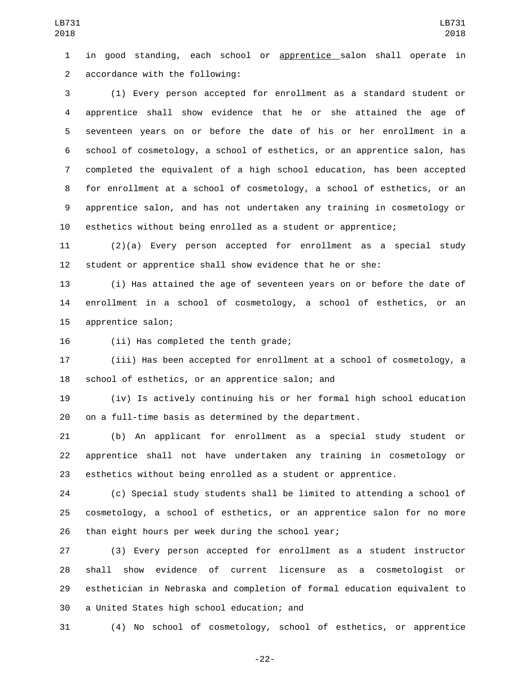in good standing, each school or apprentice salon shall operate in 2 accordance with the following:

 (1) Every person accepted for enrollment as a standard student or apprentice shall show evidence that he or she attained the age of seventeen years on or before the date of his or her enrollment in a school of cosmetology, a school of esthetics, or an apprentice salon, has completed the equivalent of a high school education, has been accepted for enrollment at a school of cosmetology, a school of esthetics, or an apprentice salon, and has not undertaken any training in cosmetology or esthetics without being enrolled as a student or apprentice;

 (2)(a) Every person accepted for enrollment as a special study student or apprentice shall show evidence that he or she:

 (i) Has attained the age of seventeen years on or before the date of enrollment in a school of cosmetology, a school of esthetics, or an 15 apprentice salon;

16 (ii) Has completed the tenth grade;

 (iii) Has been accepted for enrollment at a school of cosmetology, a 18 school of esthetics, or an apprentice salon; and

 (iv) Is actively continuing his or her formal high school education on a full-time basis as determined by the department.

 (b) An applicant for enrollment as a special study student or apprentice shall not have undertaken any training in cosmetology or esthetics without being enrolled as a student or apprentice.

 (c) Special study students shall be limited to attending a school of cosmetology, a school of esthetics, or an apprentice salon for no more 26 than eight hours per week during the school year;

 (3) Every person accepted for enrollment as a student instructor shall show evidence of current licensure as a cosmetologist or esthetician in Nebraska and completion of formal education equivalent to 30 a United States high school education; and

(4) No school of cosmetology, school of esthetics, or apprentice

-22-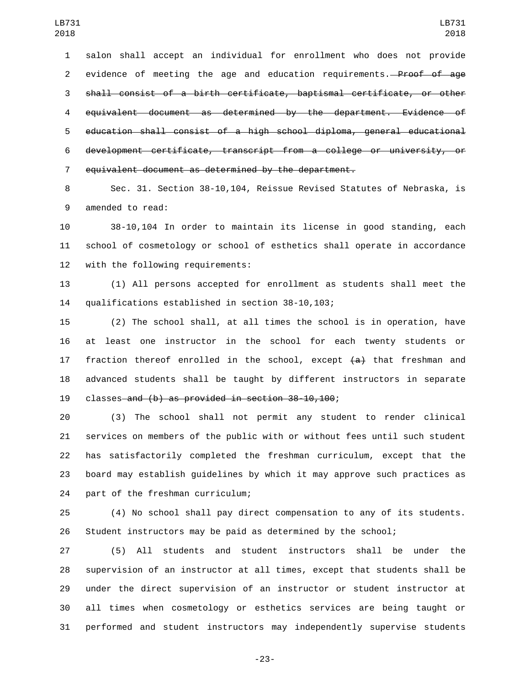salon shall accept an individual for enrollment who does not provide 2 evidence of meeting the age and education requirements.<del> Proof of age</del> shall consist of a birth certificate, baptismal certificate, or other equivalent document as determined by the department. Evidence of education shall consist of a high school diploma, general educational development certificate, transcript from a college or university, or equivalent document as determined by the department.

 Sec. 31. Section 38-10,104, Reissue Revised Statutes of Nebraska, is 9 amended to read:

 38-10,104 In order to maintain its license in good standing, each school of cosmetology or school of esthetics shall operate in accordance 12 with the following requirements:

 (1) All persons accepted for enrollment as students shall meet the 14 qualifications established in section 38-10,103;

 (2) The school shall, at all times the school is in operation, have at least one instructor in the school for each twenty students or 17 fraction thereof enrolled in the school, except  $\{a\}$  that freshman and advanced students shall be taught by different instructors in separate 19 classes and (b) as provided in section 38-10,100;

 (3) The school shall not permit any student to render clinical services on members of the public with or without fees until such student has satisfactorily completed the freshman curriculum, except that the board may establish guidelines by which it may approve such practices as 24 part of the freshman curriculum;

 (4) No school shall pay direct compensation to any of its students. Student instructors may be paid as determined by the school;

 (5) All students and student instructors shall be under the supervision of an instructor at all times, except that students shall be under the direct supervision of an instructor or student instructor at all times when cosmetology or esthetics services are being taught or performed and student instructors may independently supervise students

-23-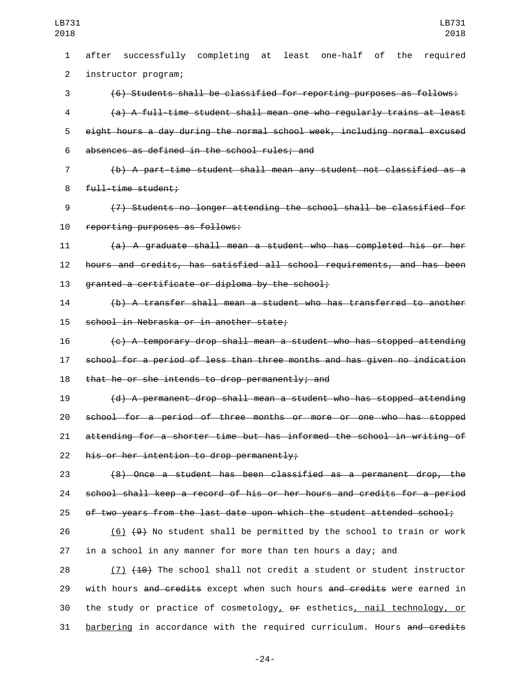after successfully completing at least one-half of the required 2 instructor program; (6) Students shall be classified for reporting purposes as follows: (a) A full-time student shall mean one who regularly trains at least eight hours a day during the normal school week, including normal excused absences as defined in the school rules; and6 (b) A part-time student shall mean any student not classified as a 8 full-time student; (7) Students no longer attending the school shall be classified for 10 reporting purposes as follows: (a) A graduate shall mean a student who has completed his or her hours and credits, has satisfied all school requirements, and has been 13 granted a certificate or diploma by the school; (b) A transfer shall mean a student who has transferred to another 15 school in Nebraska or in another state; (c) A temporary drop shall mean a student who has stopped attending school for a period of less than three months and has given no indication 18 that he or she intends to drop permanently; and (d) A permanent drop shall mean a student who has stopped attending school for a period of three months or more or one who has stopped attending for a shorter time but has informed the school in writing of his or her intention to drop permanently; (8) Once a student has been classified as a permanent drop, the school shall keep a record of his or her hours and credits for a period 25 of two years from the last date upon which the student attended school; 26 (6)  $\left\lbrace 49 \right\rbrace$  No student shall be permitted by the school to train or work in a school in any manner for more than ten hours a day; and 28 (7) (10) The school shall not credit a student or student instructor 29 with hours and credits except when such hours and credits were earned in

30 the study or practice of cosmetology,  $\theta$  esthetics, nail technology, or 31 barbering in accordance with the required curriculum. Hours and credits

-24-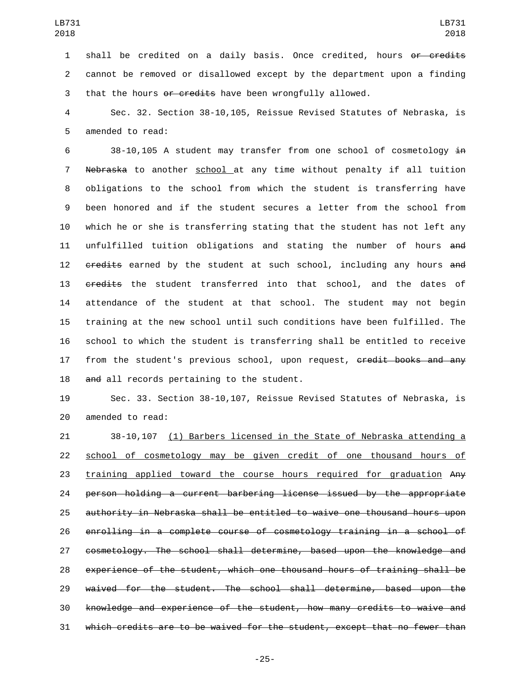1 shall be credited on a daily basis. Once credited, hours or credits cannot be removed or disallowed except by the department upon a finding 3 that the hours or credits have been wrongfully allowed.

 Sec. 32. Section 38-10,105, Reissue Revised Statutes of Nebraska, is 5 amended to read:

 38-10,105 A student may transfer from one school of cosmetology in Nebraska to another school at any time without penalty if all tuition obligations to the school from which the student is transferring have been honored and if the student secures a letter from the school from which he or she is transferring stating that the student has not left any unfulfilled tuition obligations and stating the number of hours and 12 credits earned by the student at such school, including any hours and 13 credits the student transferred into that school, and the dates of attendance of the student at that school. The student may not begin training at the new school until such conditions have been fulfilled. The school to which the student is transferring shall be entitled to receive 17 from the student's previous school, upon request, credit books and any 18 and all records pertaining to the student.

 Sec. 33. Section 38-10,107, Reissue Revised Statutes of Nebraska, is 20 amended to read:

 38-10,107 (1) Barbers licensed in the State of Nebraska attending a school of cosmetology may be given credit of one thousand hours of 23 training applied toward the course hours required for graduation Any person holding a current barbering license issued by the appropriate authority in Nebraska shall be entitled to waive one thousand hours upon enrolling in a complete course of cosmetology training in a school of cosmetology. The school shall determine, based upon the knowledge and experience of the student, which one thousand hours of training shall be waived for the student. The school shall determine, based upon the knowledge and experience of the student, how many credits to waive and which credits are to be waived for the student, except that no fewer than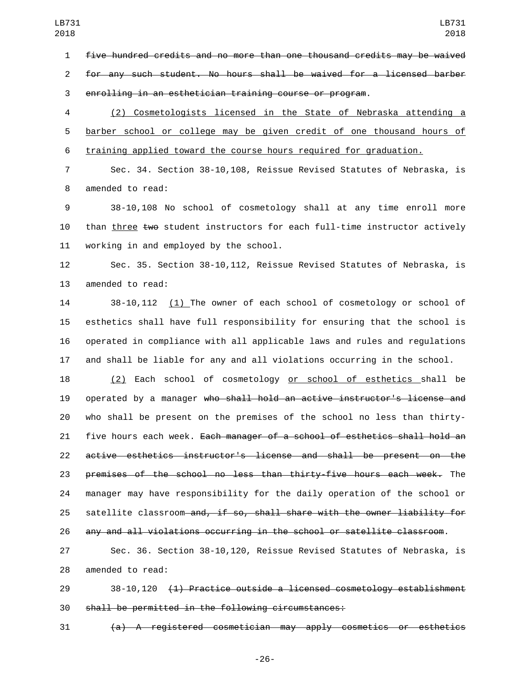five hundred credits and no more than one thousand credits may be waived for any such student. No hours shall be waived for a licensed barber enrolling in an esthetician training course or program.

 (2) Cosmetologists licensed in the State of Nebraska attending a barber school or college may be given credit of one thousand hours of training applied toward the course hours required for graduation.

 Sec. 34. Section 38-10,108, Reissue Revised Statutes of Nebraska, is 8 amended to read:

 38-10,108 No school of cosmetology shall at any time enroll more 10 than three two student instructors for each full-time instructor actively working in and employed by the school.

 Sec. 35. Section 38-10,112, Reissue Revised Statutes of Nebraska, is 13 amended to read:

 38-10,112 (1) The owner of each school of cosmetology or school of esthetics shall have full responsibility for ensuring that the school is operated in compliance with all applicable laws and rules and regulations and shall be liable for any and all violations occurring in the school.

 (2) Each school of cosmetology or school of esthetics shall be 19 operated by a manager who shall hold an active instructor's license and who shall be present on the premises of the school no less than thirty-21 five hours each week. Each manager of a school of esthetics shall hold an active esthetics instructor's license and shall be present on the premises of the school no less than thirty-five hours each week. The manager may have responsibility for the daily operation of the school or 25 satellite classroom and, if so, shall share with the owner liability for any and all violations occurring in the school or satellite classroom.

 Sec. 36. Section 38-10,120, Reissue Revised Statutes of Nebraska, is 28 amended to read:

 38-10,120 (1) Practice outside a licensed cosmetology establishment shall be permitted in the following circumstances:

(a) A registered cosmetician may apply cosmetics or esthetics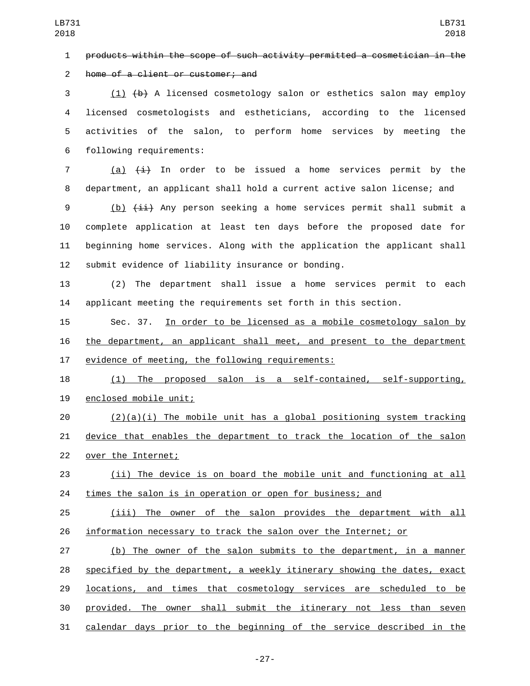products within the scope of such activity permitted a cosmetician in the

2 home of a client or customer; and

 (1) (b) A licensed cosmetology salon or esthetics salon may employ licensed cosmetologists and estheticians, according to the licensed activities of the salon, to perform home services by meeting the following requirements:6

7 (a)  $\overline{4}$  In order to be issued a home services permit by the department, an applicant shall hold a current active salon license; and

9 (b)  $\{\pm i\}$  Any person seeking a home services permit shall submit a complete application at least ten days before the proposed date for beginning home services. Along with the application the applicant shall submit evidence of liability insurance or bonding.

 (2) The department shall issue a home services permit to each applicant meeting the requirements set forth in this section.

 Sec. 37. In order to be licensed as a mobile cosmetology salon by the department, an applicant shall meet, and present to the department 17 evidence of meeting, the following requirements:

 (1) The proposed salon is a self-contained, self-supporting, 19 enclosed mobile unit;

 (2)(a)(i) The mobile unit has a global positioning system tracking device that enables the department to track the location of the salon 22 over the Internet;

 (ii) The device is on board the mobile unit and functioning at all times the salon is in operation or open for business; and

 (iii) The owner of the salon provides the department with all information necessary to track the salon over the Internet; or

 (b) The owner of the salon submits to the department, in a manner 28 specified by the department, a weekly itinerary showing the dates, exact **locations, and times that cosmetology services are scheduled to be**  provided. The owner shall submit the itinerary not less than seven calendar days prior to the beginning of the service described in the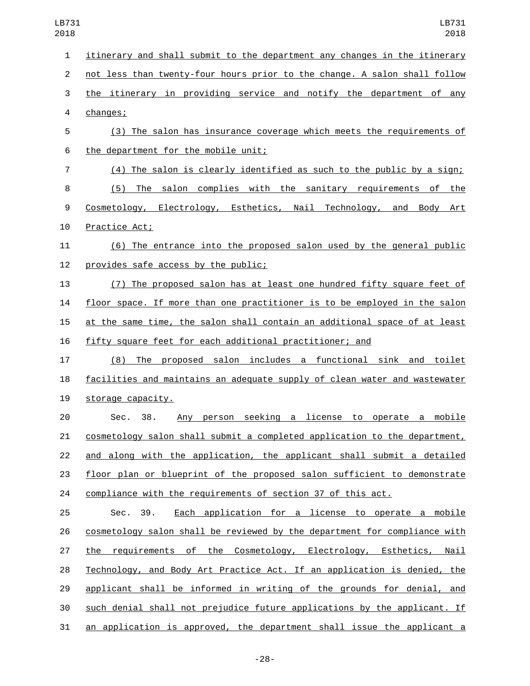| 1              | itinerary and shall submit to the department any changes in the itinerary        |
|----------------|----------------------------------------------------------------------------------|
| $\overline{2}$ | not less than twenty-four hours prior to the change. A salon shall follow        |
| 3              | the itinerary in providing service and notify the department of any              |
| 4              | changes;                                                                         |
| 5              | (3) The salon has insurance coverage which meets the requirements of             |
| 6              | the department for the mobile unit;                                              |
| $\overline{7}$ | (4) The salon is clearly identified as such to the public by a sign;             |
| 8              | (5) The salon complies with the sanitary requirements of the                     |
| 9              | Cosmetology, Electrology, Esthetics, Nail Technology, and Body Art               |
| 10             | Practice Act;                                                                    |
| 11             | (6) The entrance into the proposed salon used by the general public              |
| 12             | provides safe access by the public;                                              |
| 13             | (7) The proposed salon has at least one hundred fifty square feet of             |
| 14             | floor space. If more than one practitioner is to be employed in the salon        |
| 15             | <u>at the same time, the salon shall contain an additional space of at least</u> |
| 16             | fifty square feet for each additional practitioner; and                          |
| 17             | (8) The proposed salon includes a functional sink and toilet                     |
| 18             | <u>facilities and maintains an adequate supply of clean water and wastewater</u> |
| 19             | storage capacity.                                                                |
| 20             | Any person seeking a license to operate a mobile<br>38.<br>Sec.                  |
| 21             | cosmetology salon shall submit a completed application to the department,        |
| 22             | and along with the application, the applicant shall submit a detailed            |
| 23             | floor plan or blueprint of the proposed salon sufficient to demonstrate          |
| 24             | compliance with the requirements of section 37 of this act.                      |
| 25             | Sec. 39.<br>Each application for a license to operate a mobile                   |
| 26             | cosmetology salon shall be reviewed by the department for compliance with        |
| 27             | the requirements of the Cosmetology, Electrology, Esthetics, Nail                |
| 28             | Technology, and Body Art Practice Act. If an application is denied, the          |
| 29             | applicant shall be informed in writing of the grounds for denial, and            |
| 30             | such denial shall not prejudice future applications by the applicant. If         |
| 31             | an application is approved, the department shall issue the applicant a           |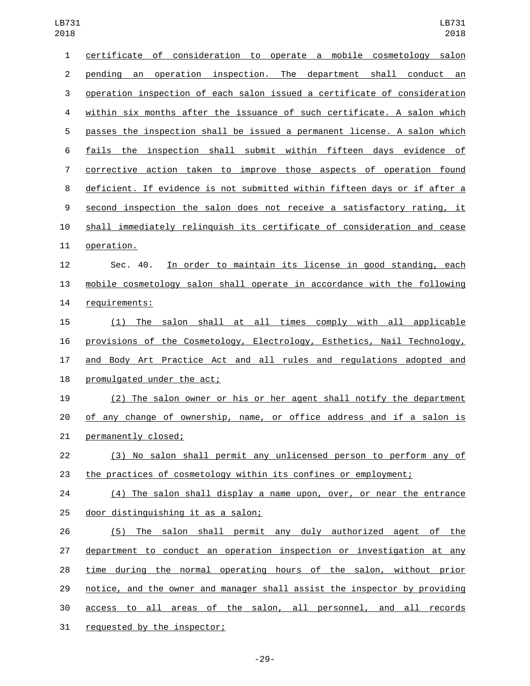| 1              | certificate of consideration to operate a mobile cosmetology salon        |
|----------------|---------------------------------------------------------------------------|
| $\overline{c}$ | operation inspection. The department shall conduct an<br>pending an       |
| 3              | operation inspection of each salon issued a certificate of consideration  |
| 4              | within six months after the issuance of such certificate. A salon which   |
| 5              | passes the inspection shall be issued a permanent license. A salon which  |
| 6              | fails the inspection shall submit within fifteen days evidence of         |
| $\overline{7}$ | corrective action taken to improve those aspects of operation found       |
| 8              | deficient. If evidence is not submitted within fifteen days or if after a |
| 9              | second inspection the salon does not receive a satisfactory rating, it    |
| 10             | shall immediately relinguish its certificate of consideration and cease   |
| 11             | operation.                                                                |
| 12             | In order to maintain its license in good standing, each<br>Sec. 40.       |
| 13             | mobile cosmetology salon shall operate in accordance with the following   |
| 14             | requirements:                                                             |
| 15             | (1) The salon shall at all times comply with all applicable               |
| 16             | provisions of the Cosmetology, Electrology, Esthetics, Nail Technology,   |
| 17             | and Body Art Practice Act and all rules and regulations adopted and       |
| 18             | promulgated under the act;                                                |
| 19             | (2) The salon owner or his or her agent shall notify the department       |
| 20             | of any change of ownership, name, or office address and if a salon is     |
| 21             | permanently closed;                                                       |
| 22             | (3) No salon shall permit any unlicensed person to perform any of         |
| 23             | the practices of cosmetology within its confines or employment;           |
| 24             | (4) The salon shall display a name upon, over, or near the entrance       |
| 25             | door distinguishing it as a salon;                                        |
| 26             | (5) The salon shall permit any duly authorized agent of the               |
| 27             | department to conduct an operation inspection or investigation at any     |
| 28             | time during the normal operating hours of the salon, without prior        |
| 29             | notice, and the owner and manager shall assist the inspector by providing |
| 30             | access to all areas of the salon, all personnel, and all records          |
| 31             | requested by the inspector;                                               |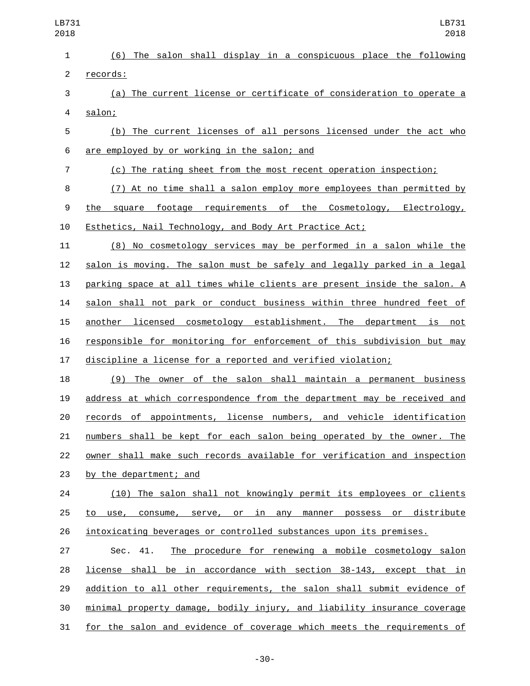| LB731<br>2018  | LB731<br>2018                                                            |
|----------------|--------------------------------------------------------------------------|
| $\mathbf{1}$   | (6) The salon shall display in a conspicuous place the following         |
| 2              | records:                                                                 |
| 3              | (a) The current license or certificate of consideration to operate a     |
| 4              | salon;                                                                   |
| 5              | (b) The current licenses of all persons licensed under the act who       |
| 6              | are employed by or working in the salon; and                             |
| $\overline{7}$ | (c) The rating sheet from the most recent operation inspection;          |
| 8              | (7) At no time shall a salon employ more employees than permitted by     |
| 9              | the square footage requirements of the Cosmetology, Electrology,         |
| 10             | Esthetics, Nail Technology, and Body Art Practice Act;                   |
| 11             | (8) No cosmetology services may be performed in a salon while the        |
| 12             | salon is moving. The salon must be safely and legally parked in a legal  |
| 13             | parking space at all times while clients are present inside the salon. A |
| 14             | salon shall not park or conduct business within three hundred feet of    |
| 15             | another licensed cosmetology establishment. The department is not        |
| 16             | responsible for monitoring for enforcement of this subdivision but may   |
| 17             | discipline a license for a reported and verified violation;              |
| 18             | (9) The owner of the salon shall maintain a permanent business           |
| 19             | address at which correspondence from the department may be received and  |
| 20             | records of appointments, license numbers, and vehicle identification     |
| 21             | numbers shall be kept for each salon being operated by the owner. The    |

 owner shall make such records available for verification and inspection 23 by the department; and

24 (10) The salon shall not knowingly permit its employees or clients to use, consume, serve, or in any manner possess or distribute intoxicating beverages or controlled substances upon its premises.

 Sec. 41. The procedure for renewing a mobile cosmetology salon license shall be in accordance with section 38-143, except that in addition to all other requirements, the salon shall submit evidence of minimal property damage, bodily injury, and liability insurance coverage for the salon and evidence of coverage which meets the requirements of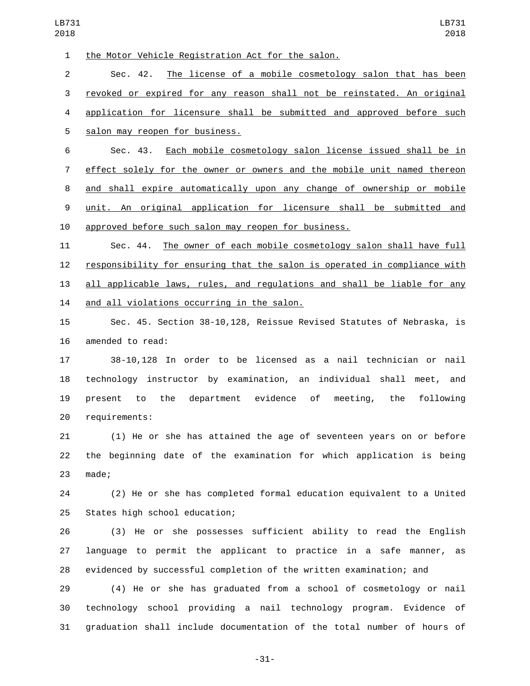1 the Motor Vehicle Registration Act for the salon. Sec. 42. The license of a mobile cosmetology salon that has been revoked or expired for any reason shall not be reinstated. An original application for licensure shall be submitted and approved before such 5 salon may reopen for business.

 Sec. 43. Each mobile cosmetology salon license issued shall be in effect solely for the owner or owners and the mobile unit named thereon and shall expire automatically upon any change of ownership or mobile unit. An original application for licensure shall be submitted and approved before such salon may reopen for business.

 Sec. 44. The owner of each mobile cosmetology salon shall have full responsibility for ensuring that the salon is operated in compliance with all applicable laws, rules, and regulations and shall be liable for any 14 and all violations occurring in the salon.

 Sec. 45. Section 38-10,128, Reissue Revised Statutes of Nebraska, is 16 amended to read:

 38-10,128 In order to be licensed as a nail technician or nail technology instructor by examination, an individual shall meet, and present to the department evidence of meeting, the following 20 requirements:

 (1) He or she has attained the age of seventeen years on or before the beginning date of the examination for which application is being 23 made;

 (2) He or she has completed formal education equivalent to a United 25 States high school education;

 (3) He or she possesses sufficient ability to read the English language to permit the applicant to practice in a safe manner, as evidenced by successful completion of the written examination; and

 (4) He or she has graduated from a school of cosmetology or nail technology school providing a nail technology program. Evidence of graduation shall include documentation of the total number of hours of

-31-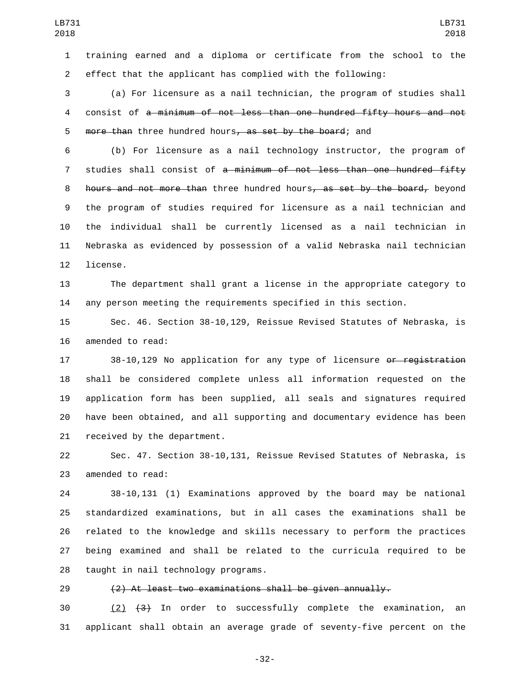training earned and a diploma or certificate from the school to the effect that the applicant has complied with the following:

 (a) For licensure as a nail technician, the program of studies shall consist of a minimum of not less than one hundred fifty hours and not 5 more than three hundred hours, as set by the board; and

 (b) For licensure as a nail technology instructor, the program of 7 studies shall consist of a minimum of not less than one hundred fifty 8 hours and not more than three hundred hours, as set by the board, beyond the program of studies required for licensure as a nail technician and the individual shall be currently licensed as a nail technician in Nebraska as evidenced by possession of a valid Nebraska nail technician 12 license.

 The department shall grant a license in the appropriate category to any person meeting the requirements specified in this section.

 Sec. 46. Section 38-10,129, Reissue Revised Statutes of Nebraska, is 16 amended to read:

17 38-10,129 No application for any type of licensure or registration shall be considered complete unless all information requested on the application form has been supplied, all seals and signatures required have been obtained, and all supporting and documentary evidence has been 21 received by the department.

 Sec. 47. Section 38-10,131, Reissue Revised Statutes of Nebraska, is 23 amended to read:

 38-10,131 (1) Examinations approved by the board may be national standardized examinations, but in all cases the examinations shall be related to the knowledge and skills necessary to perform the practices being examined and shall be related to the curricula required to be 28 taught in nail technology programs.

## (2) At least two examinations shall be given annually.

 $(2)$   $(3)$  In order to successfully complete the examination, an applicant shall obtain an average grade of seventy-five percent on the

-32-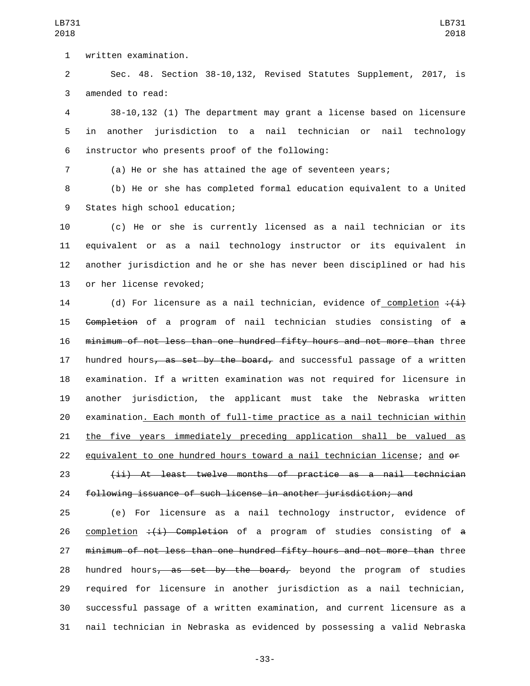written examination.1

 Sec. 48. Section 38-10,132, Revised Statutes Supplement, 2017, is 3 amended to read:

 38-10,132 (1) The department may grant a license based on licensure in another jurisdiction to a nail technician or nail technology instructor who presents proof of the following:6

(a) He or she has attained the age of seventeen years;

 (b) He or she has completed formal education equivalent to a United 9 States high school education;

 (c) He or she is currently licensed as a nail technician or its equivalent or as a nail technology instructor or its equivalent in another jurisdiction and he or she has never been disciplined or had his 13 or her license revoked;

14 (d) For licensure as a nail technician, evidence of completion  $\div(\pm)$  Completion of a program of nail technician studies consisting of a minimum of not less than one hundred fifty hours and not more than three 17 hundred hours<del>, as set by the board,</del> and successful passage of a written examination. If a written examination was not required for licensure in another jurisdiction, the applicant must take the Nebraska written examination. Each month of full-time practice as a nail technician within the five years immediately preceding application shall be valued as equivalent to one hundred hours toward a nail technician license; and or (ii) At least twelve months of practice as a nail technician following issuance of such license in another jurisdiction; and

 (e) For licensure as a nail technology instructor, evidence of 26 completion  $\div$ ( $\pm$ ) Completion of a program of studies consisting of a 27 minimum of not less than one hundred fifty hours and not more than three 28 hundred hours<del>, as set by the board,</del> beyond the program of studies required for licensure in another jurisdiction as a nail technician, successful passage of a written examination, and current licensure as a nail technician in Nebraska as evidenced by possessing a valid Nebraska

LB731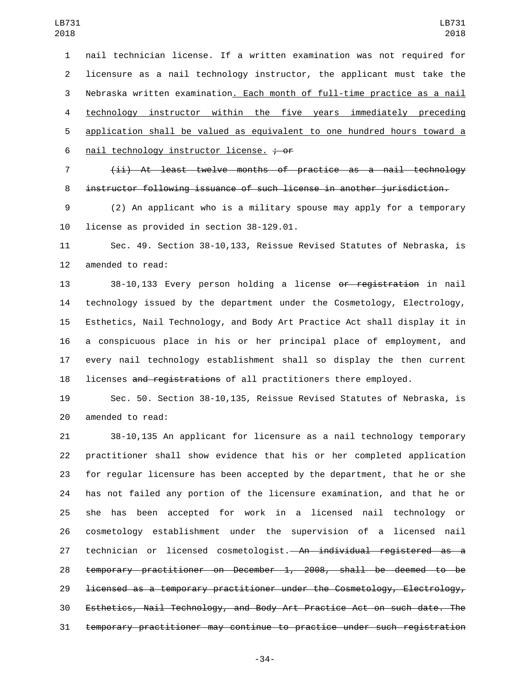nail technician license. If a written examination was not required for licensure as a nail technology instructor, the applicant must take the Nebraska written examination. Each month of full-time practice as a nail technology instructor within the five years immediately preceding application shall be valued as equivalent to one hundred hours toward a 6 nail technology instructor license.  $\div$  or

 (ii) At least twelve months of practice as a nail technology instructor following issuance of such license in another jurisdiction.

 (2) An applicant who is a military spouse may apply for a temporary 10 license as provided in section 38-129.01.

 Sec. 49. Section 38-10,133, Reissue Revised Statutes of Nebraska, is 12 amended to read:

 38-10,133 Every person holding a license or registration in nail technology issued by the department under the Cosmetology, Electrology, Esthetics, Nail Technology, and Body Art Practice Act shall display it in a conspicuous place in his or her principal place of employment, and every nail technology establishment shall so display the then current 18 licenses and registrations of all practitioners there employed.

 Sec. 50. Section 38-10,135, Reissue Revised Statutes of Nebraska, is 20 amended to read:

 38-10,135 An applicant for licensure as a nail technology temporary practitioner shall show evidence that his or her completed application for regular licensure has been accepted by the department, that he or she has not failed any portion of the licensure examination, and that he or she has been accepted for work in a licensed nail technology or cosmetology establishment under the supervision of a licensed nail 27 technician or licensed cosmetologist. An individual registered as a temporary practitioner on December 1, 2008, shall be deemed to be licensed as a temporary practitioner under the Cosmetology, Electrology, Esthetics, Nail Technology, and Body Art Practice Act on such date. The temporary practitioner may continue to practice under such registration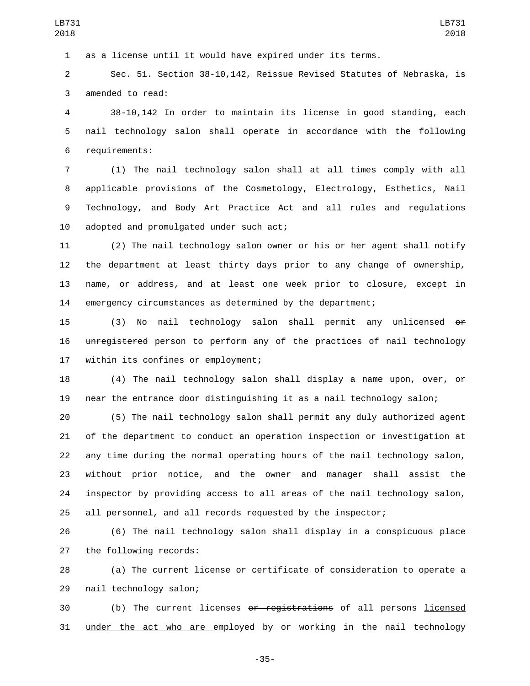as a license until it would have expired under its terms.

 Sec. 51. Section 38-10,142, Reissue Revised Statutes of Nebraska, is 3 amended to read:

 38-10,142 In order to maintain its license in good standing, each nail technology salon shall operate in accordance with the following 6 requirements:

 (1) The nail technology salon shall at all times comply with all applicable provisions of the Cosmetology, Electrology, Esthetics, Nail Technology, and Body Art Practice Act and all rules and regulations 10 adopted and promulgated under such act;

 (2) The nail technology salon owner or his or her agent shall notify the department at least thirty days prior to any change of ownership, name, or address, and at least one week prior to closure, except in emergency circumstances as determined by the department;

 (3) No nail technology salon shall permit any unlicensed or 16 unregistered person to perform any of the practices of nail technology 17 within its confines or employment;

 (4) The nail technology salon shall display a name upon, over, or near the entrance door distinguishing it as a nail technology salon;

 (5) The nail technology salon shall permit any duly authorized agent of the department to conduct an operation inspection or investigation at any time during the normal operating hours of the nail technology salon, without prior notice, and the owner and manager shall assist the inspector by providing access to all areas of the nail technology salon, all personnel, and all records requested by the inspector;

 (6) The nail technology salon shall display in a conspicuous place 27 the following records:

 (a) The current license or certificate of consideration to operate a 29 nail technology salon;

 (b) The current licenses or registrations of all persons licensed 31 under the act who are employed by or working in the nail technology

-35-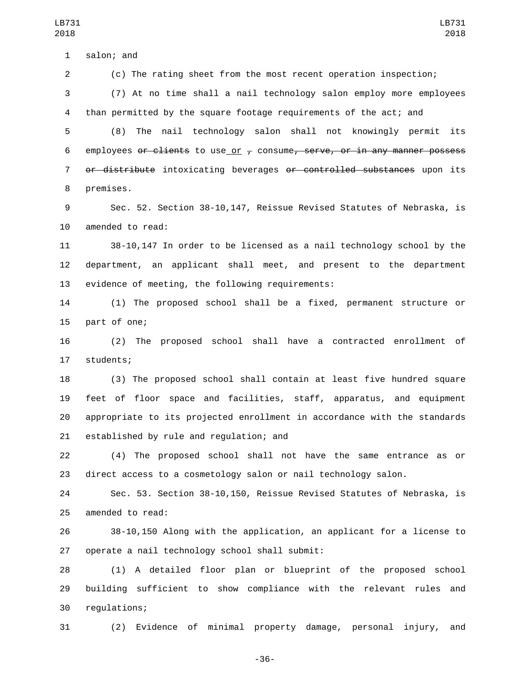(c) The rating sheet from the most recent operation inspection;

 (7) At no time shall a nail technology salon employ more employees than permitted by the square footage requirements of the act; and

LB731 

 (8) The nail technology salon shall not knowingly permit its 6 employees or clients to use or  $\tau$  consume, serve, or in any manner possess or distribute intoxicating beverages or controlled substances upon its 8 premises.

 Sec. 52. Section 38-10,147, Reissue Revised Statutes of Nebraska, is 10 amended to read:

 38-10,147 In order to be licensed as a nail technology school by the department, an applicant shall meet, and present to the department 13 evidence of meeting, the following requirements:

 (1) The proposed school shall be a fixed, permanent structure or 15 part of one;

 (2) The proposed school shall have a contracted enrollment of 17 students;

 (3) The proposed school shall contain at least five hundred square feet of floor space and facilities, staff, apparatus, and equipment appropriate to its projected enrollment in accordance with the standards 21 established by rule and regulation; and

 (4) The proposed school shall not have the same entrance as or direct access to a cosmetology salon or nail technology salon.

 Sec. 53. Section 38-10,150, Reissue Revised Statutes of Nebraska, is 25 amended to read:

 38-10,150 Along with the application, an applicant for a license to 27 operate a nail technology school shall submit:

 (1) A detailed floor plan or blueprint of the proposed school building sufficient to show compliance with the relevant rules and 30 regulations;

(2) Evidence of minimal property damage, personal injury, and

-36-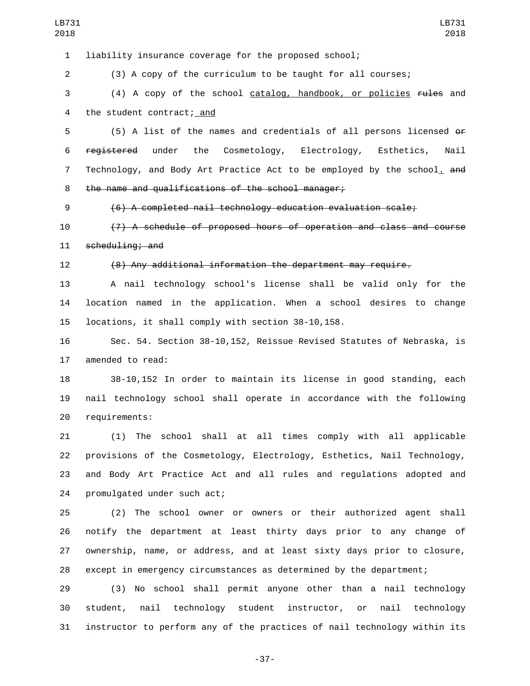| LB731<br>2018  | LB731<br>2018                                                            |
|----------------|--------------------------------------------------------------------------|
| $\mathbf{1}$   | liability insurance coverage for the proposed school;                    |
| $\overline{2}$ | (3) A copy of the curriculum to be taught for all courses;               |
| 3              | (4) A copy of the school catalog, handbook, or policies rules and        |
| 4              | the student contract; and                                                |
| 5              | (5) A list of the names and credentials of all persons licensed or       |
| 6              | registered under<br>the<br>Cosmetology, Electrology, Esthetics,<br>Nail  |
| $\overline{7}$ | Technology, and Body Art Practice Act to be employed by the school, and  |
| 8              | the name and qualifications of the school manager;                       |
| 9              | $(6)$ A completed nail technology education evaluation scale;            |
| 10             | (7) A schedule of proposed hours of operation and class and course       |
| 11             | $\frac{1}{2}$ scheduling; and                                            |
| 12             | (8) Any additional information the department may require.               |
| 13             | A nail technology school's license shall be valid only for the           |
| 14             | location named in the application. When a school desires to change       |
| 15             | locations, it shall comply with section 38-10,158.                       |
| 16             | Sec. 54. Section 38-10,152, Reissue Revised Statutes of Nebraska, is     |
| 17             | amended to read:                                                         |
| 18             | 38-10,152 In order to maintain its license in good standing, each        |
| 19             | nail technology school shall operate in accordance with the following    |
| 20             | requirements:                                                            |
| 21             | (1) The school shall at all times comply with all applicable             |
| 22             | provisions of the Cosmetology, Electrology, Esthetics, Nail Technology,  |
| 23             | and Body Art Practice Act and all rules and regulations adopted and      |
| 24             | promulgated under such act;                                              |
| 25             | (2) The school owner or owners or their authorized agent shall           |
| 26             | notify the department at least thirty days prior to any change of        |
| 27             | ownership, name, or address, and at least sixty days prior to closure,   |
| 28             | except in emergency circumstances as determined by the department;       |
| 29             | (3) No school shall permit anyone other than a nail technology           |
| 30             | student, nail technology student instructor, or nail technology          |
| 31             | instructor to perform any of the practices of nail technology within its |

-37-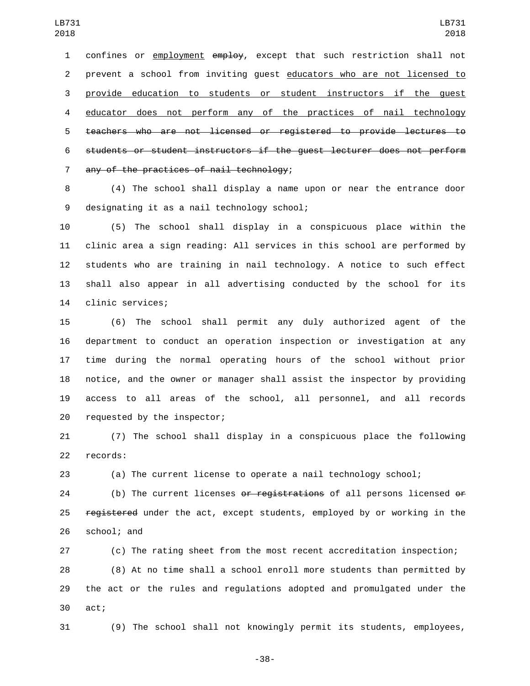confines or employment employ, except that such restriction shall not prevent a school from inviting guest educators who are not licensed to provide education to students or student instructors if the guest educator does not perform any of the practices of nail technology teachers who are not licensed or registered to provide lectures to students or student instructors if the guest lecturer does not perform 7 any of the practices of nail technology;

 (4) The school shall display a name upon or near the entrance door 9 designating it as a nail technology school;

 (5) The school shall display in a conspicuous place within the clinic area a sign reading: All services in this school are performed by students who are training in nail technology. A notice to such effect shall also appear in all advertising conducted by the school for its 14 clinic services;

 (6) The school shall permit any duly authorized agent of the department to conduct an operation inspection or investigation at any time during the normal operating hours of the school without prior notice, and the owner or manager shall assist the inspector by providing access to all areas of the school, all personnel, and all records 20 requested by the inspector;

 (7) The school shall display in a conspicuous place the following 22 records:

(a) The current license to operate a nail technology school;

24 (b) The current licenses or registrations of all persons licensed or 25 registered under the act, except students, employed by or working in the 26 school; and

 (c) The rating sheet from the most recent accreditation inspection; (8) At no time shall a school enroll more students than permitted by the act or the rules and regulations adopted and promulgated under the 30 act;

(9) The school shall not knowingly permit its students, employees,

-38-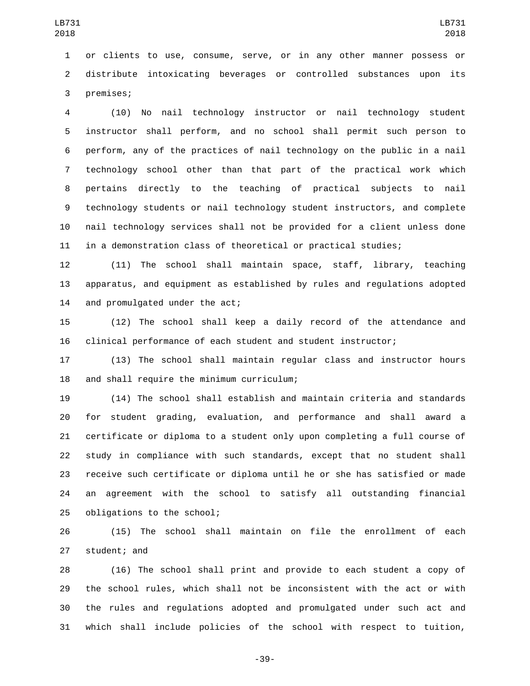or clients to use, consume, serve, or in any other manner possess or distribute intoxicating beverages or controlled substances upon its 3 premises;

 (10) No nail technology instructor or nail technology student instructor shall perform, and no school shall permit such person to perform, any of the practices of nail technology on the public in a nail technology school other than that part of the practical work which pertains directly to the teaching of practical subjects to nail technology students or nail technology student instructors, and complete nail technology services shall not be provided for a client unless done in a demonstration class of theoretical or practical studies;

 (11) The school shall maintain space, staff, library, teaching apparatus, and equipment as established by rules and regulations adopted 14 and promulgated under the act;

 (12) The school shall keep a daily record of the attendance and clinical performance of each student and student instructor;

 (13) The school shall maintain regular class and instructor hours 18 and shall require the minimum curriculum;

 (14) The school shall establish and maintain criteria and standards for student grading, evaluation, and performance and shall award a certificate or diploma to a student only upon completing a full course of study in compliance with such standards, except that no student shall receive such certificate or diploma until he or she has satisfied or made an agreement with the school to satisfy all outstanding financial 25 obligations to the school;

 (15) The school shall maintain on file the enrollment of each 27 student; and

 (16) The school shall print and provide to each student a copy of the school rules, which shall not be inconsistent with the act or with the rules and regulations adopted and promulgated under such act and which shall include policies of the school with respect to tuition,

-39-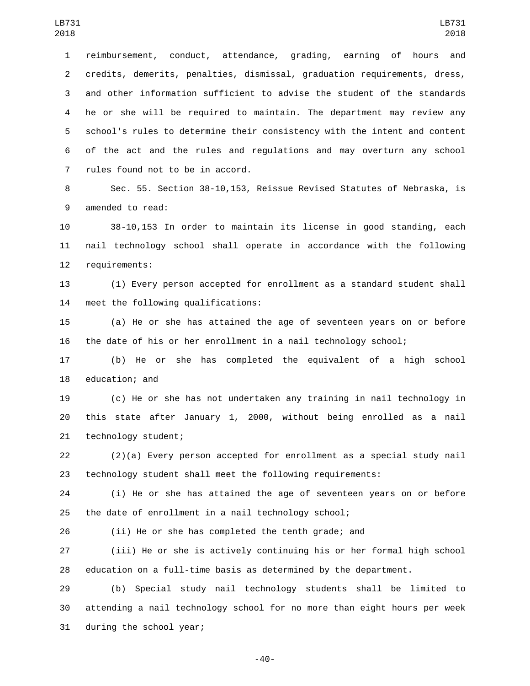reimbursement, conduct, attendance, grading, earning of hours and credits, demerits, penalties, dismissal, graduation requirements, dress, and other information sufficient to advise the student of the standards he or she will be required to maintain. The department may review any school's rules to determine their consistency with the intent and content of the act and the rules and regulations and may overturn any school 7 rules found not to be in accord.

 Sec. 55. Section 38-10,153, Reissue Revised Statutes of Nebraska, is 9 amended to read:

 38-10,153 In order to maintain its license in good standing, each nail technology school shall operate in accordance with the following 12 requirements:

 (1) Every person accepted for enrollment as a standard student shall 14 meet the following qualifications:

 (a) He or she has attained the age of seventeen years on or before the date of his or her enrollment in a nail technology school;

 (b) He or she has completed the equivalent of a high school 18 education; and

 (c) He or she has not undertaken any training in nail technology in this state after January 1, 2000, without being enrolled as a nail 21 technology student;

 (2)(a) Every person accepted for enrollment as a special study nail technology student shall meet the following requirements:

 (i) He or she has attained the age of seventeen years on or before the date of enrollment in a nail technology school;

(ii) He or she has completed the tenth grade; and

 (iii) He or she is actively continuing his or her formal high school education on a full-time basis as determined by the department.

 (b) Special study nail technology students shall be limited to attending a nail technology school for no more than eight hours per week 31 during the school year;

-40-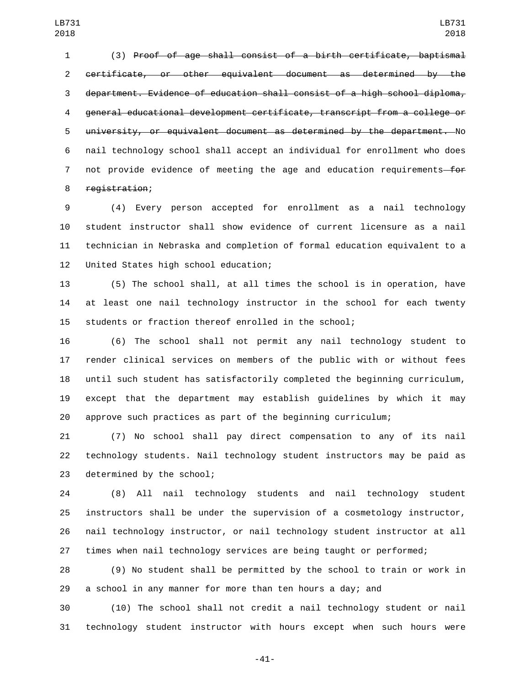(3) Proof of age shall consist of a birth certificate, baptismal certificate, or other equivalent document as determined by the department. Evidence of education shall consist of a high school diploma, general educational development certificate, transcript from a college or university, or equivalent document as determined by the department. No nail technology school shall accept an individual for enrollment who does 7 not provide evidence of meeting the age and education requirements—for 8 registration;

 (4) Every person accepted for enrollment as a nail technology student instructor shall show evidence of current licensure as a nail technician in Nebraska and completion of formal education equivalent to a 12 United States high school education;

 (5) The school shall, at all times the school is in operation, have at least one nail technology instructor in the school for each twenty students or fraction thereof enrolled in the school;

 (6) The school shall not permit any nail technology student to render clinical services on members of the public with or without fees until such student has satisfactorily completed the beginning curriculum, except that the department may establish guidelines by which it may approve such practices as part of the beginning curriculum;

 (7) No school shall pay direct compensation to any of its nail technology students. Nail technology student instructors may be paid as 23 determined by the school;

 (8) All nail technology students and nail technology student instructors shall be under the supervision of a cosmetology instructor, nail technology instructor, or nail technology student instructor at all times when nail technology services are being taught or performed;

 (9) No student shall be permitted by the school to train or work in a school in any manner for more than ten hours a day; and

 (10) The school shall not credit a nail technology student or nail technology student instructor with hours except when such hours were

-41-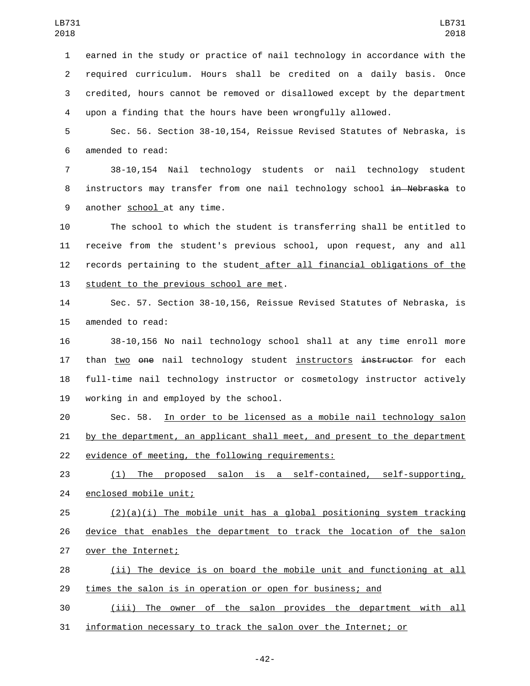earned in the study or practice of nail technology in accordance with the required curriculum. Hours shall be credited on a daily basis. Once credited, hours cannot be removed or disallowed except by the department upon a finding that the hours have been wrongfully allowed.

5 Sec. 56. Section 38-10,154, Reissue Revised Statutes of Nebraska, is 6 amended to read:

7 38-10,154 Nail technology students or nail technology student 8 instructors may transfer from one nail technology school in Nebraska to 9 another school at any time.

 The school to which the student is transferring shall be entitled to receive from the student's previous school, upon request, any and all records pertaining to the student after all financial obligations of the 13 student to the previous school are met.

14 Sec. 57. Section 38-10,156, Reissue Revised Statutes of Nebraska, is 15 amended to read:

16 38-10,156 No nail technology school shall at any time enroll more 17 than two one nail technology student instructors instructor for each 18 full-time nail technology instructor or cosmetology instructor actively 19 working in and employed by the school.

20 Sec. 58. In order to be licensed as a mobile nail technology salon 21 by the department, an applicant shall meet, and present to the department 22 evidence of meeting, the following requirements:

23 (1) The proposed salon is a self-contained, self-supporting, 24 enclosed mobile unit;

 $(2)(a)(i)$  The mobile unit has a global positioning system tracking 26 device that enables the department to track the location of the salon 27 over the Internet;

28 (ii) The device is on board the mobile unit and functioning at all 29 times the salon is in operation or open for business; and

30 (iii) The owner of the salon provides the department with all 31 information necessary to track the salon over the Internet; or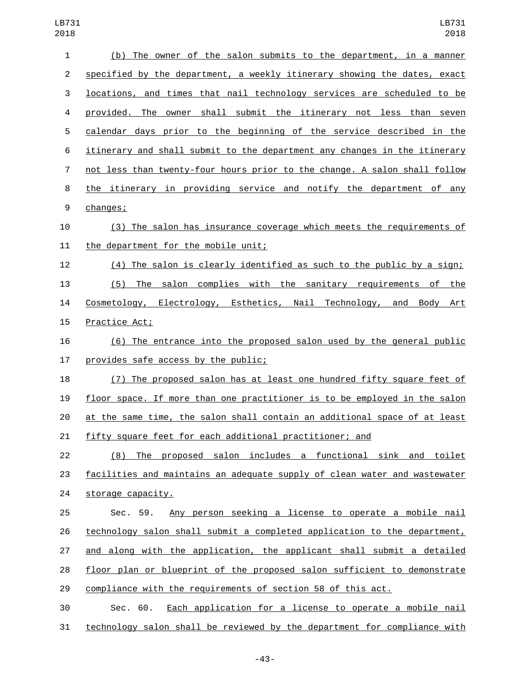| $\mathbf{1}$            | (b) The owner of the salon submits to the department, in a manner         |
|-------------------------|---------------------------------------------------------------------------|
| $\overline{2}$          | specified by the department, a weekly itinerary showing the dates, exact  |
| 3                       | locations, and times that nail technology services are scheduled to be    |
| $\overline{\mathbf{4}}$ | provided. The owner shall submit the itinerary not less than seven        |
| 5                       | calendar days prior to the beginning of the service described in the      |
| 6                       | itinerary and shall submit to the department any changes in the itinerary |
| $\overline{7}$          | not less than twenty-four hours prior to the change. A salon shall follow |
| 8                       | the itinerary in providing service and notify the department of any       |
| 9                       | changes;                                                                  |
| 10                      | (3) The salon has insurance coverage which meets the requirements of      |
| 11                      | the department for the mobile unit;                                       |
| 12                      | (4) The salon is clearly identified as such to the public by a sign;      |
| 13                      | (5) The salon complies with the sanitary requirements of the              |
| 14                      | Cosmetology, Electrology, Esthetics, Nail Technology, and Body Art        |
| 15                      | Practice Act;                                                             |
| 16                      | (6) The entrance into the proposed salon used by the general public       |
| 17                      | provides safe access by the public;                                       |
| 18                      | (7) The proposed salon has at least one hundred fifty square feet of      |
| 19                      | floor space. If more than one practitioner is to be employed in the salon |
| 20                      | at the same time, the salon shall contain an additional space of at least |
| 21                      | fifty square feet for each additional practitioner; and                   |
| 22                      | (8) The proposed salon includes a functional sink and toilet              |
| 23                      | facilities and maintains an adequate supply of clean water and wastewater |
| 24                      | storage capacity.                                                         |
| 25                      | Any person seeking a license to operate a mobile nail<br>Sec. 59.         |
| 26                      | technology salon shall submit a completed application to the department,  |
| 27                      | and along with the application, the applicant shall submit a detailed     |
| 28                      | floor plan or blueprint of the proposed salon sufficient to demonstrate   |
| 29                      | compliance with the requirements of section 58 of this act.               |
| 30                      | Each application for a license to operate a mobile nail<br>Sec. 60.       |
| 31                      | technology salon shall be reviewed by the department for compliance with  |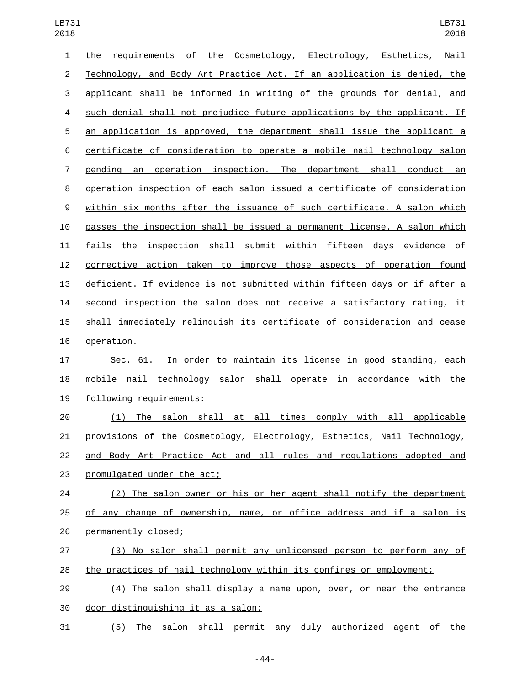| $\mathbf{1}$   | the requirements of the Cosmetology, Electrology, Esthetics, Nail         |
|----------------|---------------------------------------------------------------------------|
| $\overline{c}$ | Technology, and Body Art Practice Act. If an application is denied, the   |
| 3              | applicant shall be informed in writing of the grounds for denial, and     |
| 4              | such denial shall not prejudice future applications by the applicant. If  |
| 5              | an application is approved, the department shall issue the applicant a    |
| 6              | certificate of consideration to operate a mobile nail technology salon    |
| $\overline{7}$ | pending an operation inspection. The department shall conduct an          |
| 8              | operation inspection of each salon issued a certificate of consideration  |
| 9              | within six months after the issuance of such certificate. A salon which   |
| 10             | passes the inspection shall be issued a permanent license. A salon which  |
| 11             | fails the inspection shall submit within fifteen days evidence of         |
| 12             | corrective action taken to improve those aspects of operation found       |
| 13             | deficient. If evidence is not submitted within fifteen days or if after a |
| 14             | second inspection the salon does not receive a satisfactory rating, it    |
| 15             | shall immediately relinguish its certificate of consideration and cease   |
| 16             | operation.                                                                |
| 17             | In order to maintain its license in good standing, each<br>Sec. 61.       |
| 18             | mobile nail technology salon shall operate in accordance with the         |
| 19             | following requirements:                                                   |
| 20             | The salon shall at all times comply with all applicable<br>(1)            |
| 21             | provisions of the Cosmetology, Electrology, Esthetics, Nail Technology,   |
| 22             | and Body Art Practice Act and all rules and regulations adopted and       |
| 23             | promulgated under the act;                                                |
| 24             | (2) The salon owner or his or her agent shall notify the department       |
| 25             | of any change of ownership, name, or office address and if a salon is     |
| 26             | permanently closed;                                                       |
| 27             | (3) No salon shall permit any unlicensed person to perform any of         |
| 28             | the practices of nail technology within its confines or employment;       |
| 29             | (4) The salon shall display a name upon, over, or near the entrance       |
| 30             | door distinguishing it as a salon;                                        |
| 31             | The salon shall permit any duly authorized agent of the<br>(5)            |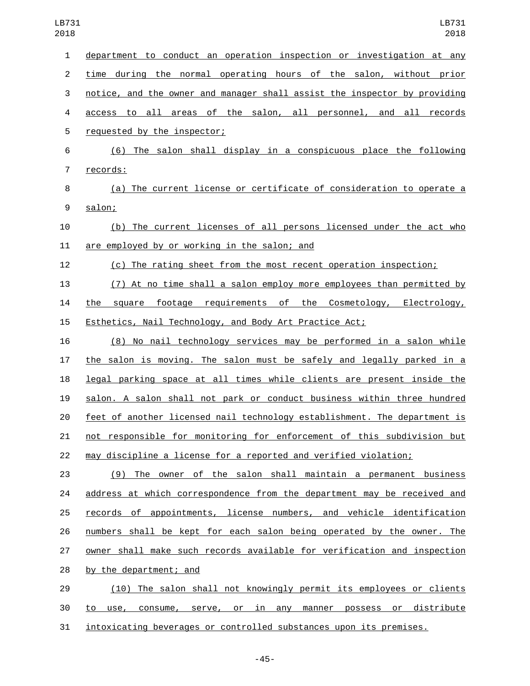| $\mathbf{1}$   | department to conduct an operation inspection or investigation at any     |
|----------------|---------------------------------------------------------------------------|
| $\overline{2}$ | time during the normal operating hours of the salon, without prior        |
| 3              | notice, and the owner and manager shall assist the inspector by providing |
| 4              | access to all areas of the salon, all personnel, and all records          |
| 5              | requested by the inspector;                                               |
| 6              | (6) The salon shall display in a conspicuous place the following          |
| $\overline{7}$ | records:                                                                  |
| 8              | (a) The current license or certificate of consideration to operate a      |
| 9              | salon;                                                                    |
| 10             | (b) The current licenses of all persons licensed under the act who        |
| 11             | are employed by or working in the salon; and                              |
| 12             | (c) The rating sheet from the most recent operation inspection;           |
| 13             | (7) At no time shall a salon employ more employees than permitted by      |
| 14             | the square footage requirements of the Cosmetology, Electrology,          |
| 15             | Esthetics, Nail Technology, and Body Art Practice Act;                    |
| 16             | (8) No nail technology services may be performed in a salon while         |
| 17             | the salon is moving. The salon must be safely and legally parked in a     |
| 18             | legal parking space at all times while clients are present inside the     |
| 19             | salon. A salon shall not park or conduct business within three hundred    |
| 20             | feet of another licensed nail technology establishment. The department is |
| 21             | not responsible for monitoring for enforcement of this subdivision but    |
| 22             | may discipline a license for a reported and verified violation;           |
| 23             | (9) The owner of the salon shall maintain a permanent business            |
| 24             | address at which correspondence from the department may be received and   |
| 25             | records of appointments, license numbers, and vehicle identification      |
| 26             | numbers shall be kept for each salon being operated by the owner. The     |
| 27             | owner shall make such records available for verification and inspection   |
| 28             | by the department; and                                                    |
| 29             | (10) The salon shall not knowingly permit its employees or clients        |
| 30             | to use, consume, serve, or in any manner possess or distribute            |
| 31             | intoxicating beverages or controlled substances upon its premises.        |

-45-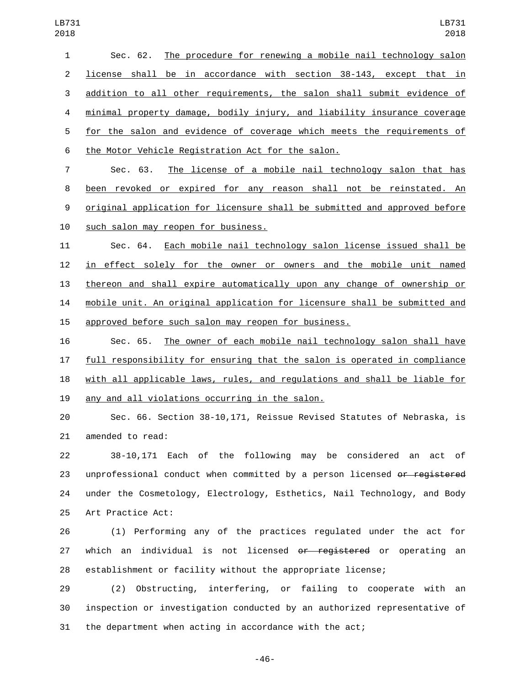Sec. 62. The procedure for renewing a mobile nail technology salon license shall be in accordance with section 38-143, except that in addition to all other requirements, the salon shall submit evidence of minimal property damage, bodily injury, and liability insurance coverage for the salon and evidence of coverage which meets the requirements of 6 the Motor Vehicle Registration Act for the salon.

 Sec. 63. The license of a mobile nail technology salon that has been revoked or expired for any reason shall not be reinstated. An original application for licensure shall be submitted and approved before 10 such salon may reopen for business.

 Sec. 64. Each mobile nail technology salon license issued shall be in effect solely for the owner or owners and the mobile unit named thereon and shall expire automatically upon any change of ownership or mobile unit. An original application for licensure shall be submitted and approved before such salon may reopen for business.

 Sec. 65. The owner of each mobile nail technology salon shall have full responsibility for ensuring that the salon is operated in compliance with all applicable laws, rules, and regulations and shall be liable for 19 any and all violations occurring in the salon.

 Sec. 66. Section 38-10,171, Reissue Revised Statutes of Nebraska, is 21 amended to read:

 38-10,171 Each of the following may be considered an act of 23 unprofessional conduct when committed by a person licensed or registered under the Cosmetology, Electrology, Esthetics, Nail Technology, and Body 25 Art Practice Act:

 (1) Performing any of the practices regulated under the act for 27 which an individual is not licensed or registered or operating an establishment or facility without the appropriate license;

 (2) Obstructing, interfering, or failing to cooperate with an inspection or investigation conducted by an authorized representative of the department when acting in accordance with the act;

-46-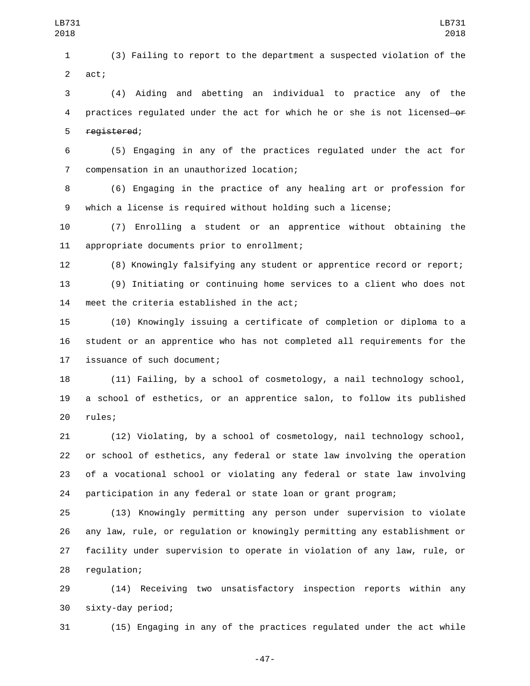(3) Failing to report to the department a suspected violation of the 2 act;

 (4) Aiding and abetting an individual to practice any of the 4 practices regulated under the act for which he or she is not licensed of 5 registered;

 (5) Engaging in any of the practices regulated under the act for compensation in an unauthorized location;7

 (6) Engaging in the practice of any healing art or profession for which a license is required without holding such a license;

 (7) Enrolling a student or an apprentice without obtaining the 11 appropriate documents prior to enrollment;

(8) Knowingly falsifying any student or apprentice record or report;

 (9) Initiating or continuing home services to a client who does not 14 meet the criteria established in the act;

 (10) Knowingly issuing a certificate of completion or diploma to a student or an apprentice who has not completed all requirements for the 17 issuance of such document;

 (11) Failing, by a school of cosmetology, a nail technology school, a school of esthetics, or an apprentice salon, to follow its published 20 rules;

 (12) Violating, by a school of cosmetology, nail technology school, or school of esthetics, any federal or state law involving the operation of a vocational school or violating any federal or state law involving participation in any federal or state loan or grant program;

 (13) Knowingly permitting any person under supervision to violate any law, rule, or regulation or knowingly permitting any establishment or facility under supervision to operate in violation of any law, rule, or 28 regulation;

 (14) Receiving two unsatisfactory inspection reports within any sixty-day period;30

(15) Engaging in any of the practices regulated under the act while

-47-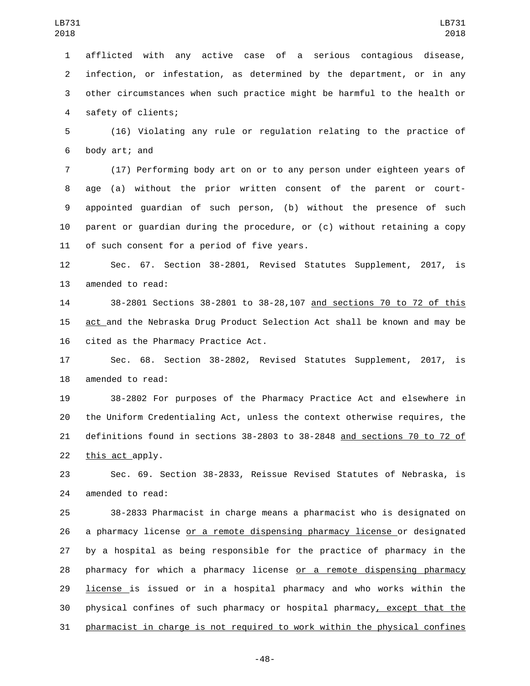afflicted with any active case of a serious contagious disease, infection, or infestation, as determined by the department, or in any other circumstances when such practice might be harmful to the health or 4 safety of clients;

 (16) Violating any rule or regulation relating to the practice of 6 body art; and

 (17) Performing body art on or to any person under eighteen years of age (a) without the prior written consent of the parent or court- appointed guardian of such person, (b) without the presence of such parent or guardian during the procedure, or (c) without retaining a copy 11 of such consent for a period of five years.

 Sec. 67. Section 38-2801, Revised Statutes Supplement, 2017, is 13 amended to read:

 38-2801 Sections 38-2801 to 38-28,107 and sections 70 to 72 of this act and the Nebraska Drug Product Selection Act shall be known and may be 16 cited as the Pharmacy Practice Act.

 Sec. 68. Section 38-2802, Revised Statutes Supplement, 2017, is 18 amended to read:

 38-2802 For purposes of the Pharmacy Practice Act and elsewhere in the Uniform Credentialing Act, unless the context otherwise requires, the definitions found in sections 38-2803 to 38-2848 and sections 70 to 72 of 22 this act apply.

 Sec. 69. Section 38-2833, Reissue Revised Statutes of Nebraska, is 24 amended to read:

 38-2833 Pharmacist in charge means a pharmacist who is designated on 26 a pharmacy license or a remote dispensing pharmacy license or designated by a hospital as being responsible for the practice of pharmacy in the pharmacy for which a pharmacy license or a remote dispensing pharmacy license is issued or in a hospital pharmacy and who works within the physical confines of such pharmacy or hospital pharmacy, except that the pharmacist in charge is not required to work within the physical confines

-48-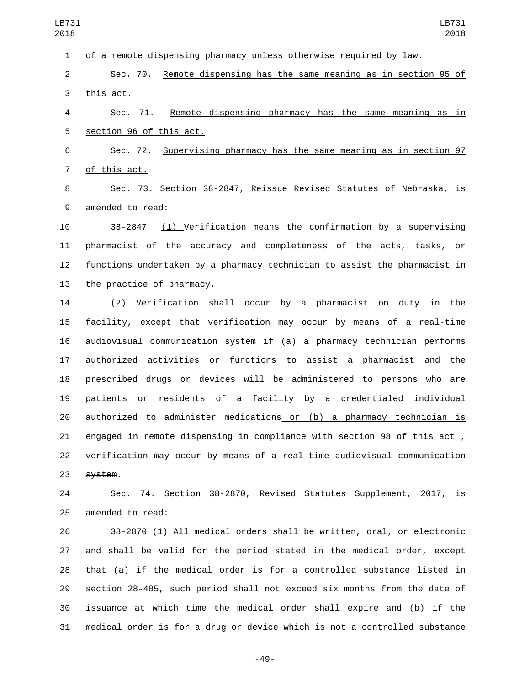of a remote dispensing pharmacy unless otherwise required by law. Sec. 70. Remote dispensing has the same meaning as in section 95 of 3 this act. Sec. 71. Remote dispensing pharmacy has the same meaning as in 5 section 96 of this act. Sec. 72. Supervising pharmacy has the same meaning as in section 97 7 of this act. Sec. 73. Section 38-2847, Reissue Revised Statutes of Nebraska, is 9 amended to read: 38-2847 (1) Verification means the confirmation by a supervising pharmacist of the accuracy and completeness of the acts, tasks, or functions undertaken by a pharmacy technician to assist the pharmacist in 13 the practice of pharmacy. (2) Verification shall occur by a pharmacist on duty in the facility, except that verification may occur by means of a real-time audiovisual communication system if (a) a pharmacy technician performs authorized activities or functions to assist a pharmacist and the prescribed drugs or devices will be administered to persons who are patients or residents of a facility by a credentialed individual LB731 LB731 

 authorized to administer medications or (b) a pharmacy technician is 21 engaged in remote dispensing in compliance with section 98 of this act  $\overline{r}$  verification may occur by means of a real-time audiovisual communication 23 system.

 Sec. 74. Section 38-2870, Revised Statutes Supplement, 2017, is 25 amended to read:

 38-2870 (1) All medical orders shall be written, oral, or electronic and shall be valid for the period stated in the medical order, except that (a) if the medical order is for a controlled substance listed in section 28-405, such period shall not exceed six months from the date of issuance at which time the medical order shall expire and (b) if the medical order is for a drug or device which is not a controlled substance

-49-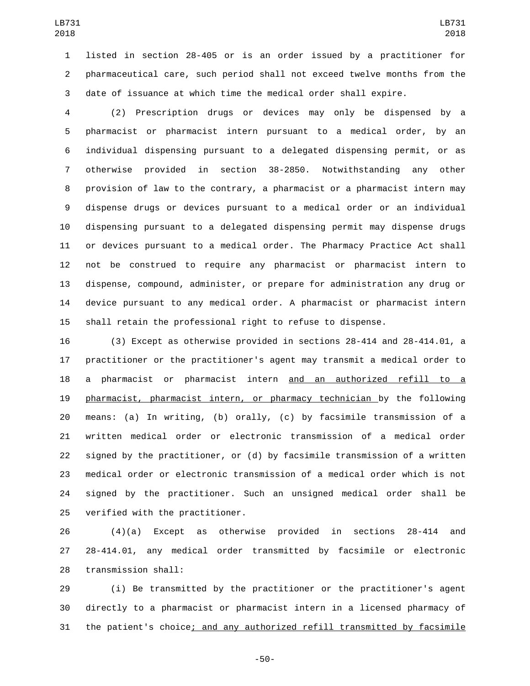listed in section 28-405 or is an order issued by a practitioner for pharmaceutical care, such period shall not exceed twelve months from the date of issuance at which time the medical order shall expire.

 (2) Prescription drugs or devices may only be dispensed by a pharmacist or pharmacist intern pursuant to a medical order, by an individual dispensing pursuant to a delegated dispensing permit, or as otherwise provided in section 38-2850. Notwithstanding any other provision of law to the contrary, a pharmacist or a pharmacist intern may dispense drugs or devices pursuant to a medical order or an individual dispensing pursuant to a delegated dispensing permit may dispense drugs or devices pursuant to a medical order. The Pharmacy Practice Act shall not be construed to require any pharmacist or pharmacist intern to dispense, compound, administer, or prepare for administration any drug or device pursuant to any medical order. A pharmacist or pharmacist intern shall retain the professional right to refuse to dispense.

 (3) Except as otherwise provided in sections 28-414 and 28-414.01, a practitioner or the practitioner's agent may transmit a medical order to a pharmacist or pharmacist intern and an authorized refill to a pharmacist, pharmacist intern, or pharmacy technician by the following means: (a) In writing, (b) orally, (c) by facsimile transmission of a written medical order or electronic transmission of a medical order signed by the practitioner, or (d) by facsimile transmission of a written medical order or electronic transmission of a medical order which is not signed by the practitioner. Such an unsigned medical order shall be 25 verified with the practitioner.

 (4)(a) Except as otherwise provided in sections 28-414 and 28-414.01, any medical order transmitted by facsimile or electronic 28 transmission shall:

 (i) Be transmitted by the practitioner or the practitioner's agent directly to a pharmacist or pharmacist intern in a licensed pharmacy of the patient's choice; and any authorized refill transmitted by facsimile

-50-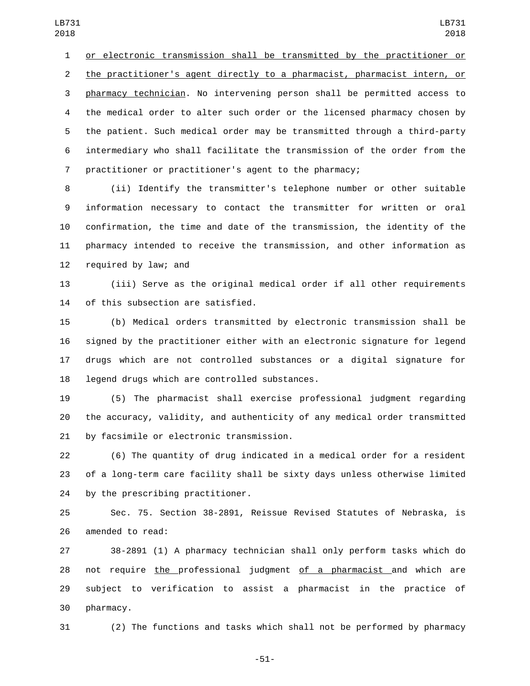or electronic transmission shall be transmitted by the practitioner or the practitioner's agent directly to a pharmacist, pharmacist intern, or pharmacy technician. No intervening person shall be permitted access to the medical order to alter such order or the licensed pharmacy chosen by the patient. Such medical order may be transmitted through a third-party intermediary who shall facilitate the transmission of the order from the practitioner or practitioner's agent to the pharmacy;

 (ii) Identify the transmitter's telephone number or other suitable information necessary to contact the transmitter for written or oral confirmation, the time and date of the transmission, the identity of the pharmacy intended to receive the transmission, and other information as 12 required by law; and

 (iii) Serve as the original medical order if all other requirements 14 of this subsection are satisfied.

 (b) Medical orders transmitted by electronic transmission shall be signed by the practitioner either with an electronic signature for legend drugs which are not controlled substances or a digital signature for 18 legend drugs which are controlled substances.

 (5) The pharmacist shall exercise professional judgment regarding the accuracy, validity, and authenticity of any medical order transmitted 21 by facsimile or electronic transmission.

 (6) The quantity of drug indicated in a medical order for a resident of a long-term care facility shall be sixty days unless otherwise limited 24 by the prescribing practitioner.

 Sec. 75. Section 38-2891, Reissue Revised Statutes of Nebraska, is 26 amended to read:

 38-2891 (1) A pharmacy technician shall only perform tasks which do 28 not require the professional judgment of a pharmacist and which are subject to verification to assist a pharmacist in the practice of 30 pharmacy.

(2) The functions and tasks which shall not be performed by pharmacy

-51-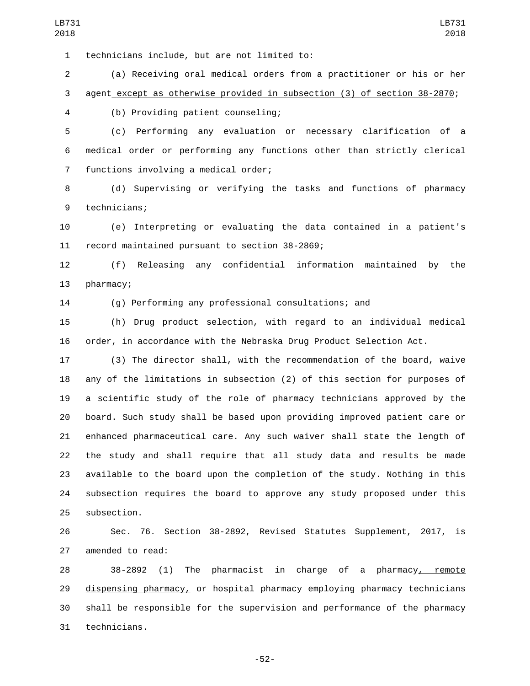technicians include, but are not limited to:1

 (a) Receiving oral medical orders from a practitioner or his or her agent except as otherwise provided in subsection (3) of section 38-2870;

(b) Providing patient counseling;4

 (c) Performing any evaluation or necessary clarification of a medical order or performing any functions other than strictly clerical 7 functions involving a medical order;

 (d) Supervising or verifying the tasks and functions of pharmacy 9 technicians;

 (e) Interpreting or evaluating the data contained in a patient's 11 record maintained pursuant to section 38-2869;

 (f) Releasing any confidential information maintained by the 13 pharmacy;

(g) Performing any professional consultations; and

 (h) Drug product selection, with regard to an individual medical order, in accordance with the Nebraska Drug Product Selection Act.

 (3) The director shall, with the recommendation of the board, waive any of the limitations in subsection (2) of this section for purposes of a scientific study of the role of pharmacy technicians approved by the board. Such study shall be based upon providing improved patient care or enhanced pharmaceutical care. Any such waiver shall state the length of the study and shall require that all study data and results be made available to the board upon the completion of the study. Nothing in this subsection requires the board to approve any study proposed under this 25 subsection.

 Sec. 76. Section 38-2892, Revised Statutes Supplement, 2017, is 27 amended to read:

 38-2892 (1) The pharmacist in charge of a pharmacy, remote 29 dispensing pharmacy, or hospital pharmacy employing pharmacy technicians shall be responsible for the supervision and performance of the pharmacy technicians.31

-52-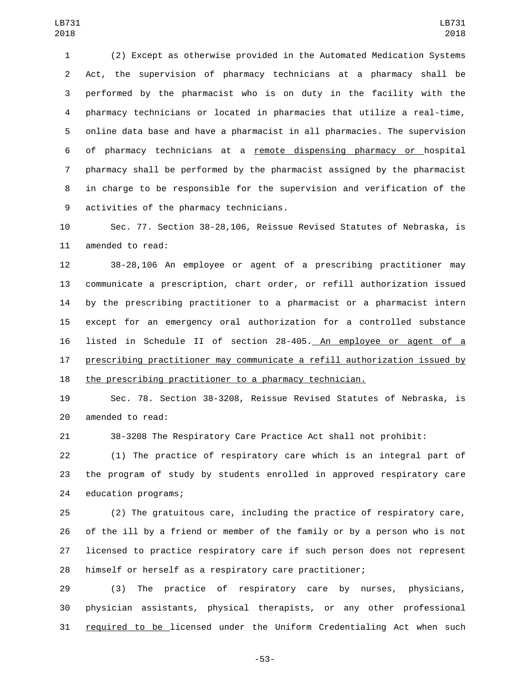(2) Except as otherwise provided in the Automated Medication Systems Act, the supervision of pharmacy technicians at a pharmacy shall be performed by the pharmacist who is on duty in the facility with the pharmacy technicians or located in pharmacies that utilize a real-time, online data base and have a pharmacist in all pharmacies. The supervision of pharmacy technicians at a remote dispensing pharmacy or hospital pharmacy shall be performed by the pharmacist assigned by the pharmacist in charge to be responsible for the supervision and verification of the 9 activities of the pharmacy technicians.

 Sec. 77. Section 38-28,106, Reissue Revised Statutes of Nebraska, is 11 amended to read:

 38-28,106 An employee or agent of a prescribing practitioner may communicate a prescription, chart order, or refill authorization issued by the prescribing practitioner to a pharmacist or a pharmacist intern except for an emergency oral authorization for a controlled substance listed in Schedule II of section 28-405. An employee or agent of a prescribing practitioner may communicate a refill authorization issued by the prescribing practitioner to a pharmacy technician.

 Sec. 78. Section 38-3208, Reissue Revised Statutes of Nebraska, is 20 amended to read:

38-3208 The Respiratory Care Practice Act shall not prohibit:

 (1) The practice of respiratory care which is an integral part of the program of study by students enrolled in approved respiratory care 24 education programs;

 (2) The gratuitous care, including the practice of respiratory care, of the ill by a friend or member of the family or by a person who is not licensed to practice respiratory care if such person does not represent himself or herself as a respiratory care practitioner;

 (3) The practice of respiratory care by nurses, physicians, physician assistants, physical therapists, or any other professional required to be licensed under the Uniform Credentialing Act when such

-53-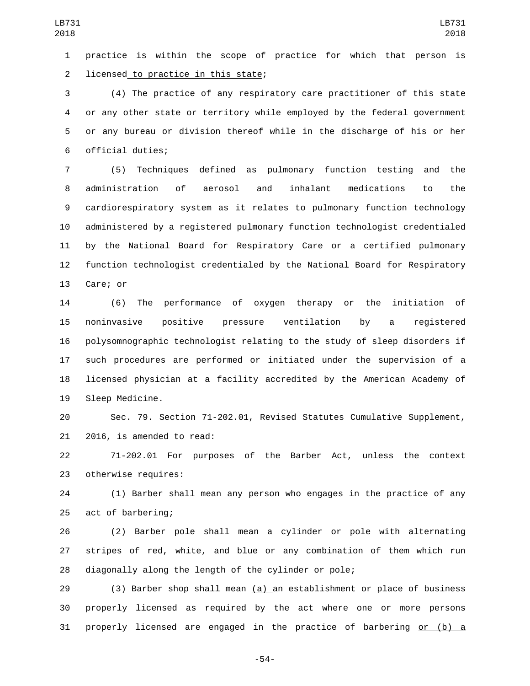practice is within the scope of practice for which that person is 2 licensed to practice in this state;

 (4) The practice of any respiratory care practitioner of this state or any other state or territory while employed by the federal government or any bureau or division thereof while in the discharge of his or her 6 official duties;

 (5) Techniques defined as pulmonary function testing and the administration of aerosol and inhalant medications to the cardiorespiratory system as it relates to pulmonary function technology administered by a registered pulmonary function technologist credentialed by the National Board for Respiratory Care or a certified pulmonary function technologist credentialed by the National Board for Respiratory 13 Care; or

 (6) The performance of oxygen therapy or the initiation of noninvasive positive pressure ventilation by a registered polysomnographic technologist relating to the study of sleep disorders if such procedures are performed or initiated under the supervision of a licensed physician at a facility accredited by the American Academy of 19 Sleep Medicine.

 Sec. 79. Section 71-202.01, Revised Statutes Cumulative Supplement,  $2016$ , is amended to read:

 71-202.01 For purposes of the Barber Act, unless the context 23 otherwise requires:

 (1) Barber shall mean any person who engages in the practice of any 25 act of barbering;

 (2) Barber pole shall mean a cylinder or pole with alternating stripes of red, white, and blue or any combination of them which run diagonally along the length of the cylinder or pole;

 (3) Barber shop shall mean (a) an establishment or place of business properly licensed as required by the act where one or more persons properly licensed are engaged in the practice of barbering or (b) a

-54-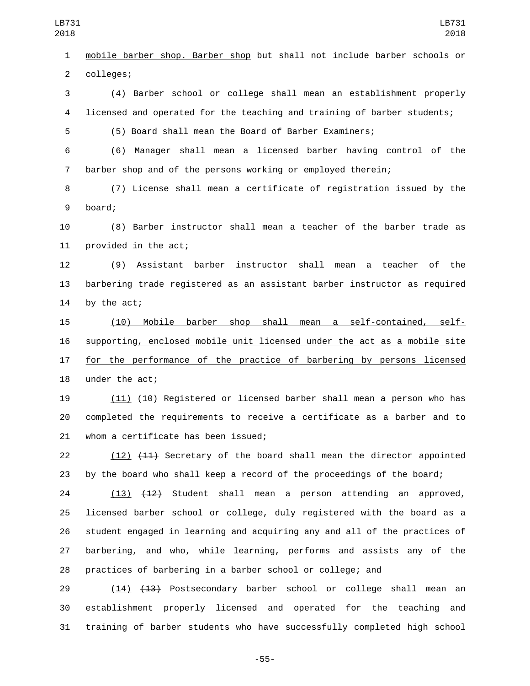mobile barber shop. Barber shop but shall not include barber schools or 2 colleges;

 (4) Barber school or college shall mean an establishment properly licensed and operated for the teaching and training of barber students;

(5) Board shall mean the Board of Barber Examiners;

 (6) Manager shall mean a licensed barber having control of the barber shop and of the persons working or employed therein;

 (7) License shall mean a certificate of registration issued by the 9 board;

 (8) Barber instructor shall mean a teacher of the barber trade as 11 provided in the act;

 (9) Assistant barber instructor shall mean a teacher of the barbering trade registered as an assistant barber instructor as required 14 by the act;

 (10) Mobile barber shop shall mean a self-contained, self- supporting, enclosed mobile unit licensed under the act as a mobile site 17 for the performance of the practice of barbering by persons licensed 18 under the act;

19 (11) (<del>10)</del> Reqistered or licensed barber shall mean a person who has completed the requirements to receive a certificate as a barber and to 21 whom a certificate has been issued;

22 (12) (444) Secretary of the board shall mean the director appointed by the board who shall keep a record of the proceedings of the board;

 (13) (12) Student shall mean a person attending an approved, licensed barber school or college, duly registered with the board as a student engaged in learning and acquiring any and all of the practices of barbering, and who, while learning, performs and assists any of the practices of barbering in a barber school or college; and

29 (14) (13) Postsecondary barber school or college shall mean an establishment properly licensed and operated for the teaching and training of barber students who have successfully completed high school

-55-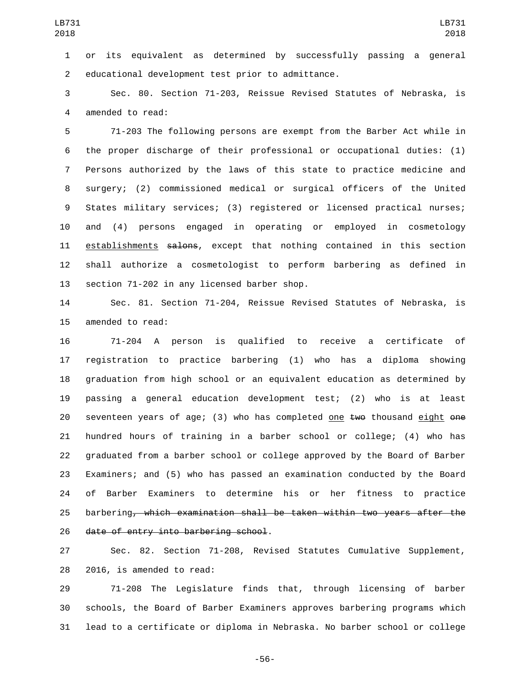or its equivalent as determined by successfully passing a general 2 educational development test prior to admittance.

 Sec. 80. Section 71-203, Reissue Revised Statutes of Nebraska, is 4 amended to read:

 71-203 The following persons are exempt from the Barber Act while in the proper discharge of their professional or occupational duties: (1) Persons authorized by the laws of this state to practice medicine and surgery; (2) commissioned medical or surgical officers of the United States military services; (3) registered or licensed practical nurses; and (4) persons engaged in operating or employed in cosmetology 11 establishments salons, except that nothing contained in this section shall authorize a cosmetologist to perform barbering as defined in 13 section 71-202 in any licensed barber shop.

 Sec. 81. Section 71-204, Reissue Revised Statutes of Nebraska, is 15 amended to read:

 71-204 A person is qualified to receive a certificate of registration to practice barbering (1) who has a diploma showing graduation from high school or an equivalent education as determined by passing a general education development test; (2) who is at least 20 seventeen years of age; (3) who has completed one  $t$  we thousand eight  $\theta$  one hundred hours of training in a barber school or college; (4) who has graduated from a barber school or college approved by the Board of Barber Examiners; and (5) who has passed an examination conducted by the Board of Barber Examiners to determine his or her fitness to practice barbering, which examination shall be taken within two years after the 26 date of entry into barbering school.

 Sec. 82. Section 71-208, Revised Statutes Cumulative Supplement, 28 2016, is amended to read:

 71-208 The Legislature finds that, through licensing of barber schools, the Board of Barber Examiners approves barbering programs which lead to a certificate or diploma in Nebraska. No barber school or college

-56-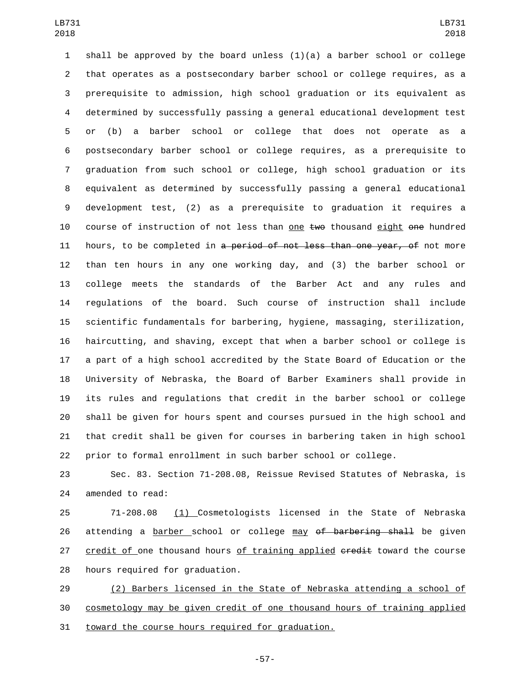1 shall be approved by the board unless  $(1)(a)$  a barber school or college that operates as a postsecondary barber school or college requires, as a prerequisite to admission, high school graduation or its equivalent as determined by successfully passing a general educational development test or (b) a barber school or college that does not operate as a postsecondary barber school or college requires, as a prerequisite to graduation from such school or college, high school graduation or its equivalent as determined by successfully passing a general educational development test, (2) as a prerequisite to graduation it requires a 10 course of instruction of not less than one two thousand eight one hundred 11 hours, to be completed in a period of not less than one year, of not more than ten hours in any one working day, and (3) the barber school or college meets the standards of the Barber Act and any rules and regulations of the board. Such course of instruction shall include scientific fundamentals for barbering, hygiene, massaging, sterilization, haircutting, and shaving, except that when a barber school or college is a part of a high school accredited by the State Board of Education or the University of Nebraska, the Board of Barber Examiners shall provide in its rules and regulations that credit in the barber school or college shall be given for hours spent and courses pursued in the high school and that credit shall be given for courses in barbering taken in high school prior to formal enrollment in such barber school or college.

 Sec. 83. Section 71-208.08, Reissue Revised Statutes of Nebraska, is 24 amended to read:

 71-208.08 (1) Cosmetologists licensed in the State of Nebraska 26 attending a barber school or college may of barbering shall be given 27 credit of one thousand hours of training applied eredit toward the course 28 hours required for graduation.

 (2) Barbers licensed in the State of Nebraska attending a school of cosmetology may be given credit of one thousand hours of training applied 31 toward the course hours required for graduation.

-57-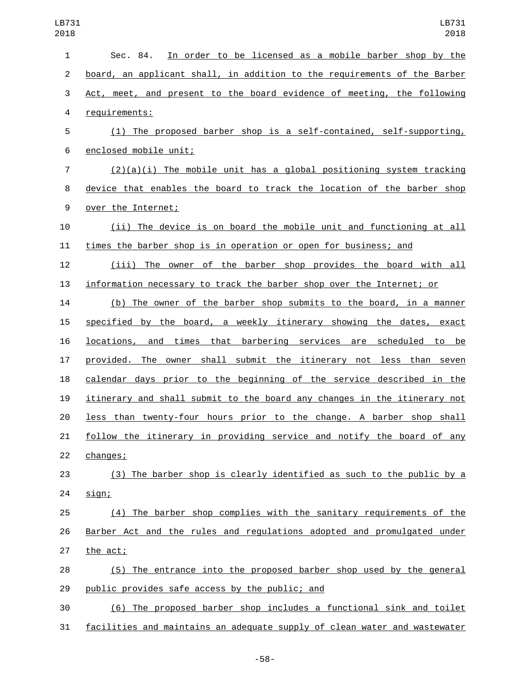| $\mathbf{1}$   | In order to be licensed as a mobile barber shop by the<br>Sec. 84.       |
|----------------|--------------------------------------------------------------------------|
| $\overline{2}$ | board, an applicant shall, in addition to the requirements of the Barber |
| 3              | Act, meet, and present to the board evidence of meeting, the following   |
| $\overline{4}$ | requirements:                                                            |
| 5              | (1) The proposed barber shop is a self-contained, self-supporting,       |
| 6              | enclosed mobile unit;                                                    |
| $\overline{7}$ | $(2)(a)(i)$ The mobile unit has a global positioning system tracking     |
| 8              | device that enables the board to track the location of the barber shop   |
| 9              | over the Internet;                                                       |
| 10             | (ii) The device is on board the mobile unit and functioning at all       |
| 11             | times the barber shop is in operation or open for business; and          |
| 12             | (iii) The owner of the barber shop provides the board with all           |
| 13             | information necessary to track the barber shop over the Internet; or     |
| 14             | (b) The owner of the barber shop submits to the board, in a manner       |
| 15             | specified by the board, a weekly itinerary showing the dates, exact      |
| 16             | locations, and times that barbering services are scheduled to be         |
| 17             | provided. The owner shall submit the itinerary not less than seven       |
| 18             | calendar days prior to the beginning of the service described in the     |
| 19             | itinerary and shall submit to the board any changes in the itinerary not |
| 20             | less than twenty-four hours prior to the change. A barber shop shall     |
| 21             | follow the itinerary in providing service and notify the board of any    |
| 22             | changes;                                                                 |
| 23             | (3) The barber shop is clearly identified as such to the public by a     |
| 24             | sign;                                                                    |
| 25             | (4) The barber shop complies with the sanitary requirements of the       |
| 26             | Barber Act and the rules and regulations adopted and promulgated under   |
| 27             | the act;                                                                 |
| 28             | (5) The entrance into the proposed barber shop used by the general       |
| 29             | public provides safe access by the public; and                           |
| 30             | (6) The proposed barber shop includes a functional sink and toilet       |

facilities and maintains an adequate supply of clean water and wastewater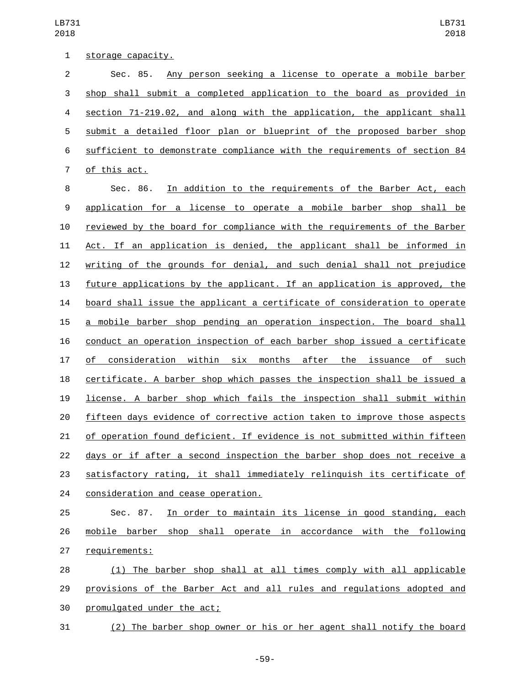| $\mathbf{1}$   | <u>storage capacity.</u>                                                  |
|----------------|---------------------------------------------------------------------------|
| $\overline{2}$ | Any person seeking a license to operate a mobile barber<br>Sec. 85.       |
| 3              | shop shall submit a completed application to the board as provided in     |
| 4              | section 71-219.02, and along with the application, the applicant shall    |
| 5              | submit a detailed floor plan or blueprint of the proposed barber shop     |
| 6              | sufficient to demonstrate compliance with the requirements of section 84  |
| 7              | of this act.                                                              |
| 8              | In addition to the requirements of the Barber Act, each<br>Sec. 86.       |
| 9              | application for a license to operate a mobile barber shop shall be        |
| 10             | reviewed by the board for compliance with the requirements of the Barber  |
| 11             | Act. If an application is denied, the applicant shall be informed in      |
| 12             | writing of the grounds for denial, and such denial shall not prejudice    |
| 13             | future applications by the applicant. If an application is approved, the  |
| 14             | board shall issue the applicant a certificate of consideration to operate |
| 15             | a mobile barber shop pending an operation inspection. The board shall     |
| 16             | conduct an operation inspection of each barber shop issued a certificate  |
| 17             | of consideration within six months after the issuance of such             |
| 18             | certificate. A barber shop which passes the inspection shall be issued a  |
| 19             | license. A barber shop which fails the inspection shall submit within     |
| 20             | fifteen days evidence of corrective action taken to improve those aspects |
| 21             | of operation found deficient. If evidence is not submitted within fifteen |
| 22             | days or if after a second inspection the barber shop does not receive a   |
| 23             | satisfactory rating, it shall immediately relinguish its certificate of   |
| 24             | consideration and cease operation.                                        |
| 25             | In order to maintain its license in good standing, each<br>Sec. 87.       |
| 26             | mobile barber shop shall operate in accordance with the following         |
| 27             | requirements:                                                             |

28 (1) The barber shop shall at all times comply with all applicable provisions of the Barber Act and all rules and regulations adopted and 30 promulgated under the act;

(2) The barber shop owner or his or her agent shall notify the board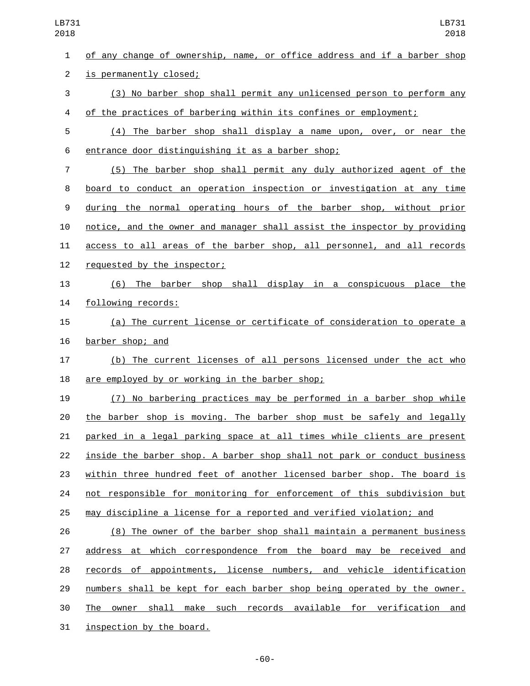of any change of ownership, name, or office address and if a barber shop 2 is permanently closed; (3) No barber shop shall permit any unlicensed person to perform any of the practices of barbering within its confines or employment; (4) The barber shop shall display a name upon, over, or near the 6 entrance door distinguishing it as a barber shop; (5) The barber shop shall permit any duly authorized agent of the board to conduct an operation inspection or investigation at any time during the normal operating hours of the barber shop, without prior notice, and the owner and manager shall assist the inspector by providing access to all areas of the barber shop, all personnel, and all records 12 requested by the inspector; (6) The barber shop shall display in a conspicuous place the 14 following records: (a) The current license or certificate of consideration to operate a 16 barber shop; and (b) The current licenses of all persons licensed under the act who 18 are employed by or working in the barber shop; (7) No barbering practices may be performed in a barber shop while the barber shop is moving. The barber shop must be safely and legally parked in a legal parking space at all times while clients are present inside the barber shop. A barber shop shall not park or conduct business within three hundred feet of another licensed barber shop. The board is not responsible for monitoring for enforcement of this subdivision but may discipline a license for a reported and verified violation; and (8) The owner of the barber shop shall maintain a permanent business address at which correspondence from the board may be received and 28 records of appointments, license numbers, and vehicle identification numbers shall be kept for each barber shop being operated by the owner.

The owner shall make such records available for verification and

31 inspection by the board.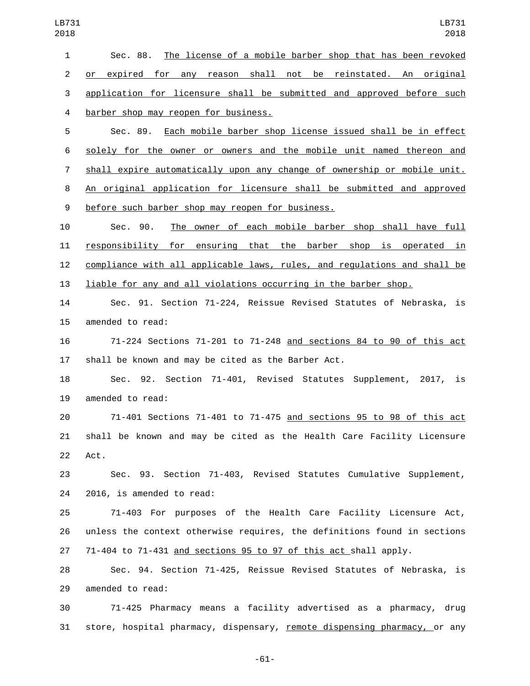Sec. 88. The license of a mobile barber shop that has been revoked or expired for any reason shall not be reinstated. An original application for licensure shall be submitted and approved before such barber shop may reopen for business.4 Sec. 89. Each mobile barber shop license issued shall be in effect

 solely for the owner or owners and the mobile unit named thereon and 7 shall expire automatically upon any change of ownership or mobile unit. An original application for licensure shall be submitted and approved 9 before such barber shop may reopen for business.

 Sec. 90. The owner of each mobile barber shop shall have full responsibility for ensuring that the barber shop is operated in compliance with all applicable laws, rules, and regulations and shall be liable for any and all violations occurring in the barber shop.

 Sec. 91. Section 71-224, Reissue Revised Statutes of Nebraska, is 15 amended to read:

 71-224 Sections 71-201 to 71-248 and sections 84 to 90 of this act shall be known and may be cited as the Barber Act.

 Sec. 92. Section 71-401, Revised Statutes Supplement, 2017, is 19 amended to read:

 71-401 Sections 71-401 to 71-475 and sections 95 to 98 of this act shall be known and may be cited as the Health Care Facility Licensure 22 Act.

 Sec. 93. Section 71-403, Revised Statutes Cumulative Supplement, 24 2016, is amended to read:

 71-403 For purposes of the Health Care Facility Licensure Act, unless the context otherwise requires, the definitions found in sections 71-404 to 71-431 and sections 95 to 97 of this act shall apply.

 Sec. 94. Section 71-425, Reissue Revised Statutes of Nebraska, is 29 amended to read:

 71-425 Pharmacy means a facility advertised as a pharmacy, drug store, hospital pharmacy, dispensary, remote dispensing pharmacy, or any

-61-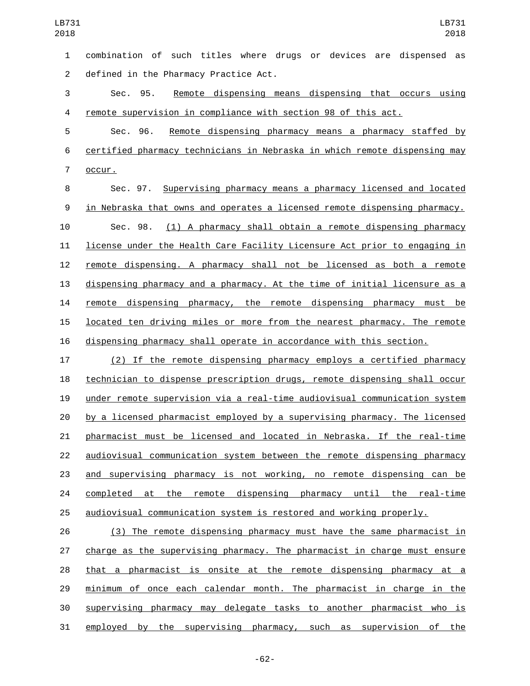combination of such titles where drugs or devices are dispensed as 2 defined in the Pharmacy Practice Act. Sec. 95. Remote dispensing means dispensing that occurs using remote supervision in compliance with section 98 of this act. Sec. 96. Remote dispensing pharmacy means a pharmacy staffed by certified pharmacy technicians in Nebraska in which remote dispensing may 7 occur. Sec. 97. Supervising pharmacy means a pharmacy licensed and located in Nebraska that owns and operates a licensed remote dispensing pharmacy. Sec. 98. (1) A pharmacy shall obtain a remote dispensing pharmacy license under the Health Care Facility Licensure Act prior to engaging in remote dispensing. A pharmacy shall not be licensed as both a remote 13 dispensing pharmacy and a pharmacy. At the time of initial licensure as a remote dispensing pharmacy, the remote dispensing pharmacy must be located ten driving miles or more from the nearest pharmacy. The remote dispensing pharmacy shall operate in accordance with this section. (2) If the remote dispensing pharmacy employs a certified pharmacy technician to dispense prescription drugs, remote dispensing shall occur under remote supervision via a real-time audiovisual communication system by a licensed pharmacist employed by a supervising pharmacy. The licensed pharmacist must be licensed and located in Nebraska. If the real-time audiovisual communication system between the remote dispensing pharmacy

 and supervising pharmacy is not working, no remote dispensing can be 24 completed at the remote dispensing pharmacy until the real-time audiovisual communication system is restored and working properly.

 (3) The remote dispensing pharmacy must have the same pharmacist in charge as the supervising pharmacy. The pharmacist in charge must ensure that a pharmacist is onsite at the remote dispensing pharmacy at a 29 minimum of once each calendar month. The pharmacist in charge in the supervising pharmacy may delegate tasks to another pharmacist who is employed by the supervising pharmacy, such as supervision of the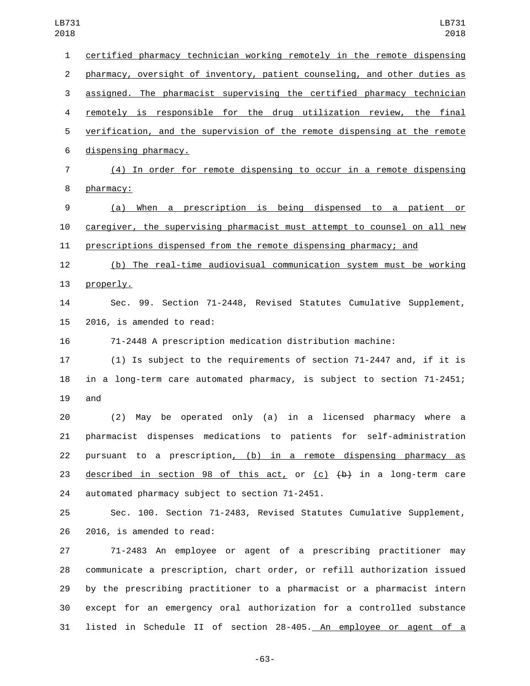certified pharmacy technician working remotely in the remote dispensing pharmacy, oversight of inventory, patient counseling, and other duties as assigned. The pharmacist supervising the certified pharmacy technician remotely is responsible for the drug utilization review, the final verification, and the supervision of the remote dispensing at the remote 6 dispensing pharmacy. (4) In order for remote dispensing to occur in a remote dispensing 8 pharmacy: (a) When a prescription is being dispensed to a patient or caregiver, the supervising pharmacist must attempt to counsel on all new prescriptions dispensed from the remote dispensing pharmacy; and (b) The real-time audiovisual communication system must be working 13 properly. Sec. 99. Section 71-2448, Revised Statutes Cumulative Supplement, 2016, is amended to read: 71-2448 A prescription medication distribution machine: (1) Is subject to the requirements of section 71-2447 and, if it is in a long-term care automated pharmacy, is subject to section 71-2451; and (2) May be operated only (a) in a licensed pharmacy where a pharmacist dispenses medications to patients for self-administration pursuant to a prescription, (b) in a remote dispensing pharmacy as 23 described in section 98 of this act, or  $(c)$   $(b)$  in a long-term care 24 automated pharmacy subject to section 71-2451. Sec. 100. Section 71-2483, Revised Statutes Cumulative Supplement, 26 2016, is amended to read: 71-2483 An employee or agent of a prescribing practitioner may communicate a prescription, chart order, or refill authorization issued by the prescribing practitioner to a pharmacist or a pharmacist intern except for an emergency oral authorization for a controlled substance

-63-

listed in Schedule II of section 28-405. An employee or agent of a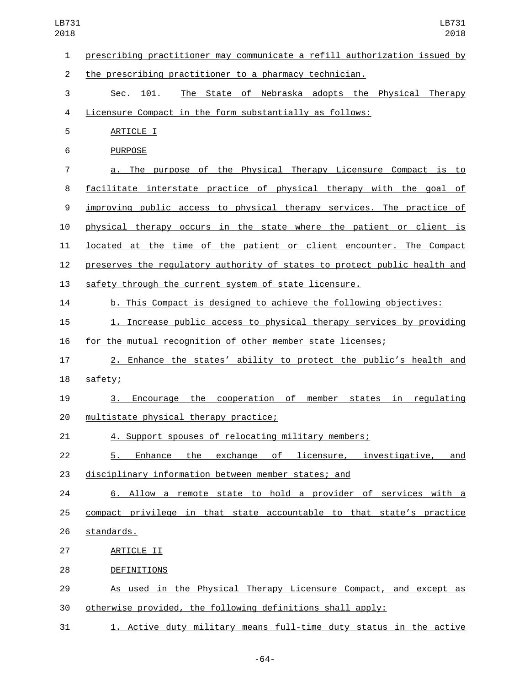| LB731<br>2018  | LB731<br>2018                                                             |
|----------------|---------------------------------------------------------------------------|
| $\mathbf{1}$   | prescribing practitioner may communicate a refill authorization issued by |
| $\overline{c}$ | the prescribing practitioner to a pharmacy technician.                    |
| 3              | The State of Nebraska adopts the Physical<br>Sec.<br>101.<br>Therapy      |
| 4              | Licensure Compact in the form substantially as follows:                   |
| 5              | ARTICLE I                                                                 |
| 6              | <b>PURPOSE</b>                                                            |
| $\overline{7}$ | a. The purpose of the Physical Therapy Licensure Compact is to            |
| 8              | facilitate interstate practice of physical therapy with the goal of       |
| 9              | improving public access to physical therapy services. The practice of     |
| 10             | physical therapy occurs in the state where the patient or client is       |
| 11             | located at the time of the patient or client encounter. The Compact       |
| 12             | preserves the regulatory authority of states to protect public health and |
| 13             | safety through the current system of state licensure.                     |
| 14             | b. This Compact is designed to achieve the following objectives:          |
| 15             | 1. Increase public access to physical therapy services by providing       |
| 16             | for the mutual recognition of other member state licenses;                |
| 17             | 2. Enhance the states' ability to protect the public's health and         |
| 18             | safety;                                                                   |
| 19             | Encourage the cooperation of<br>member states in regulating<br>3.         |
| 20             | multistate physical therapy practice;                                     |
| 21             | 4. Support spouses of relocating military members;                        |
| 22             | 5. Enhance the exchange of licensure, investigative, and                  |
| 23             | disciplinary information between member states; and                       |
| 24             | 6. Allow a remote state to hold a provider of services with a             |
| 25             | compact privilege in that state accountable to that state's practice      |
| 26             | standards.                                                                |
| 27             | ARTICLE II                                                                |
| 28             | <b>DEFINITIONS</b>                                                        |
| 29             | As used in the Physical Therapy Licensure Compact, and except as          |
| 30             | otherwise provided, the following definitions shall apply:                |
| 31             | 1. Active duty military means full-time duty status in the active         |

-64-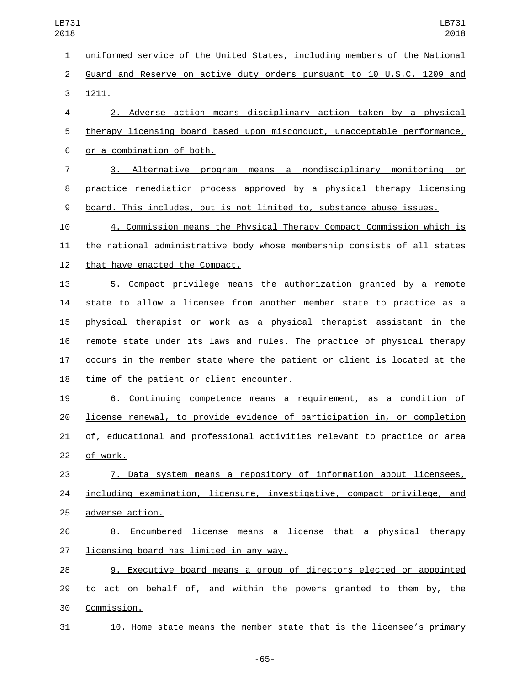uniformed service of the United States, including members of the National Guard and Reserve on active duty orders pursuant to 10 U.S.C. 1209 and 3 1211. 2. Adverse action means disciplinary action taken by a physical therapy licensing board based upon misconduct, unacceptable performance, 6 or a combination of both. 3. Alternative program means a nondisciplinary monitoring or practice remediation process approved by a physical therapy licensing board. This includes, but is not limited to, substance abuse issues. 4. Commission means the Physical Therapy Compact Commission which is the national administrative body whose membership consists of all states 12 that have enacted the Compact. 5. Compact privilege means the authorization granted by a remote state to allow a licensee from another member state to practice as a physical therapist or work as a physical therapist assistant in the remote state under its laws and rules. The practice of physical therapy occurs in the member state where the patient or client is located at the 18 time of the patient or client encounter. 6. Continuing competence means a requirement, as a condition of license renewal, to provide evidence of participation in, or completion of, educational and professional activities relevant to practice or area 22 of work. 7. Data system means a repository of information about licensees, including examination, licensure, investigative, compact privilege, and 25 adverse action. 8. Encumbered license means a license that a physical therapy 27 licensing board has limited in any way. 9. Executive board means a group of directors elected or appointed 29 to act on behalf of, and within the powers granted to them by, the Commission.30

10. Home state means the member state that is the licensee's primary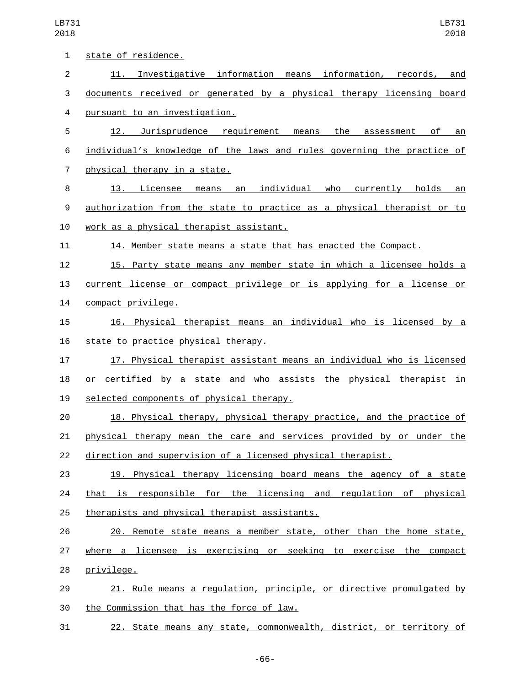| 1              | state of residence.                                                    |
|----------------|------------------------------------------------------------------------|
| $\overline{2}$ | 11. Investigative information means information, records,<br>and       |
| 3              | documents received or generated by a physical therapy licensing board  |
| 4              | pursuant to an investigation.                                          |
| 5              | 12. Jurisprudence requirement means the<br>of<br>assessment<br>an      |
| 6              | individual's knowledge of the laws and rules governing the practice of |
| $\overline{7}$ | physical therapy in a state.                                           |
| 8              | means an individual who currently holds<br>13. Licensee<br>an          |
| 9              | authorization from the state to practice as a physical therapist or to |
| 10             | work as a physical therapist assistant.                                |
| 11             | 14. Member state means a state that has enacted the Compact.           |
| 12             | 15. Party state means any member state in which a licensee holds a     |
| 13             | current license or compact privilege or is applying for a license or   |
| 14             | compact privilege.                                                     |
| 15             | 16. Physical therapist means an individual who is licensed by a        |
| 16             | state to practice physical therapy.                                    |
| 17             | 17. Physical therapist assistant means an individual who is licensed   |
| 18             | or certified by a state and who assists the physical therapist in      |
| 19             | selected components of physical therapy.                               |
| 20             | 18. Physical therapy, physical therapy practice, and the practice of   |
| 21             | physical therapy mean the care and services provided by or under the   |
| 22             | direction and supervision of a licensed physical therapist.            |
| 23             | 19. Physical therapy licensing board means the agency of a state       |
| 24             | that is responsible for the licensing and regulation of physical       |
| 25             | therapists and physical therapist assistants.                          |
| 26             | 20. Remote state means a member state, other than the home state,      |
| 27             | where a licensee is exercising or seeking to exercise the compact      |
| 28             | privilege.                                                             |
| 29             | 21. Rule means a regulation, principle, or directive promulgated by    |
| 30             | the Commission that has the force of law.                              |
| 31             | 22. State means any state, commonwealth, district, or territory of     |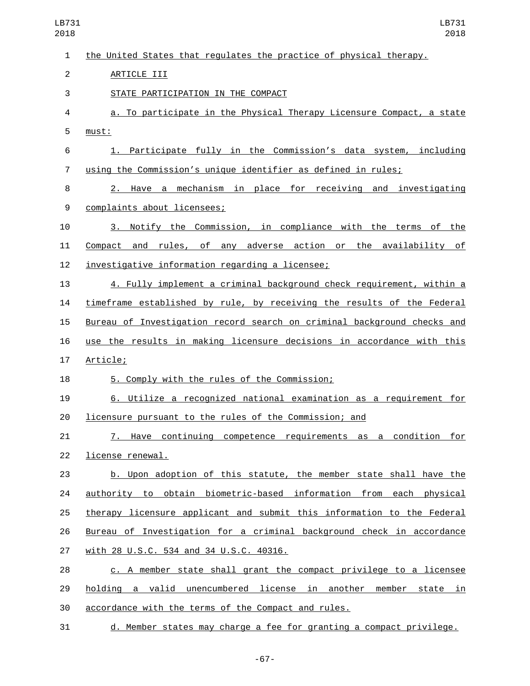the United States that regulates the practice of physical therapy. 2 ARTICLE III 3 STATE PARTICIPATION IN THE COMPACT a. To participate in the Physical Therapy Licensure Compact, a state 5 must: 1. Participate fully in the Commission's data system, including using the Commission's unique identifier as defined in rules; 2. Have a mechanism in place for receiving and investigating 9 complaints about licensees; 3. Notify the Commission, in compliance with the terms of the Compact and rules, of any adverse action or the availability of 12 investigative information regarding a licensee; 4. Fully implement a criminal background check requirement, within a timeframe established by rule, by receiving the results of the Federal Bureau of Investigation record search on criminal background checks and use the results in making licensure decisions in accordance with this 17 Article; 18 5. Comply with the rules of the Commission; 6. Utilize a recognized national examination as a requirement for licensure pursuant to the rules of the Commission; and 7. Have continuing competence requirements as a condition for 22 license renewal. b. Upon adoption of this statute, the member state shall have the authority to obtain biometric-based information from each physical therapy licensure applicant and submit this information to the Federal Bureau of Investigation for a criminal background check in accordance with 28 U.S.C. 534 and 34 U.S.C. 40316.27 c. A member state shall grant the compact privilege to a licensee holding a valid unencumbered license in another member state in accordance with the terms of the Compact and rules. d. Member states may charge a fee for granting a compact privilege. LB731 LB731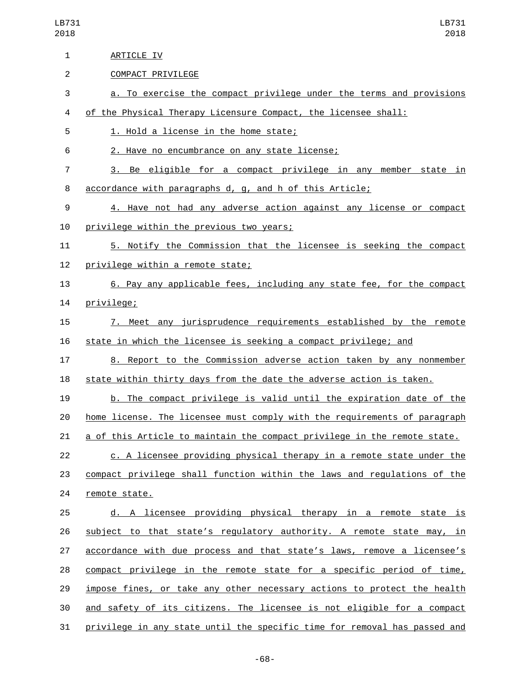| $\mathbf{1}$ | ARTICLE IV                                                                |
|--------------|---------------------------------------------------------------------------|
| 2            | COMPACT PRIVILEGE                                                         |
| 3            | a. To exercise the compact privilege under the terms and provisions       |
| 4            | of the Physical Therapy Licensure Compact, the licensee shall:            |
| 5            | 1. Hold a license in the home state;                                      |
| 6            | 2. Have no encumbrance on any state license;                              |
| 7            | 3. Be eligible for a compact privilege in any member state in             |
| 8            | accordance with paragraphs d, g, and h of this Article;                   |
| 9            | 4. Have not had any adverse action against any license or compact         |
| 10           | privilege within the previous two years;                                  |
| 11           | 5. Notify the Commission that the licensee is seeking the compact         |
| 12           | privilege within a remote state;                                          |
| 13           | 6. Pay any applicable fees, including any state fee, for the compact      |
| 14           | privilege;                                                                |
| 15           | 7. Meet any jurisprudence requirements established by the remote          |
| 16           | state in which the licensee is seeking a compact privilege; and           |
| 17           | 8. Report to the Commission adverse action taken by any nonmember         |
| 18           | state within thirty days from the date the adverse action is taken.       |
| 19           | b. The compact privilege is valid until the expiration date of the        |
| 20           | home license. The licensee must comply with the requirements of paragraph |
| 21           | a of this Article to maintain the compact privilege in the remote state.  |
| 22           | c. A licensee providing physical therapy in a remote state under the      |
| 23           | compact privilege shall function within the laws and regulations of the   |
| 24           | remote state.                                                             |
| 25           | d. A licensee providing physical therapy in a remote state is             |
| 26           | subject to that state's regulatory authority. A remote state may, in      |
| 27           | accordance with due process and that state's laws, remove a licensee's    |
| 28           | compact privilege in the remote state for a specific period of time,      |
| 29           | impose fines, or take any other necessary actions to protect the health   |
| 30           | and safety of its citizens. The licensee is not eligible for a compact    |
| 31           | privilege in any state until the specific time for removal has passed and |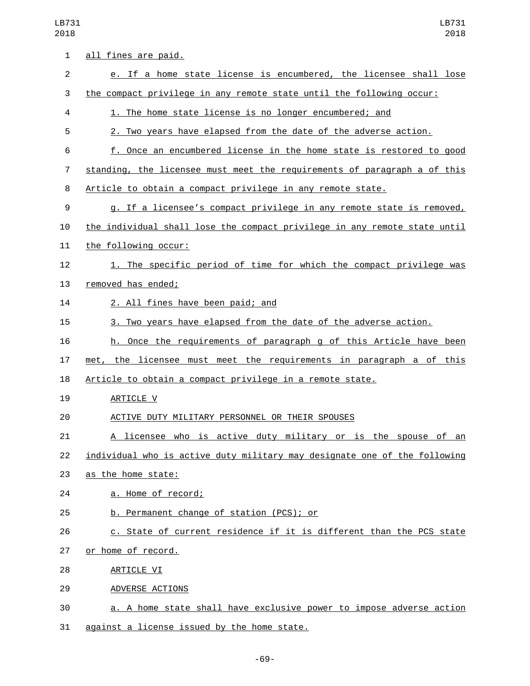LB731 2018

| 1              | all fines are paid.                                                       |
|----------------|---------------------------------------------------------------------------|
| $\overline{2}$ | e. If a home state license is encumbered, the licensee shall lose         |
| 3              | the compact privilege in any remote state until the following occur:      |
| 4              | 1. The home state license is no longer encumbered; and                    |
| 5              | 2. Two years have elapsed from the date of the adverse action.            |
| 6              | f. Once an encumbered license in the home state is restored to good       |
| 7              | standing, the licensee must meet the requirements of paragraph a of this  |
| 8              | Article to obtain a compact privilege in any remote state.                |
| 9              | g. If a licensee's compact privilege in any remote state is removed,      |
| 10             | the individual shall lose the compact privilege in any remote state until |
| 11             | the following occur:                                                      |
| 12             | 1. The specific period of time for which the compact privilege was        |
| 13             | removed has ended;                                                        |
| 14             | 2. All fines have been paid; and                                          |
| 15             | 3. Two years have elapsed from the date of the adverse action.            |
| 16             | h. Once the requirements of paragraph g of this Article have been         |
| 17             | met, the licensee must meet the requirements in paragraph a of this       |
| 18             | Article to obtain a compact privilege in a remote state.                  |
| 19             | ARTICLE V                                                                 |
| 20             | ACTIVE DUTY MILITARY PERSONNEL OR THEIR SPOUSES                           |
| 21             | A licensee who is active duty military or is the spouse of an             |
| 22             | individual who is active duty military may designate one of the following |
| 23             | as the home state:                                                        |
| 24             | a. Home of record;                                                        |
| 25             | b. Permanent change of station (PCS); or                                  |
| 26             | c. State of current residence if it is different than the PCS state       |
| 27             | or home of record.                                                        |
| 28             | <b>ARTICLE VI</b>                                                         |
| 29             | ADVERSE ACTIONS                                                           |
| 30             | a. A home state shall have exclusive power to impose adverse action       |
| 31             | against a license issued by the home state.                               |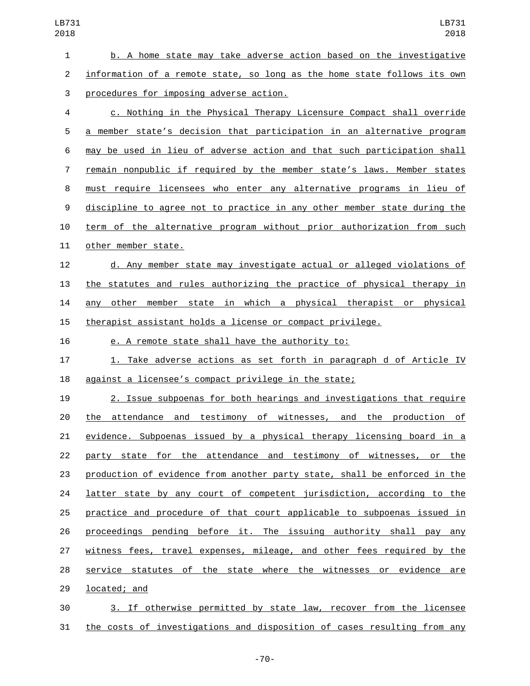b. A home state may take adverse action based on the investigative information of a remote state, so long as the home state follows its own 3 procedures for imposing adverse action. c. Nothing in the Physical Therapy Licensure Compact shall override a member state's decision that participation in an alternative program may be used in lieu of adverse action and that such participation shall remain nonpublic if required by the member state's laws. Member states must require licensees who enter any alternative programs in lieu of discipline to agree not to practice in any other member state during the term of the alternative program without prior authorization from such 11 other member state. d. Any member state may investigate actual or alleged violations of the statutes and rules authorizing the practice of physical therapy in any other member state in which a physical therapist or physical therapist assistant holds a license or compact privilege. e. A remote state shall have the authority to: 1. Take adverse actions as set forth in paragraph d of Article IV against a licensee's compact privilege in the state; 2. Issue subpoenas for both hearings and investigations that require the attendance and testimony of witnesses, and the production of evidence. Subpoenas issued by a physical therapy licensing board in a party state for the attendance and testimony of witnesses, or the production of evidence from another party state, shall be enforced in the **latter state by any court of competent jurisdiction, according to the**  practice and procedure of that court applicable to subpoenas issued in proceedings pending before it. The issuing authority shall pay any witness fees, travel expenses, mileage, and other fees required by the service statutes of the state where the witnesses or evidence are 29 located; and

 3. If otherwise permitted by state law, recover from the licensee the costs of investigations and disposition of cases resulting from any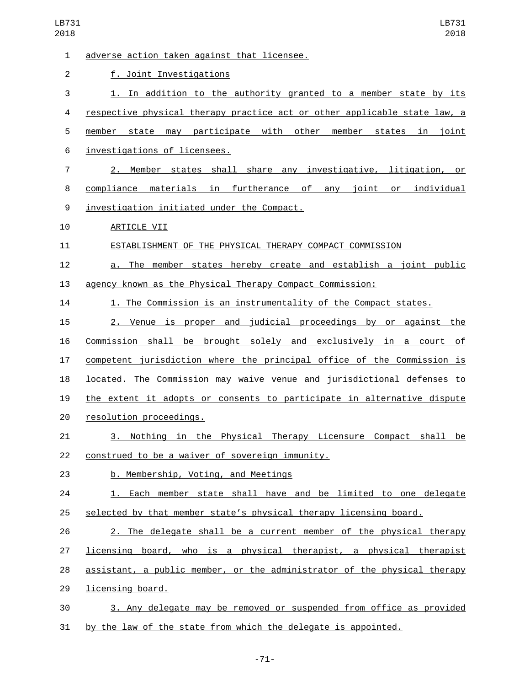| 1              | adverse action taken against that licensee.                               |
|----------------|---------------------------------------------------------------------------|
| 2              | f. Joint Investigations                                                   |
| 3              | 1. In addition to the authority granted to a member state by its          |
| 4              | respective physical therapy practice act or other applicable state law, a |
| 5              | member state may participate with other member states<br>in joint         |
| 6              | investigations of licensees.                                              |
| $\overline{7}$ | 2. Member states shall share any investigative, litigation, or            |
| 8              | compliance materials in furtherance of any joint or individual            |
| 9              | investigation initiated under the Compact.                                |
| 10             | ARTICLE VII                                                               |
| 11             | ESTABLISHMENT OF THE PHYSICAL THERAPY COMPACT COMMISSION                  |
| 12             | a. The member states hereby create and establish a joint public           |
| 13             | agency known as the Physical Therapy Compact Commission:                  |
| 14             | 1. The Commission is an instrumentality of the Compact states.            |
| 15             | 2. Venue is proper and judicial proceedings by or against the             |
| 16             | <u>Commission shall be brought solely and exclusively in a court of</u>   |
| 17             | competent jurisdiction where the principal office of the Commission is    |
| 18             | located. The Commission may waive venue and jurisdictional defenses to    |
| 19             | the extent it adopts or consents to participate in alternative dispute    |
| 20             | resolution proceedings.                                                   |
| 21             | 3. Nothing in the Physical Therapy Licensure Compact shall be             |
| 22             | construed to be a waiver of sovereign immunity.                           |
| 23             | b. Membership, Voting, and Meetings                                       |
| 24             | 1. Each member state shall have and be limited to one delegate            |
| 25             | selected by that member state's physical therapy licensing board.         |
| 26             | 2. The delegate shall be a current member of the physical therapy         |
| 27             | licensing board, who is a physical therapist, a physical therapist        |
| 28             | assistant, a public member, or the administrator of the physical therapy  |
| 29             | licensing board.                                                          |
| 30             | 3. Any delegate may be removed or suspended from office as provided       |
| 31             | by the law of the state from which the delegate is appointed.             |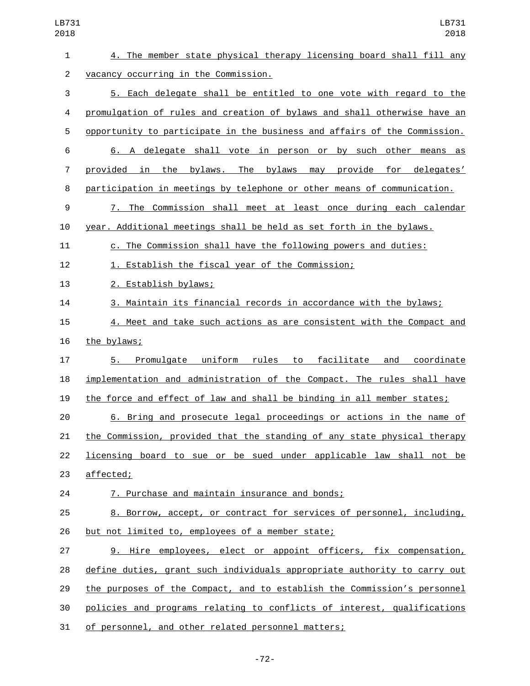| 1              | 4. The member state physical therapy licensing board shall fill any                  |
|----------------|--------------------------------------------------------------------------------------|
| $\overline{2}$ | vacancy occurring in the Commission.                                                 |
| 3              | 5. Each delegate shall be entitled to one vote with regard to the                    |
| 4              | promulgation of rules and creation of bylaws and shall otherwise have an             |
| 5              | opportunity to participate in the business and affairs of the Commission.            |
| 6              | 6. A delegate shall vote in person or by such other means as                         |
| 7              | provided in the bylaws. The bylaws may provide for delegates'                        |
| 8              | participation in meetings by telephone or other means of communication.              |
| 9              | 7. The Commission shall meet at least once during each calendar                      |
| 10             | year. Additional meetings shall be held as set forth in the bylaws.                  |
| 11             | c. The Commission shall have the following powers and duties:                        |
| 12             | 1. Establish the fiscal year of the Commission;                                      |
| 13             | 2. Establish bylaws;                                                                 |
| 14             | 3. Maintain its financial records in accordance with the bylaws;                     |
| 15             | 4. Meet and take such actions as are consistent with the Compact and                 |
| 16             | the bylaws;                                                                          |
| 17             | Promulgate<br>uniform<br>rules<br><u>facilitate</u><br>coordinate<br>to<br>and<br>5. |
| 18             | implementation and administration of the Compact. The rules shall have               |
| 19             | the force and effect of law and shall be binding in all member states;               |
| 20             | 6. Bring and prosecute legal proceedings or actions in the name of                   |
| 21             | the Commission, provided that the standing of any state physical therapy             |
| 22             | licensing board to sue or be sued under applicable law shall not be                  |
| 23             | affected;                                                                            |
| 24             | 7. Purchase and maintain insurance and bonds;                                        |
| 25             | 8. Borrow, accept, or contract for services of personnel, including,                 |
| 26             | but not limited to, employees of a member state;                                     |
| 27             | 9. Hire employees, elect or appoint officers, fix compensation,                      |
| 28             | define duties, grant such individuals appropriate authority to carry out             |
| 29             | the purposes of the Compact, and to establish the Commission's personnel             |
| 30             | policies and programs relating to conflicts of interest, qualifications              |
| 31             | of personnel, and other related personnel matters;                                   |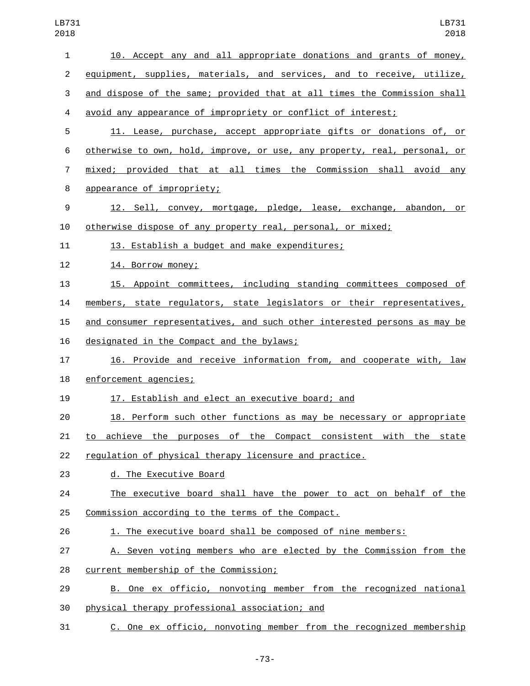| $\overline{2}$ | equipment, supplies, materials, and services, and to receive, utilize,           |
|----------------|----------------------------------------------------------------------------------|
| 3              | and dispose of the same; provided that at all times the Commission shall         |
| 4              | avoid any appearance of impropriety or conflict of interest;                     |
| 5              | 11. Lease, purchase, accept appropriate gifts or donations of, or                |
| 6              | <u>otherwise to own, hold, improve, or use, any property, real, personal, or</u> |
| 7              | <u>mixed; provided that at all times the Commission shall avoid any</u>          |
| 8              | appearance of impropriety;                                                       |
| 9              | 12. Sell, convey, mortgage, pledge, lease, exchange, abandon, or                 |
| 10             | otherwise dispose of any property real, personal, or mixed;                      |
| 11             | 13. Establish a budget and make expenditures;                                    |
| 12             | 14. Borrow money;                                                                |
| 13             | 15. Appoint committees, including standing committees composed of                |
| 14             | members, state regulators, state legislators or their representatives,           |
| 15             | and consumer representatives, and such other interested persons as may be        |
| 16             | designated in the Compact and the bylaws;                                        |
| 17             | 16. Provide and receive information from, and cooperate with, law                |
| 18             | enforcement agencies;                                                            |
| 19             | 17. Establish and elect an executive board; and                                  |
| 20             | 18. Perform such other functions as may be necessary or appropriate              |
| 21             | achieve the purposes of the Compact consistent with the state<br>to              |
| 22             | regulation of physical therapy licensure and practice.                           |
| 23             | d. The Executive Board                                                           |
| 24             | The executive board shall have the power to act on behalf of the                 |
| 25             | Commission according to the terms of the Compact.                                |
| 26             | 1. The executive board shall be composed of nine members:                        |
| 27             | A. Seven voting members who are elected by the Commission from the               |
| 28             | current membership of the Commission;                                            |
| 29             | B. One ex officio, nonvoting member from the recognized national                 |
| 30             | physical therapy professional association; and                                   |

C. One ex officio, nonvoting member from the recognized membership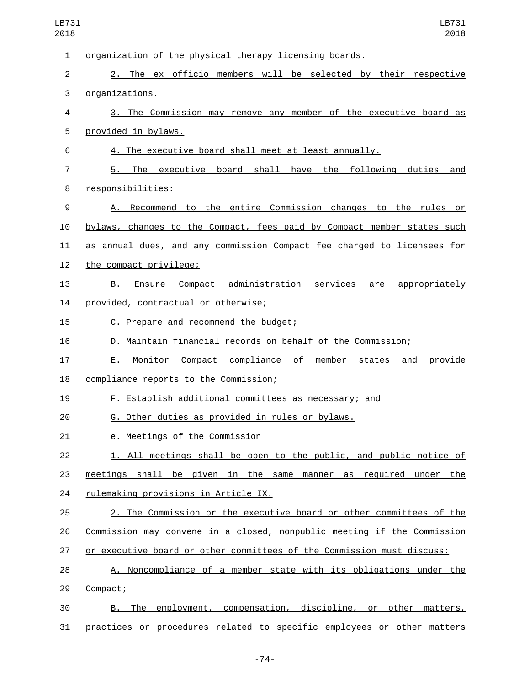| 1  | organization of the physical therapy licensing boards.                  |
|----|-------------------------------------------------------------------------|
| 2  | 2. The ex officio members will be selected by their respective          |
| 3  | organizations.                                                          |
| 4  | 3. The Commission may remove any member of the executive board as       |
| 5  | provided in bylaws.                                                     |
| 6  | 4. The executive board shall meet at least annually.                    |
| 7  | The executive board shall have the following duties and<br>5.           |
| 8  | responsibilities:                                                       |
| 9  | A. Recommend to the entire Commission changes to the rules or           |
| 10 | bylaws, changes to the Compact, fees paid by Compact member states such |
| 11 | as annual dues, and any commission Compact fee charged to licensees for |
| 12 | the compact privilege;                                                  |
| 13 | Ensure Compact administration services are appropriately<br>B.          |
| 14 | provided, contractual or otherwise;                                     |
| 15 | C. Prepare and recommend the budget;                                    |
| 16 | D. Maintain financial records on behalf of the Commission;              |
| 17 | Monitor Compact compliance of member states<br>and<br>E.,<br>provide    |
| 18 | compliance reports to the Commission;                                   |
| 19 | <u>F. Establish additional committees as necessary; and</u>             |
| 20 | G. Other duties as provided in rules or bylaws.                         |
| 21 | e. Meetings of the Commission                                           |
| 22 | 1. All meetings shall be open to the public, and public notice of       |
| 23 | meetings shall be given in the same manner as required under the        |
| 24 | rulemaking provisions in Article IX.                                    |
| 25 | 2. The Commission or the executive board or other committees of the     |
| 26 | Commission may convene in a closed, nonpublic meeting if the Commission |
| 27 | or executive board or other committees of the Commission must discuss:  |
| 28 | A. Noncompliance of a member state with its obligations under the       |
| 29 | Compact;                                                                |
| 30 | B. The employment, compensation, discipline, or other matters,          |
| 31 | practices or procedures related to specific employees or other matters  |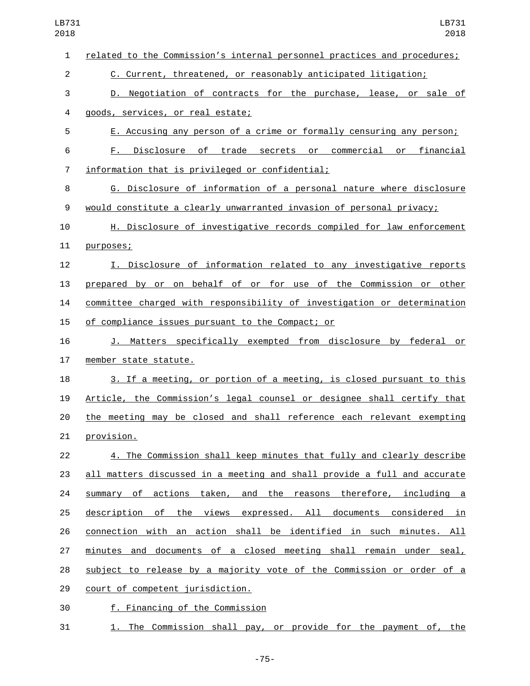| LB731<br>2018  | LB731<br>2018                                                            |
|----------------|--------------------------------------------------------------------------|
| $\mathbf{1}$   | related to the Commission's internal personnel practices and procedures; |
| $\overline{2}$ | C. Current, threatened, or reasonably anticipated litigation;            |
| 3              | D. Negotiation of contracts for the purchase, lease, or sale of          |
| 4              | goods, services, or real estate;                                         |
| 5              | E. Accusing any person of a crime or formally censuring any person;      |
| 6              | F. Disclosure of trade secrets or commercial or financial                |
| $\overline{7}$ | information that is privileged or confidential;                          |
| 8              | G. Disclosure of information of a personal nature where disclosure       |
| 9              | would constitute a clearly unwarranted invasion of personal privacy;     |
| 10             | H. Disclosure of investigative records compiled for law enforcement      |
| 11             | purposes;                                                                |
| 12             | I. Disclosure of information related to any investigative reports        |
| 13             | prepared by or on behalf of or for use of the Commission or other        |
| 14             | committee charged with responsibility of investigation or determination  |
| 15             | of compliance issues pursuant to the Compact; or                         |
| 16             | J. Matters specifically exempted from disclosure by federal or           |
| 17             | member state statute.                                                    |
| 18             | 3. If a meeting, or portion of a meeting, is closed pursuant to this     |
| 19             | Article, the Commission's legal counsel or designee shall certify that   |
| 20             | the meeting may be closed and shall reference each relevant exempting    |
| 21             | provision.                                                               |
| 22             | 4. The Commission shall keep minutes that fully and clearly describe     |
| 23             | all matters discussed in a meeting and shall provide a full and accurate |
| 24             | summary of actions taken, and the reasons therefore, including a         |
| 25             | description of the views expressed. All documents considered in          |
| 26             | connection with an action shall be identified in such minutes. All       |
| 27             | minutes and documents of a closed meeting shall remain under seal,       |
| 28             | subject to release by a majority vote of the Commission or order of a    |
| 29             | court of competent jurisdiction.                                         |
| 30             | f. Financing of the Commission                                           |
| 31             | 1. The Commission shall pay, or provide for the payment of, the          |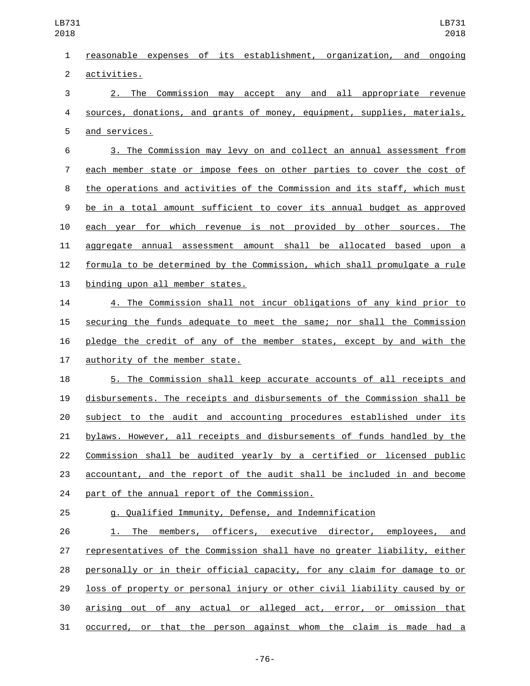| 1              | reasonable expenses of its establishment, organization, and ongoing       |
|----------------|---------------------------------------------------------------------------|
| $\overline{c}$ | activities.                                                               |
| 3              | 2. The Commission may accept any and all appropriate revenue              |
| 4              | sources, donations, and grants of money, equipment, supplies, materials,  |
| 5              | and services.                                                             |
| 6              | 3. The Commission may levy on and collect an annual assessment from       |
| 7              | each member state or impose fees on other parties to cover the cost of    |
| 8              | the operations and activities of the Commission and its staff, which must |
| 9              | be in a total amount sufficient to cover its annual budget as approved    |
| 10             | each year for which revenue is not provided by other sources. The         |
| 11             | aggregate annual assessment amount shall be allocated based upon a        |
| 12             | formula to be determined by the Commission, which shall promulgate a rule |
| 13             | binding upon all member states.                                           |
| 14             | 4. The Commission shall not incur obligations of any kind prior to        |
| 15             | securing the funds adequate to meet the same; nor shall the Commission    |
| 16             | pledge the credit of any of the member states, except by and with the     |
| 17             | authority of the member state.                                            |
| 18             | 5. The Commission shall keep accurate accounts of all receipts and        |
| 19             | disbursements. The receipts and disbursements of the Commission shall be  |
| 20             | subject to the audit and accounting procedures established under its      |
| 21             | bylaws. However, all receipts and disbursements of funds handled by the   |
| 22             | Commission shall be audited yearly by a certified or licensed public      |
| 23             | accountant, and the report of the audit shall be included in and become   |
| 24             | part of the annual report of the Commission.                              |
| 25             | g. Qualified Immunity, Defense, and Indemnification                       |
| 26             | 1. The members, officers, executive director, employees, and              |
| 27             | representatives of the Commission shall have no greater liability, either |
| 28             | personally or in their official capacity, for any claim for damage to or  |
| 29             | loss of property or personal injury or other civil liability caused by or |
| 30             | arising out of any actual or alleged act, error, or omission that         |
| 31             | <u>occurred, or that the person against whom the claim is made had a</u>  |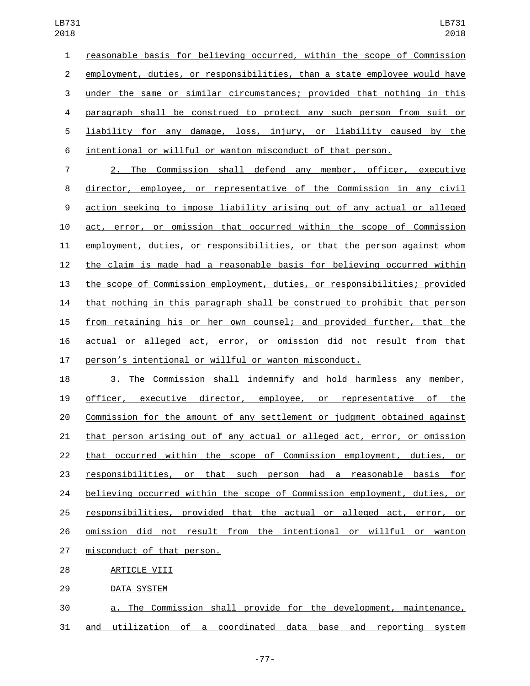reasonable basis for believing occurred, within the scope of Commission employment, duties, or responsibilities, than a state employee would have under the same or similar circumstances; provided that nothing in this paragraph shall be construed to protect any such person from suit or liability for any damage, loss, injury, or liability caused by the intentional or willful or wanton misconduct of that person.

 2. The Commission shall defend any member, officer, executive director, employee, or representative of the Commission in any civil action seeking to impose liability arising out of any actual or alleged act, error, or omission that occurred within the scope of Commission employment, duties, or responsibilities, or that the person against whom the claim is made had a reasonable basis for believing occurred within the scope of Commission employment, duties, or responsibilities; provided that nothing in this paragraph shall be construed to prohibit that person from retaining his or her own counsel; and provided further, that the actual or alleged act, error, or omission did not result from that person's intentional or willful or wanton misconduct.

 3. The Commission shall indemnify and hold harmless any member, officer, executive director, employee, or representative of the Commission for the amount of any settlement or judgment obtained against that person arising out of any actual or alleged act, error, or omission that occurred within the scope of Commission employment, duties, or responsibilities, or that such person had a reasonable basis for believing occurred within the scope of Commission employment, duties, or responsibilities, provided that the actual or alleged act, error, or omission did not result from the intentional or willful or wanton 27 misconduct of that person. 28 ARTICLE VIII

29 DATA SYSTEM

 a. The Commission shall provide for the development, maintenance, and utilization of a coordinated data base and reporting system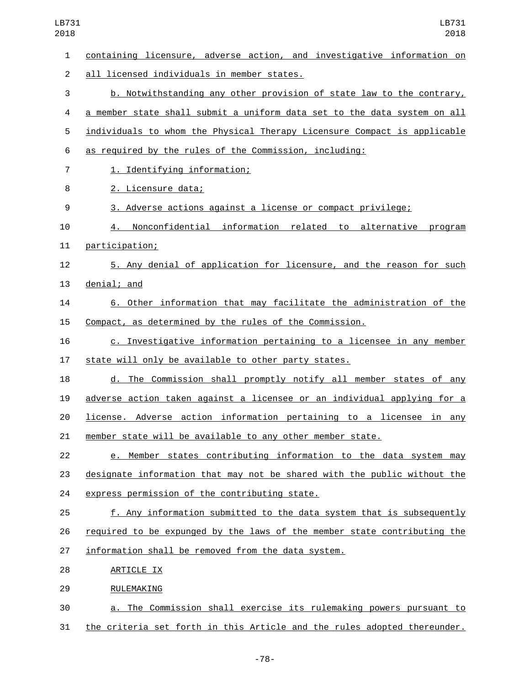| 1              | containing licensure, adverse action, and investigative information on   |
|----------------|--------------------------------------------------------------------------|
| $\overline{2}$ | all licensed individuals in member states.                               |
| 3              | b. Notwithstanding any other provision of state law to the contrary,     |
| 4              | a member state shall submit a uniform data set to the data system on all |
| 5              | individuals to whom the Physical Therapy Licensure Compact is applicable |
| 6              | as required by the rules of the Commission, including:                   |
| $\overline{7}$ | 1. Identifying information;                                              |
| 8              | 2. Licensure data;                                                       |
| 9              | 3. Adverse actions against a license or compact privilege;               |
| 10             | Nonconfidential information related to alternative program<br>4.         |
| 11             | participation;                                                           |
| 12             | 5. Any denial of application for licensure, and the reason for such      |
| 13             | denial; and                                                              |
| 14             | 6. Other information that may facilitate the administration of the       |
| 15             | Compact, as determined by the rules of the Commission.                   |
| 16             | c. Investigative information pertaining to a licensee in any member      |
| 17             | state will only be available to other party states.                      |
| 18             | d. The Commission shall promptly notify all member states of any         |
| 19             | adverse action taken against a licensee or an individual applying for a  |
| 20             | license. Adverse action information pertaining to a licensee in any      |
| 21             | member state will be available to any other member state.                |
| 22             | e. Member states contributing information to the data system may         |
| 23             | designate information that may not be shared with the public without the |
| 24             | express permission of the contributing state.                            |
| 25             | f. Any information submitted to the data system that is subsequently     |
| 26             | required to be expunged by the laws of the member state contributing the |
| 27             | information shall be removed from the data system.                       |
| 28             | ARTICLE IX                                                               |
| 29             | RULEMAKING                                                               |
| 30             | a. The Commission shall exercise its rulemaking powers pursuant to       |
| 31             | the criteria set forth in this Article and the rules adopted thereunder. |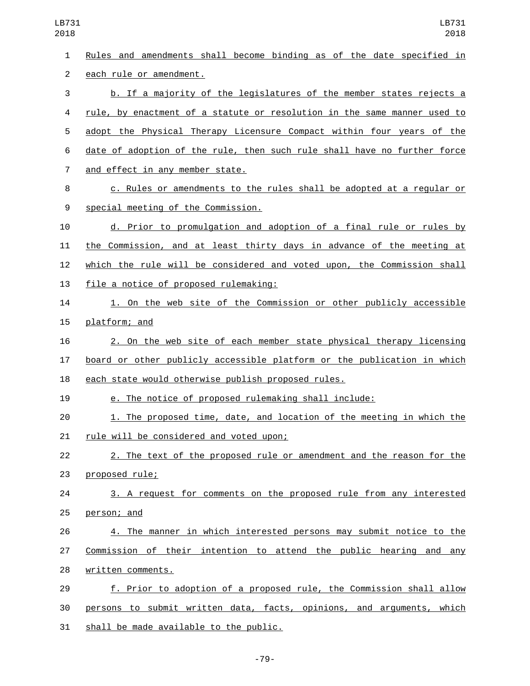| 1  | Rules and amendments shall become binding as of the date specified in    |
|----|--------------------------------------------------------------------------|
| 2  | each rule or amendment.                                                  |
| 3  | b. If a majority of the legislatures of the member states rejects a      |
| 4  | rule, by enactment of a statute or resolution in the same manner used to |
| 5  | adopt the Physical Therapy Licensure Compact within four years of the    |
| 6  | date of adoption of the rule, then such rule shall have no further force |
| 7  | and effect in any member state.                                          |
| 8  | c. Rules or amendments to the rules shall be adopted at a regular or     |
| 9  | special meeting of the Commission.                                       |
| 10 | d. Prior to promulgation and adoption of a final rule or rules by        |
| 11 | the Commission, and at least thirty days in advance of the meeting at    |
| 12 | which the rule will be considered and voted upon, the Commission shall   |
| 13 | file a notice of proposed rulemaking:                                    |
| 14 | 1. On the web site of the Commission or other publicly accessible        |
| 15 | platform; and                                                            |
| 16 | 2. On the web site of each member state physical therapy licensing       |
| 17 | board or other publicly accessible platform or the publication in which  |
| 18 | each state would otherwise publish proposed rules.                       |
| 19 | e. The notice of proposed rulemaking shall include:                      |
| 20 | 1. The proposed time, date, and location of the meeting in which the     |
| 21 | rule will be considered and voted upon;                                  |
| 22 | 2. The text of the proposed rule or amendment and the reason for the     |
| 23 | proposed rule;                                                           |
| 24 | 3. A request for comments on the proposed rule from any interested       |
| 25 | person; and                                                              |
| 26 | 4. The manner in which interested persons may submit notice to the       |
| 27 | Commission of their intention to attend the public hearing and any       |
| 28 | written comments.                                                        |
| 29 | f. Prior to adoption of a proposed rule, the Commission shall allow      |
| 30 | persons to submit written data, facts, opinions, and arguments, which    |
| 31 | shall be made available to the public.                                   |

-79-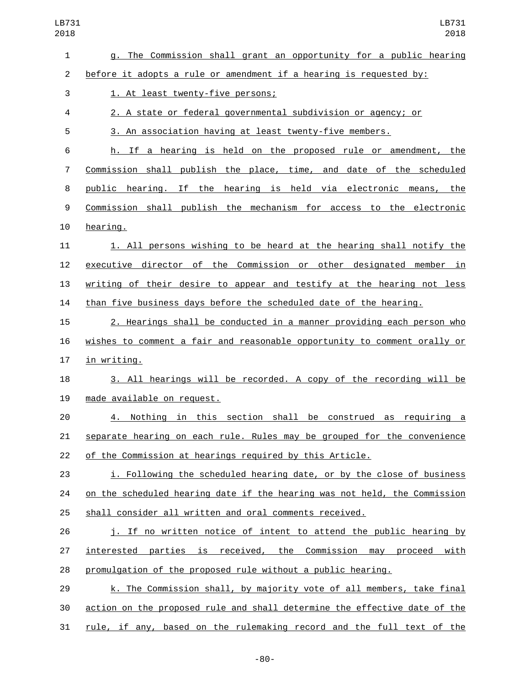| $\mathbf{1}$   | g. The Commission shall grant an opportunity for a public hearing         |
|----------------|---------------------------------------------------------------------------|
| $\overline{2}$ | before it adopts a rule or amendment if a hearing is requested by:        |
| 3              | 1. At least twenty-five persons;                                          |
| 4              | 2. A state or federal governmental subdivision or agency; or              |
| 5              | 3. An association having at least twenty-five members.                    |
| 6              | h. If a hearing is held on the proposed rule or amendment, the            |
| 7              | Commission shall publish the place, time, and date of the scheduled       |
| 8              | public hearing. If the hearing is held via electronic means, the          |
| 9              | Commission shall publish the mechanism for access to the electronic       |
| 10             | hearing.                                                                  |
| 11             | 1. All persons wishing to be heard at the hearing shall notify the        |
| 12             | executive director of the Commission or other designated member in        |
| 13             | writing of their desire to appear and testify at the hearing not less     |
| 14             | than five business days before the scheduled date of the hearing.         |
| 15             | 2. Hearings shall be conducted in a manner providing each person who      |
| 16             | wishes to comment a fair and reasonable opportunity to comment orally or  |
| 17             | in writing.                                                               |
| 18             | 3. All hearings will be recorded. A copy of the recording will be         |
| 19             | made available on request.                                                |
| 20             | 4. Nothing in this section shall be construed as requiring a              |
| 21             | separate hearing on each rule. Rules may be grouped for the convenience   |
| 22             | of the Commission at hearings required by this Article.                   |
| 23             | i. Following the scheduled hearing date, or by the close of business      |
| 24             | on the scheduled hearing date if the hearing was not held, the Commission |
| 25             | shall consider all written and oral comments received.                    |
| 26             | j. If no written notice of intent to attend the public hearing by         |
| 27             | interested parties is received, the Commission may proceed with           |
| 28             | promulgation of the proposed rule without a public hearing.               |
| 29             | k. The Commission shall, by majority vote of all members, take final      |
| 30             | action on the proposed rule and shall determine the effective date of the |
| 31             | rule, if any, based on the rulemaking record and the full text of the     |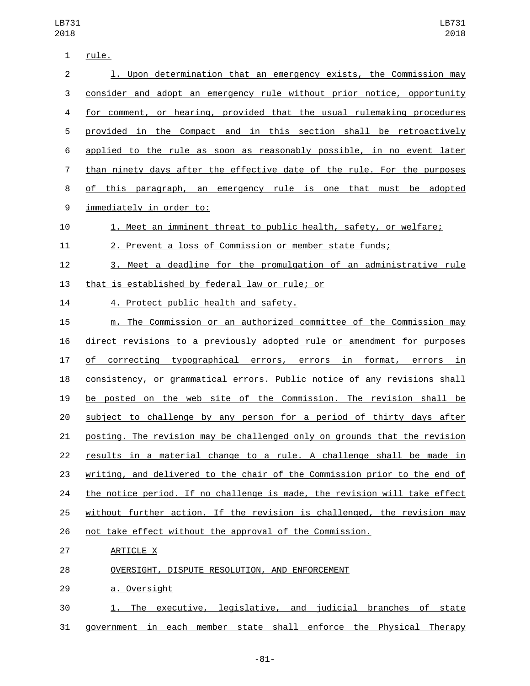| 1                | <u>rule.</u>                                                              |
|------------------|---------------------------------------------------------------------------|
| $\overline{2}$   | 1. Upon determination that an emergency exists, the Commission may        |
| 3                | consider and adopt an emergency rule without prior notice, opportunity    |
| 4                | for comment, or hearing, provided that the usual rulemaking procedures    |
| 5                | provided in the Compact and in this section shall be retroactively        |
| 6                | applied to the rule as soon as reasonably possible, in no event later     |
| 7                | than ninety days after the effective date of the rule. For the purposes   |
| 8                | of this paragraph, an emergency rule is one that must be adopted          |
| $\boldsymbol{9}$ | immediately in order to:                                                  |
| 10               | 1. Meet an imminent threat to public health, safety, or welfare;          |
| 11               | 2. Prevent a loss of Commission or member state funds;                    |
| 12               | 3. Meet a deadline for the promulgation of an administrative rule         |
| 13               | that is established by federal law or rule; or                            |
| 14               | 4. Protect public health and safety.                                      |
| 15               | m. The Commission or an authorized committee of the Commission may        |
| 16               | direct revisions to a previously adopted rule or amendment for purposes   |
| 17               | of correcting typographical errors, errors in format, errors in           |
| 18               | consistency, or grammatical errors. Public notice of any revisions shall  |
| 19               | be posted on the web site of the Commission. The revision shall be        |
| 20               | subject to challenge by any person for a period of thirty days after      |
| 21               | posting. The revision may be challenged only on grounds that the revision |
| 22               | results in a material change to a rule. A challenge shall be made in      |
| 23               | writing, and delivered to the chair of the Commission prior to the end of |
| 24               | the notice period. If no challenge is made, the revision will take effect |
| 25               | without further action. If the revision is challenged, the revision may   |
| 26               | not take effect without the approval of the Commission.                   |
| 27               | ARTICLE X                                                                 |
| 28               | OVERSIGHT, DISPUTE RESOLUTION, AND ENFORCEMENT                            |
| 29               | a. Oversight                                                              |
| 30               | The executive, legislative, and judicial branches of state<br>1. .        |
| 31               | government in each member state shall enforce the Physical Therapy        |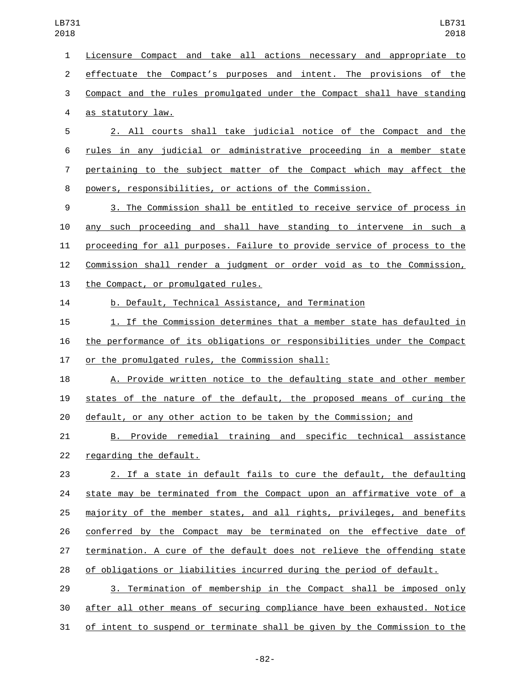Licensure Compact and take all actions necessary and appropriate to effectuate the Compact's purposes and intent. The provisions of the Compact and the rules promulgated under the Compact shall have standing 4 as statutory law. 2. All courts shall take judicial notice of the Compact and the rules in any judicial or administrative proceeding in a member state pertaining to the subject matter of the Compact which may affect the powers, responsibilities, or actions of the Commission. 3. The Commission shall be entitled to receive service of process in any such proceeding and shall have standing to intervene in such a proceeding for all purposes. Failure to provide service of process to the Commission shall render a judgment or order void as to the Commission, 13 the Compact, or promulgated rules. b. Default, Technical Assistance, and Termination 1. If the Commission determines that a member state has defaulted in the performance of its obligations or responsibilities under the Compact 17 or the promulgated rules, the Commission shall: A. Provide written notice to the defaulting state and other member states of the nature of the default, the proposed means of curing the default, or any other action to be taken by the Commission; and B. Provide remedial training and specific technical assistance 22 regarding the default. 2. If a state in default fails to cure the default, the defaulting

 state may be terminated from the Compact upon an affirmative vote of a majority of the member states, and all rights, privileges, and benefits conferred by the Compact may be terminated on the effective date of termination. A cure of the default does not relieve the offending state of obligations or liabilities incurred during the period of default.

 3. Termination of membership in the Compact shall be imposed only after all other means of securing compliance have been exhausted. Notice of intent to suspend or terminate shall be given by the Commission to the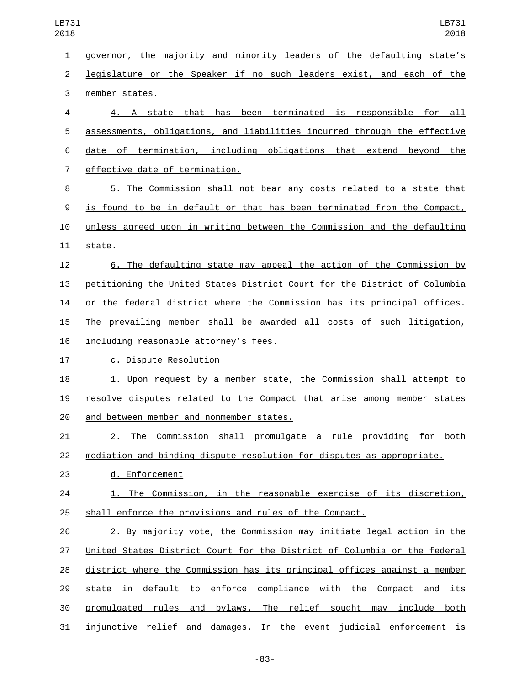governor, the majority and minority leaders of the defaulting state's legislature or the Speaker if no such leaders exist, and each of the 3 member states. 4. A state that has been terminated is responsible for all assessments, obligations, and liabilities incurred through the effective date of termination, including obligations that extend beyond the 7 effective date of termination. 5. The Commission shall not bear any costs related to a state that is found to be in default or that has been terminated from the Compact, unless agreed upon in writing between the Commission and the defaulting 11 state. 6. The defaulting state may appeal the action of the Commission by petitioning the United States District Court for the District of Columbia or the federal district where the Commission has its principal offices. The prevailing member shall be awarded all costs of such litigation, 16 including reasonable attorney's fees. 17 c. Dispute Resolution 1. Upon request by a member state, the Commission shall attempt to resolve disputes related to the Compact that arise among member states 20 and between member and nonmember states. 2. The Commission shall promulgate a rule providing for both mediation and binding dispute resolution for disputes as appropriate. 23 d. Enforcement 1. The Commission, in the reasonable exercise of its discretion, shall enforce the provisions and rules of the Compact. 2. By majority vote, the Commission may initiate legal action in the United States District Court for the District of Columbia or the federal district where the Commission has its principal offices against a member 29 state in default to enforce compliance with the Compact and its promulgated rules and bylaws. The relief sought may include both injunctive relief and damages. In the event judicial enforcement is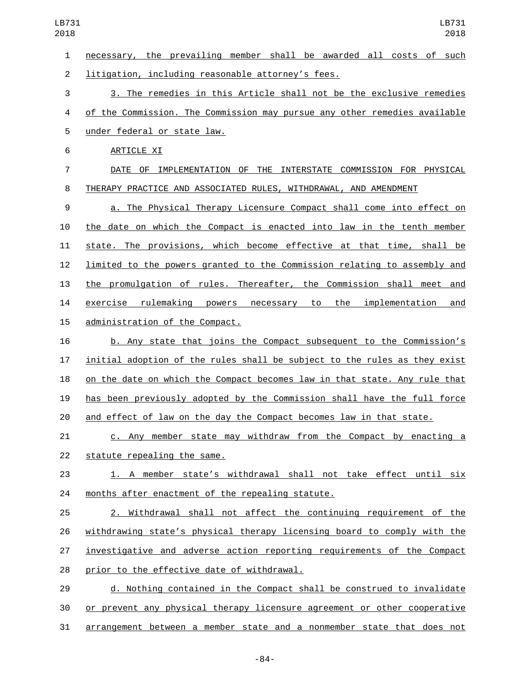necessary, the prevailing member shall be awarded all costs of such 2 litigation, including reasonable attorney's fees. 3. The remedies in this Article shall not be the exclusive remedies of the Commission. The Commission may pursue any other remedies available 5 under federal or state law. 6 ARTICLE XI DATE OF IMPLEMENTATION OF THE INTERSTATE COMMISSION FOR PHYSICAL THERAPY PRACTICE AND ASSOCIATED RULES, WITHDRAWAL, AND AMENDMENT a. The Physical Therapy Licensure Compact shall come into effect on the date on which the Compact is enacted into law in the tenth member state. The provisions, which become effective at that time, shall be limited to the powers granted to the Commission relating to assembly and the promulgation of rules. Thereafter, the Commission shall meet and exercise rulemaking powers necessary to the implementation and 15 administration of the Compact. b. Any state that joins the Compact subsequent to the Commission's initial adoption of the rules shall be subject to the rules as they exist on the date on which the Compact becomes law in that state. Any rule that has been previously adopted by the Commission shall have the full force and effect of law on the day the Compact becomes law in that state. c. Any member state may withdraw from the Compact by enacting a 22 statute repealing the same. 1. A member state's withdrawal shall not take effect until six 24 months after enactment of the repealing statute. 2. Withdrawal shall not affect the continuing requirement of the withdrawing state's physical therapy licensing board to comply with the investigative and adverse action reporting requirements of the Compact 28 prior to the effective date of withdrawal. d. Nothing contained in the Compact shall be construed to invalidate or prevent any physical therapy licensure agreement or other cooperative arrangement between a member state and a nonmember state that does not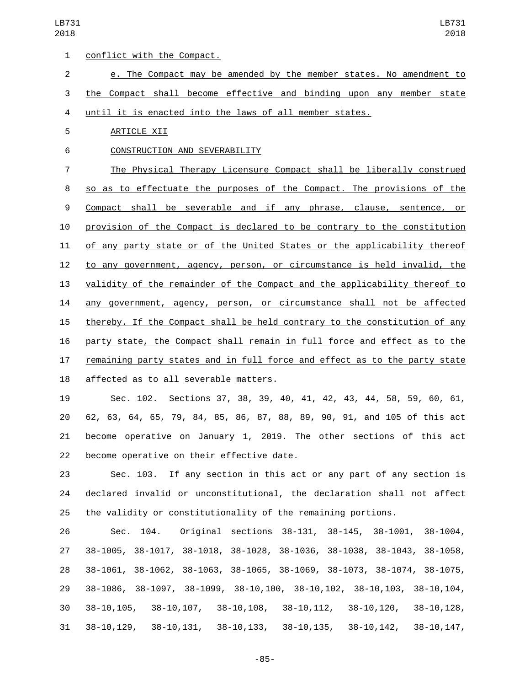1 conflict with the Compact. e. The Compact may be amended by the member states. No amendment to the Compact shall become effective and binding upon any member state until it is enacted into the laws of all member states. 5 ARTICLE XII 6 CONSTRUCTION AND SEVERABILITY The Physical Therapy Licensure Compact shall be liberally construed 8 so as to effectuate the purposes of the Compact. The provisions of the Compact shall be severable and if any phrase, clause, sentence, or provision of the Compact is declared to be contrary to the constitution of any party state or of the United States or the applicability thereof to any government, agency, person, or circumstance is held invalid, the validity of the remainder of the Compact and the applicability thereof to any government, agency, person, or circumstance shall not be affected thereby. If the Compact shall be held contrary to the constitution of any party state, the Compact shall remain in full force and effect as to the remaining party states and in full force and effect as to the party state 18 affected as to all severable matters.

 Sec. 102. Sections 37, 38, 39, 40, 41, 42, 43, 44, 58, 59, 60, 61, 62, 63, 64, 65, 79, 84, 85, 86, 87, 88, 89, 90, 91, and 105 of this act become operative on January 1, 2019. The other sections of this act 22 become operative on their effective date.

 Sec. 103. If any section in this act or any part of any section is declared invalid or unconstitutional, the declaration shall not affect the validity or constitutionality of the remaining portions.

 Sec. 104. Original sections 38-131, 38-145, 38-1001, 38-1004, 38-1005, 38-1017, 38-1018, 38-1028, 38-1036, 38-1038, 38-1043, 38-1058, 38-1061, 38-1062, 38-1063, 38-1065, 38-1069, 38-1073, 38-1074, 38-1075, 38-1086, 38-1097, 38-1099, 38-10,100, 38-10,102, 38-10,103, 38-10,104, 38-10,105, 38-10,107, 38-10,108, 38-10,112, 38-10,120, 38-10,128, 38-10,129, 38-10,131, 38-10,133, 38-10,135, 38-10,142, 38-10,147,

-85-